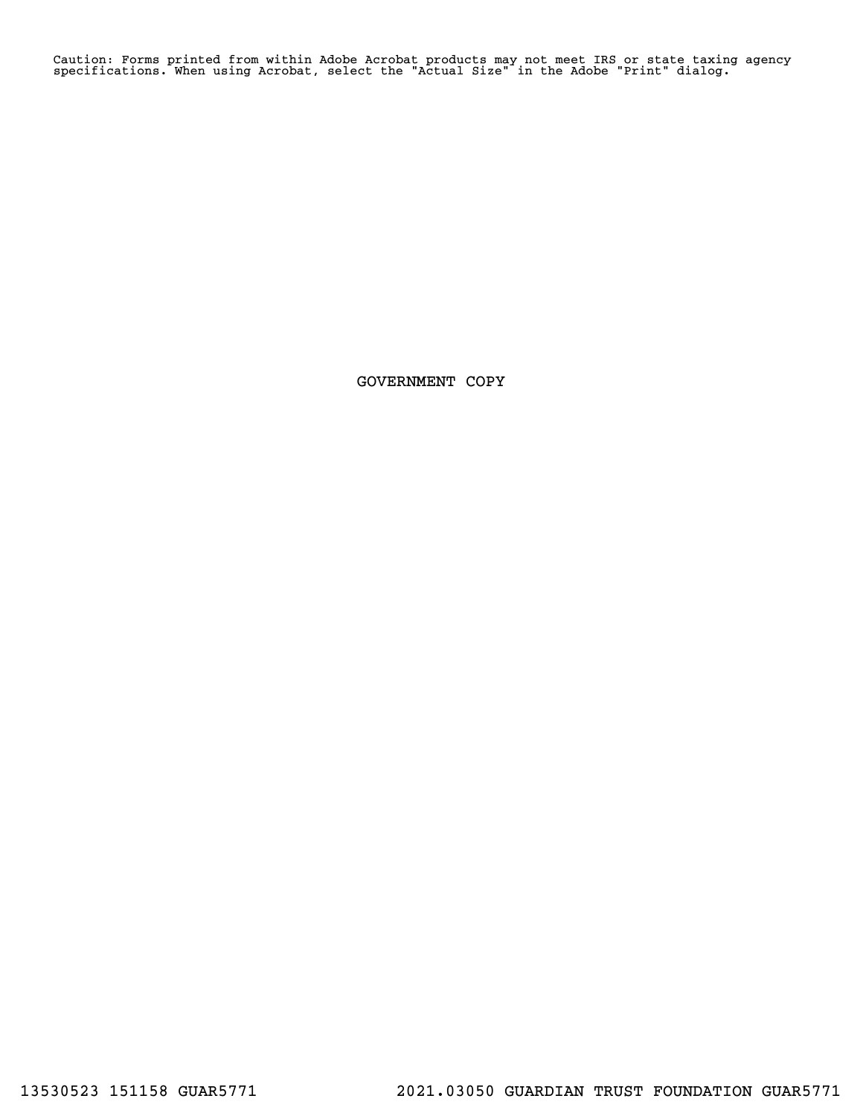Caution: Forms printed from within Adobe Acrobat products may not meet IRS or state taxing agency specifications. When using Acrobat, select the "Actual Size" in the Adobe "Print" dialog.

GOVERNMENT COPY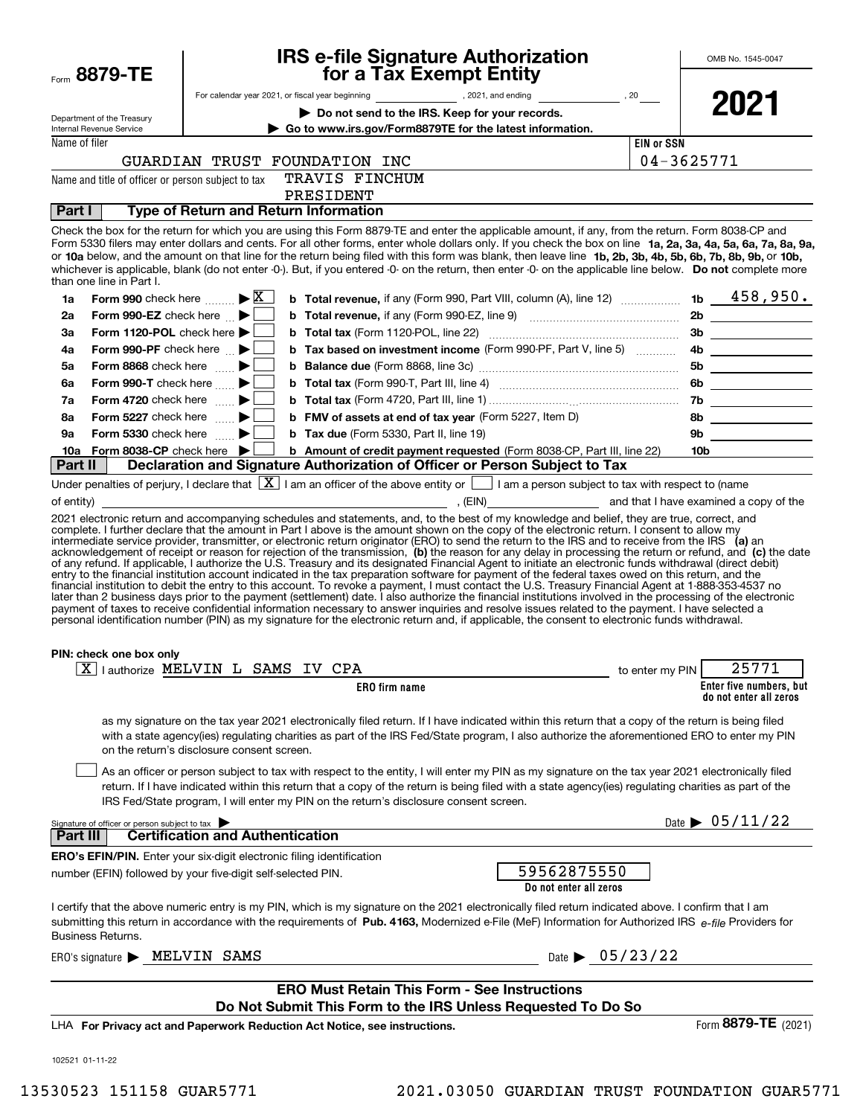| Form 8879-TE                                                   | <b>IRS e-file Signature Authorization<br/>for a Tax Exempt Entity</b>                                                                                                                                                                                                                                                                                                                                                                                                                                                                                                                                                                                                                                                                                                          |                                       | OMB No. 1545-0047                                 |
|----------------------------------------------------------------|--------------------------------------------------------------------------------------------------------------------------------------------------------------------------------------------------------------------------------------------------------------------------------------------------------------------------------------------------------------------------------------------------------------------------------------------------------------------------------------------------------------------------------------------------------------------------------------------------------------------------------------------------------------------------------------------------------------------------------------------------------------------------------|---------------------------------------|---------------------------------------------------|
|                                                                |                                                                                                                                                                                                                                                                                                                                                                                                                                                                                                                                                                                                                                                                                                                                                                                |                                       |                                                   |
|                                                                | Do not send to the IRS. Keep for your records.                                                                                                                                                                                                                                                                                                                                                                                                                                                                                                                                                                                                                                                                                                                                 |                                       | 2021                                              |
| Department of the Treasury<br>Internal Revenue Service         | Go to www.irs.gov/Form8879TE for the latest information.                                                                                                                                                                                                                                                                                                                                                                                                                                                                                                                                                                                                                                                                                                                       |                                       |                                                   |
| Name of filer                                                  |                                                                                                                                                                                                                                                                                                                                                                                                                                                                                                                                                                                                                                                                                                                                                                                | <b>EIN or SSN</b>                     |                                                   |
|                                                                | GUARDIAN TRUST FOUNDATION INC                                                                                                                                                                                                                                                                                                                                                                                                                                                                                                                                                                                                                                                                                                                                                  | 04-3625771                            |                                                   |
| Name and title of officer or person subject to tax             | TRAVIS FINCHUM                                                                                                                                                                                                                                                                                                                                                                                                                                                                                                                                                                                                                                                                                                                                                                 |                                       |                                                   |
|                                                                | PRESIDENT                                                                                                                                                                                                                                                                                                                                                                                                                                                                                                                                                                                                                                                                                                                                                                      |                                       |                                                   |
| Part I                                                         | <b>Type of Return and Return Information</b>                                                                                                                                                                                                                                                                                                                                                                                                                                                                                                                                                                                                                                                                                                                                   |                                       |                                                   |
| than one line in Part I.                                       | Check the box for the return for which you are using this Form 8879-TE and enter the applicable amount, if any, from the return. Form 8038-CP and<br>Form 5330 filers may enter dollars and cents. For all other forms, enter whole dollars only. If you check the box on line 1a, 2a, 3a, 4a, 5a, 6a, 7a, 8a, 9a,<br>or 10a below, and the amount on that line for the return being filed with this form was blank, then leave line 1b, 2b, 3b, 4b, 5b, 6b, 7b, 8b, 9b, or 10b,<br>whichever is applicable, blank (do not enter -0-). But, if you entered -0- on the return, then enter -0- on the applicable line below. Do not complete more                                                                                                                                |                                       |                                                   |
| Form 990 check here $\mathbb{K}$<br>1a                         | <b>b</b> Total revenue, if any (Form 990, Part VIII, column (A), line 12) $\ldots$ 1b $\phantom{0}\phantom{0}458$ , 950.                                                                                                                                                                                                                                                                                                                                                                                                                                                                                                                                                                                                                                                       |                                       |                                                   |
| Form 990-EZ check here $\blacktriangleright$<br>2a             |                                                                                                                                                                                                                                                                                                                                                                                                                                                                                                                                                                                                                                                                                                                                                                                |                                       |                                                   |
| Form 1120-POL check here $\blacktriangleright$<br>За           |                                                                                                                                                                                                                                                                                                                                                                                                                                                                                                                                                                                                                                                                                                                                                                                |                                       |                                                   |
| Form 990-PF check here $\blacktriangleright$<br>4a             | b Tax based on investment income (Form 990-PF, Part V, line 5)                                                                                                                                                                                                                                                                                                                                                                                                                                                                                                                                                                                                                                                                                                                 |                                       | 4b                                                |
| Form 8868 check here $\blacktriangleright$<br>5a               |                                                                                                                                                                                                                                                                                                                                                                                                                                                                                                                                                                                                                                                                                                                                                                                |                                       |                                                   |
| Form 990-T check here $\blacktriangleright$<br>6a              |                                                                                                                                                                                                                                                                                                                                                                                                                                                                                                                                                                                                                                                                                                                                                                                |                                       |                                                   |
| Form 4720 check here $\blacktriangleright$<br>7a               |                                                                                                                                                                                                                                                                                                                                                                                                                                                                                                                                                                                                                                                                                                                                                                                |                                       |                                                   |
| Form 5227 check here $\blacktriangleright$<br>8а               | <b>b</b> FMV of assets at end of tax year (Form 5227, Item D)                                                                                                                                                                                                                                                                                                                                                                                                                                                                                                                                                                                                                                                                                                                  |                                       | 8b                                                |
| Form 5330 check here $\qquad \qquad \blacktriangleright$<br>9а | <b>b</b> Tax due (Form 5330, Part II, line 19)                                                                                                                                                                                                                                                                                                                                                                                                                                                                                                                                                                                                                                                                                                                                 |                                       | 9b                                                |
| Form 8038-CP check here $\blacktriangleright$<br>10a           | b Amount of credit payment requested (Form 8038-CP, Part III, line 22)                                                                                                                                                                                                                                                                                                                                                                                                                                                                                                                                                                                                                                                                                                         |                                       | 10b                                               |
| Part II                                                        | Declaration and Signature Authorization of Officer or Person Subject to Tax                                                                                                                                                                                                                                                                                                                                                                                                                                                                                                                                                                                                                                                                                                    |                                       |                                                   |
|                                                                | Under penalties of perjury, I declare that $\boxed{\mathbf{X}}$ I am an officer of the above entity or $\boxed{\phantom{a}}$ I am a person subject to tax with respect to (name<br>(EIN) That I have examined a copy of the                                                                                                                                                                                                                                                                                                                                                                                                                                                                                                                                                    |                                       |                                                   |
| PIN: check one box only                                        | entry to the financial institution account indicated in the tax preparation software for payment of the federal taxes owed on this return, and the<br>financial institution to debit the entry to this account. To revoke a payment, I must contact the U.S. Treasury Financial Agent at 1-888-353-4537 no<br>later than 2 business days prior to the payment (settlement) date. I also authorize the financial institutions involved in the processing of the electronic<br>payment of taxes to receive confidential information necessary to answer inquiries and resolve issues related to the payment. I have selected a<br>personal identification number (PIN) as my signature for the electronic return and, if applicable, the consent to electronic funds withdrawal. |                                       |                                                   |
|                                                                | X lauthorize MELVIN L SAMS IV CPA                                                                                                                                                                                                                                                                                                                                                                                                                                                                                                                                                                                                                                                                                                                                              | to enter my PIN                       | 25771                                             |
|                                                                | ERO firm name                                                                                                                                                                                                                                                                                                                                                                                                                                                                                                                                                                                                                                                                                                                                                                  |                                       | Enter five numbers, but<br>do not enter all zeros |
|                                                                | as my signature on the tax year 2021 electronically filed return. If I have indicated within this return that a copy of the return is being filed<br>with a state agency(ies) regulating charities as part of the IRS Fed/State program, I also authorize the aforementioned ERO to enter my PIN<br>on the return's disclosure consent screen.<br>As an officer or person subject to tax with respect to the entity, I will enter my PIN as my signature on the tax year 2021 electronically filed<br>return. If I have indicated within this return that a copy of the return is being filed with a state agency(ies) regulating charities as part of the<br>IRS Fed/State program, I will enter my PIN on the return's disclosure consent screen.                            |                                       |                                                   |
| Signature of officer or person subject to tax                  |                                                                                                                                                                                                                                                                                                                                                                                                                                                                                                                                                                                                                                                                                                                                                                                |                                       | Date $\triangleright$ 05/11/22                    |
| Part III                                                       | <b>Certification and Authentication</b>                                                                                                                                                                                                                                                                                                                                                                                                                                                                                                                                                                                                                                                                                                                                        |                                       |                                                   |
|                                                                | <b>ERO's EFIN/PIN.</b> Enter your six-digit electronic filing identification<br>number (EFIN) followed by your five-digit self-selected PIN.                                                                                                                                                                                                                                                                                                                                                                                                                                                                                                                                                                                                                                   | 59562875550<br>Do not enter all zeros |                                                   |
| Business Returns.                                              | I certify that the above numeric entry is my PIN, which is my signature on the 2021 electronically filed return indicated above. I confirm that I am<br>submitting this return in accordance with the requirements of Pub. 4163, Modernized e-File (MeF) Information for Authorized IRS e-file Providers for                                                                                                                                                                                                                                                                                                                                                                                                                                                                   |                                       |                                                   |
| ERO's signature MELVIN SAMS                                    |                                                                                                                                                                                                                                                                                                                                                                                                                                                                                                                                                                                                                                                                                                                                                                                | Date $\triangleright$ 05/23/22        |                                                   |
|                                                                | <b>ERO Must Retain This Form - See Instructions</b><br>Do Not Submit This Form to the IRS Unless Requested To Do So                                                                                                                                                                                                                                                                                                                                                                                                                                                                                                                                                                                                                                                            |                                       |                                                   |
|                                                                | LHA For Privacy act and Paperwork Reduction Act Notice, see instructions.                                                                                                                                                                                                                                                                                                                                                                                                                                                                                                                                                                                                                                                                                                      |                                       | Form 8879-TE (2021)                               |
| 102521 01-11-22                                                |                                                                                                                                                                                                                                                                                                                                                                                                                                                                                                                                                                                                                                                                                                                                                                                |                                       |                                                   |
|                                                                |                                                                                                                                                                                                                                                                                                                                                                                                                                                                                                                                                                                                                                                                                                                                                                                |                                       |                                                   |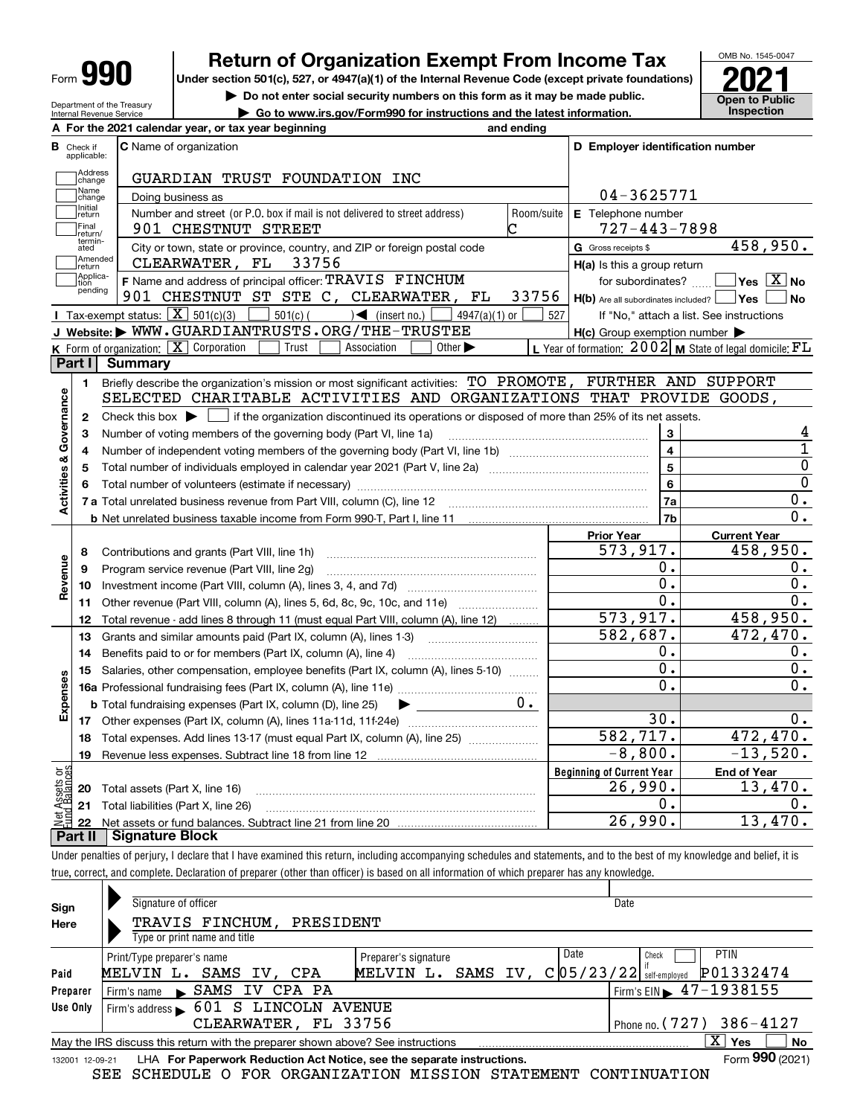| Form |
|------|
|------|

## **Return of Organization Exempt From Income Tax**

Under section 501(c), 527, or 4947(a)(1) of the Internal Revenue Code (except private foundations) **2021** 

**| Do not enter social security numbers on this form as it may be made public.**

**| Go to www.irs.gov/Form990 for instructions and the latest information. Inspection**



Department of the Treasury Internal Revenue Service **A**

|                         |                    | A For the 2021 calendar year, or tax year beginning                                                                   | and ending |                                                     |                                                             |
|-------------------------|--------------------|-----------------------------------------------------------------------------------------------------------------------|------------|-----------------------------------------------------|-------------------------------------------------------------|
| В<br>Check if           | applicable:        | <b>C</b> Name of organization                                                                                         |            | D Employer identification number                    |                                                             |
|                         | Address<br>change  | GUARDIAN TRUST FOUNDATION INC                                                                                         |            |                                                     |                                                             |
|                         | Name<br>change     | Doing business as                                                                                                     |            | 04-3625771                                          |                                                             |
|                         | Initial<br>return  | Number and street (or P.O. box if mail is not delivered to street address)                                            | Room/suite | E Telephone number                                  |                                                             |
|                         | Final<br>return/   | 901 CHESTNUT STREET                                                                                                   | C          | $727 - 443 - 7898$                                  |                                                             |
|                         | termin-<br>ated    | City or town, state or province, country, and ZIP or foreign postal code                                              |            | G Gross receipts \$                                 | 458,950.                                                    |
|                         | Amended<br>∣return | CLEARWATER, FL<br>33756                                                                                               |            | H(a) Is this a group return                         |                                                             |
|                         | Applica-<br>tion   | F Name and address of principal officer: TRAVIS FINCHUM                                                               |            | for subordinates?                                   | $\overline{\mathsf{Yes} \mathbb{X}}$ No                     |
|                         | pending            | 901 CHESTNUT ST STE C, CLEARWATER, FL                                                                                 | 33756      | $H(b)$ Are all subordinates included?               | Yes <br>l No                                                |
|                         |                    | Tax-exempt status: $\boxed{\mathbf{X}}$ 501(c)(3)<br>$\mathcal{A}$ (insert no.) [<br>4947(a)(1) or<br>501(c) (        | 527        |                                                     | If "No," attach a list. See instructions                    |
|                         |                    | J Website: WWW.GUARDIANTRUSTS.ORG/THE-TRUSTEE                                                                         |            | $H(c)$ Group exemption number $\blacktriangleright$ |                                                             |
|                         |                    | K Form of organization: $\boxed{\mathbf{X}}$ Corporation<br>Trust<br>Other $\blacktriangleright$<br>Association       |            |                                                     | L Year of formation: $2002$ M State of legal domicile: $FL$ |
| Part I                  |                    | <b>Summary</b>                                                                                                        |            |                                                     |                                                             |
|                         | 1.                 | Briefly describe the organization's mission or most significant activities: TO_PROMOTE, FURTHER AND SUPPORT           |            |                                                     |                                                             |
|                         |                    | SELECTED CHARITABLE ACTIVITIES AND ORGANIZATIONS THAT PROVIDE GOODS,                                                  |            |                                                     |                                                             |
|                         | 2                  |                                                                                                                       |            |                                                     |                                                             |
|                         | з                  | Number of voting members of the governing body (Part VI, line 1a)                                                     |            | 3                                                   | 4                                                           |
|                         | 4                  |                                                                                                                       |            | $\overline{\mathbf{4}}$                             | 1                                                           |
|                         | 5                  |                                                                                                                       |            | $\overline{5}$                                      | 0                                                           |
|                         | 6                  |                                                                                                                       |            | 6                                                   | 0                                                           |
| Activities & Governance |                    |                                                                                                                       |            | 7a                                                  | $0$ .                                                       |
|                         |                    |                                                                                                                       |            | 7b                                                  | 0.                                                          |
|                         |                    |                                                                                                                       |            | <b>Prior Year</b>                                   | <b>Current Year</b>                                         |
|                         | 8                  | Contributions and grants (Part VIII, line 1h)                                                                         |            | 573, 917.                                           | 458,950.                                                    |
| 9                       |                    | Program service revenue (Part VIII, line 2g)                                                                          |            | 0.                                                  | 0.                                                          |
| Revenue                 | 10                 |                                                                                                                       |            | о.                                                  | $0$ .                                                       |
|                         | 11                 | Other revenue (Part VIII, column (A), lines 5, 6d, 8c, 9c, 10c, and 11e)                                              |            | $0$ .                                               | 0.                                                          |
|                         | 12                 | Total revenue - add lines 8 through 11 (must equal Part VIII, column (A), line 12)                                    |            | 573,917.                                            | 458,950.                                                    |
|                         | 13                 | Grants and similar amounts paid (Part IX, column (A), lines 1-3)                                                      |            | $\overline{582,687}$ .                              | 472, 470.                                                   |
|                         | 14                 | Benefits paid to or for members (Part IX, column (A), line 4)                                                         |            | О.                                                  | 0.                                                          |
|                         | 15                 | Salaries, other compensation, employee benefits (Part IX, column (A), lines 5-10)                                     |            | 0.                                                  | 0.                                                          |
|                         |                    |                                                                                                                       |            | 0.                                                  | 0.                                                          |
| Expenses                |                    | <b>b</b> Total fundraising expenses (Part IX, column (D), line 25)<br>$\blacktriangleright$ and $\blacktriangleright$ |            |                                                     |                                                             |
|                         |                    |                                                                                                                       |            | 30.                                                 | 0.                                                          |
|                         | 18                 | Total expenses. Add lines 13-17 (must equal Part IX, column (A), line 25)                                             |            | 582,717.                                            | 472,470.                                                    |
|                         | 19                 |                                                                                                                       |            | $-8,800.$                                           | $-13,520.$                                                  |
| ăğ                      |                    |                                                                                                                       |            | <b>Beginning of Current Year</b>                    | <b>End of Year</b>                                          |
| $\overline{\omega}$     |                    | 20 Total assets (Part X, line 16)                                                                                     |            | 26,990.                                             | 13,470.                                                     |
|                         |                    | 21 Total liabilities (Part X, line 26)                                                                                |            | 0.                                                  | 0.                                                          |
|                         | 22                 |                                                                                                                       |            | $\overline{26,990}$ .                               | 13,470.                                                     |
| Part II                 |                    | <b>Signature Block</b>                                                                                                |            |                                                     |                                                             |

true, correct, and complete. Declaration of preparer (other than officer) is based on all information of which preparer has any knowledge.

| Sign            | Signature of officer                                                            |                       | Date                                        |    |
|-----------------|---------------------------------------------------------------------------------|-----------------------|---------------------------------------------|----|
| Here            | TRAVIS FINCHUM,<br>PRESIDENT                                                    |                       |                                             |    |
|                 | Type or print name and title                                                    |                       |                                             |    |
|                 | Print/Type preparer's name                                                      | Preparer's signature  | Date<br>PTIN<br>Check                       |    |
| Paid            | SAMS<br>MELVIN L.<br>IV. CPA                                                    | SAMS IV,<br>MELVIN L. | P01332474<br>$C$  05/23/22  self-employed   |    |
| Preparer        | IV CPA PA<br>SAMS<br>Firm's name<br>$\mathbf{r}$                                |                       | Firm's EIN $\blacktriangleright$ 47-1938155 |    |
| Use Only        | Firm's address 601 S LINCOLN AVENUE                                             |                       |                                             |    |
|                 | CLEARWATER, FL 33756                                                            |                       | Phone no. $(727)$ 386-4127                  |    |
|                 | May the IRS discuss this return with the preparer shown above? See instructions |                       | x<br>Yes                                    | No |
| 132001 12-09-21 | LHA For Paperwork Reduction Act Notice, see the separate instructions.          |                       | Form 990 (2021)                             |    |

SEE SCHEDULE O FOR ORGANIZATION MISSION STATEMENT CONTINUATION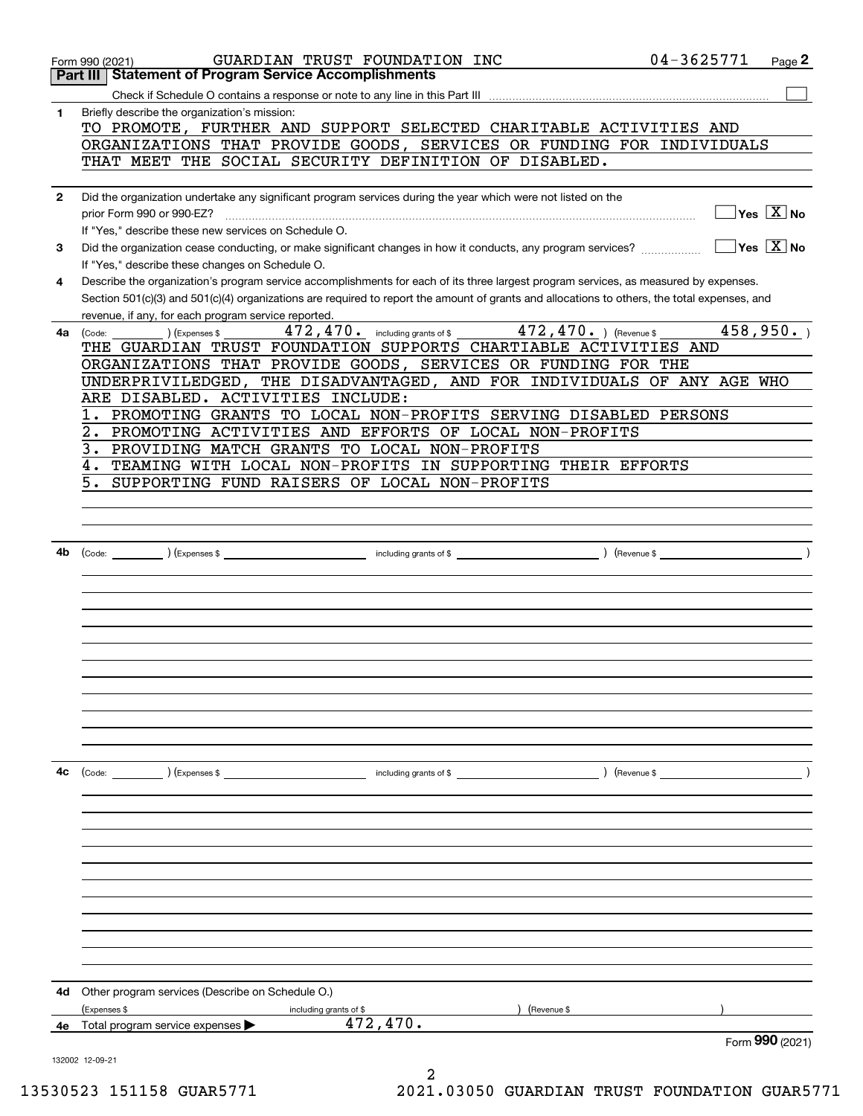|              | GUARDIAN TRUST FOUNDATION INC<br>Form 990 (2021)<br><b>Statement of Program Service Accomplishments</b><br>Part III                                                                                                                                                                                                                         | 04-3625771     | Page 2                                    |
|--------------|---------------------------------------------------------------------------------------------------------------------------------------------------------------------------------------------------------------------------------------------------------------------------------------------------------------------------------------------|----------------|-------------------------------------------|
|              |                                                                                                                                                                                                                                                                                                                                             |                |                                           |
| 1            | Briefly describe the organization's mission:<br>TO PROMOTE, FURTHER AND SUPPORT SELECTED CHARITABLE ACTIVITIES AND<br>ORGANIZATIONS THAT PROVIDE GOODS, SERVICES OR FUNDING FOR INDIVIDUALS                                                                                                                                                 |                |                                           |
|              | THAT MEET THE SOCIAL SECURITY DEFINITION OF DISABLED.                                                                                                                                                                                                                                                                                       |                |                                           |
| $\mathbf{2}$ | Did the organization undertake any significant program services during the year which were not listed on the<br>prior Form 990 or 990-EZ?<br>If "Yes," describe these new services on Schedule O.                                                                                                                                           |                | $\overline{\ }$ Yes $\overline{\ \ X}$ No |
| 3            | Did the organization cease conducting, or make significant changes in how it conducts, any program services?<br>If "Yes," describe these changes on Schedule O.                                                                                                                                                                             |                | $\Box$ Yes $\overline{X}$ No              |
| 4            | Describe the organization's program service accomplishments for each of its three largest program services, as measured by expenses.<br>Section 501(c)(3) and 501(c)(4) organizations are required to report the amount of grants and allocations to others, the total expenses, and<br>revenue, if any, for each program service reported. |                |                                           |
| 4a l         | 472, 470. including grants of \$472, 470. ) (Revenue \$<br>) (Expenses \$<br>(Code:                                                                                                                                                                                                                                                         |                | 458,950.                                  |
|              | THE GUARDIAN TRUST FOUNDATION SUPPORTS CHARTIABLE ACTIVITIES AND                                                                                                                                                                                                                                                                            |                |                                           |
|              | ORGANIZATIONS THAT PROVIDE GOODS, SERVICES OR FUNDING FOR THE                                                                                                                                                                                                                                                                               |                |                                           |
|              | UNDERPRIVILEDGED, THE DISADVANTAGED, AND FOR INDIVIDUALS OF ANY AGE WHO                                                                                                                                                                                                                                                                     |                |                                           |
|              | ARE DISABLED. ACTIVITIES INCLUDE:                                                                                                                                                                                                                                                                                                           |                |                                           |
|              | PROMOTING GRANTS TO LOCAL NON-PROFITS SERVING DISABLED PERSONS                                                                                                                                                                                                                                                                              |                |                                           |
|              | PROMOTING ACTIVITIES AND EFFORTS OF LOCAL NON-PROFITS<br>2.                                                                                                                                                                                                                                                                                 |                |                                           |
|              | 3.<br>PROVIDING MATCH GRANTS TO LOCAL NON-PROFITS                                                                                                                                                                                                                                                                                           |                |                                           |
|              | TEAMING WITH LOCAL NON-PROFITS IN SUPPORTING THEIR EFFORTS<br>4.                                                                                                                                                                                                                                                                            |                |                                           |
|              | SUPPORTING FUND RAISERS OF LOCAL NON-PROFITS<br>5.                                                                                                                                                                                                                                                                                          |                |                                           |
|              |                                                                                                                                                                                                                                                                                                                                             |                |                                           |
|              |                                                                                                                                                                                                                                                                                                                                             |                |                                           |
|              |                                                                                                                                                                                                                                                                                                                                             |                |                                           |
| 4b           |                                                                                                                                                                                                                                                                                                                                             | $($ Revenue \$ |                                           |
|              |                                                                                                                                                                                                                                                                                                                                             |                |                                           |
|              |                                                                                                                                                                                                                                                                                                                                             |                |                                           |
|              |                                                                                                                                                                                                                                                                                                                                             |                |                                           |
|              |                                                                                                                                                                                                                                                                                                                                             |                |                                           |
|              |                                                                                                                                                                                                                                                                                                                                             |                |                                           |
|              |                                                                                                                                                                                                                                                                                                                                             |                |                                           |
|              |                                                                                                                                                                                                                                                                                                                                             |                |                                           |
|              |                                                                                                                                                                                                                                                                                                                                             |                |                                           |
|              |                                                                                                                                                                                                                                                                                                                                             |                |                                           |
|              |                                                                                                                                                                                                                                                                                                                                             |                |                                           |
|              |                                                                                                                                                                                                                                                                                                                                             |                |                                           |
|              |                                                                                                                                                                                                                                                                                                                                             |                |                                           |
| 4с           | $\text{(Code:}$ $\qquad \qquad$ $\text{(Expenses $}$<br>including grants of \$                                                                                                                                                                                                                                                              | $($ Revenue \$ |                                           |
|              |                                                                                                                                                                                                                                                                                                                                             |                |                                           |
|              |                                                                                                                                                                                                                                                                                                                                             |                |                                           |
|              |                                                                                                                                                                                                                                                                                                                                             |                |                                           |
|              |                                                                                                                                                                                                                                                                                                                                             |                |                                           |
|              |                                                                                                                                                                                                                                                                                                                                             |                |                                           |
|              |                                                                                                                                                                                                                                                                                                                                             |                |                                           |
|              |                                                                                                                                                                                                                                                                                                                                             |                |                                           |
|              |                                                                                                                                                                                                                                                                                                                                             |                |                                           |
|              |                                                                                                                                                                                                                                                                                                                                             |                |                                           |
|              |                                                                                                                                                                                                                                                                                                                                             |                |                                           |
|              |                                                                                                                                                                                                                                                                                                                                             |                |                                           |
|              |                                                                                                                                                                                                                                                                                                                                             |                |                                           |
| 4d           | Other program services (Describe on Schedule O.)                                                                                                                                                                                                                                                                                            |                |                                           |
|              | (Expenses \$<br>(Revenue \$<br>including grants of \$                                                                                                                                                                                                                                                                                       |                |                                           |
| 4е           | 472,470.<br>Total program service expenses                                                                                                                                                                                                                                                                                                  |                |                                           |
|              |                                                                                                                                                                                                                                                                                                                                             |                | Form $990$ (2021)                         |
|              | 132002 12-09-21                                                                                                                                                                                                                                                                                                                             |                |                                           |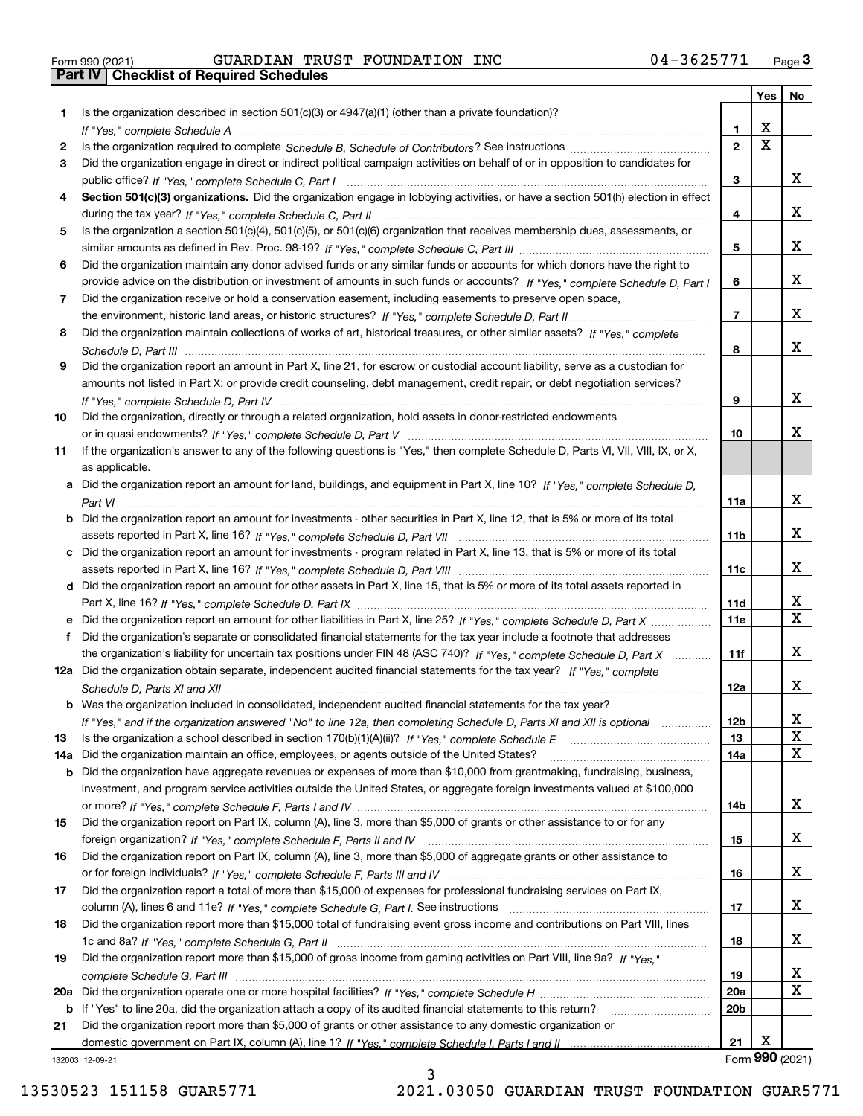| Form 990 (2021) |  |  |
|-----------------|--|--|

# Form 990 (2021) Page **3Part IV Checklist of Required Schedules** GUARDIAN TRUST FOUNDATION INC 04-3625771

|     |                                                                                                                                                     |                 | Yes                     | No              |
|-----|-----------------------------------------------------------------------------------------------------------------------------------------------------|-----------------|-------------------------|-----------------|
| 1.  | Is the organization described in section $501(c)(3)$ or $4947(a)(1)$ (other than a private foundation)?                                             |                 |                         |                 |
|     |                                                                                                                                                     | 1.              | X                       |                 |
| 2   |                                                                                                                                                     | $\overline{2}$  | $\overline{\mathbf{x}}$ |                 |
| 3   | Did the organization engage in direct or indirect political campaign activities on behalf of or in opposition to candidates for                     |                 |                         |                 |
|     |                                                                                                                                                     | 3               |                         | x               |
| 4   | Section 501(c)(3) organizations. Did the organization engage in lobbying activities, or have a section 501(h) election in effect                    |                 |                         |                 |
|     |                                                                                                                                                     | 4               |                         | x               |
| 5   | Is the organization a section 501(c)(4), 501(c)(5), or 501(c)(6) organization that receives membership dues, assessments, or                        |                 |                         |                 |
|     |                                                                                                                                                     | 5               |                         | x               |
| 6   | Did the organization maintain any donor advised funds or any similar funds or accounts for which donors have the right to                           |                 |                         |                 |
|     | provide advice on the distribution or investment of amounts in such funds or accounts? If "Yes," complete Schedule D, Part I                        | 6               |                         | x               |
| 7   | Did the organization receive or hold a conservation easement, including easements to preserve open space,                                           |                 |                         |                 |
|     |                                                                                                                                                     | $\overline{7}$  |                         | x               |
| 8   | Did the organization maintain collections of works of art, historical treasures, or other similar assets? If "Yes," complete                        |                 |                         | x               |
|     |                                                                                                                                                     | 8               |                         |                 |
| 9   | Did the organization report an amount in Part X, line 21, for escrow or custodial account liability, serve as a custodian for                       |                 |                         |                 |
|     | amounts not listed in Part X; or provide credit counseling, debt management, credit repair, or debt negotiation services?                           |                 |                         | x               |
|     |                                                                                                                                                     | 9               |                         |                 |
| 10  | Did the organization, directly or through a related organization, hold assets in donor-restricted endowments                                        | 10              |                         | x               |
| 11  |                                                                                                                                                     |                 |                         |                 |
|     | If the organization's answer to any of the following questions is "Yes," then complete Schedule D, Parts VI, VII, VIII, IX, or X,<br>as applicable. |                 |                         |                 |
|     | a Did the organization report an amount for land, buildings, and equipment in Part X, line 10? If "Yes," complete Schedule D,                       |                 |                         |                 |
|     |                                                                                                                                                     | 11a             |                         | x               |
|     | b Did the organization report an amount for investments - other securities in Part X, line 12, that is 5% or more of its total                      |                 |                         |                 |
|     |                                                                                                                                                     | 11 <sub>b</sub> |                         | x               |
|     | c Did the organization report an amount for investments - program related in Part X, line 13, that is 5% or more of its total                       |                 |                         |                 |
|     |                                                                                                                                                     | 11c             |                         | x               |
|     | d Did the organization report an amount for other assets in Part X, line 15, that is 5% or more of its total assets reported in                     |                 |                         |                 |
|     |                                                                                                                                                     | 11d             |                         | X               |
|     | e Did the organization report an amount for other liabilities in Part X, line 25? If "Yes," complete Schedule D, Part X                             | 11e             |                         | $\mathbf X$     |
|     | Did the organization's separate or consolidated financial statements for the tax year include a footnote that addresses                             |                 |                         |                 |
|     | the organization's liability for uncertain tax positions under FIN 48 (ASC 740)? If "Yes," complete Schedule D, Part X                              | 11f             |                         | x               |
|     | 12a Did the organization obtain separate, independent audited financial statements for the tax year? If "Yes," complete                             |                 |                         |                 |
|     |                                                                                                                                                     | 12a             |                         | x               |
|     | b Was the organization included in consolidated, independent audited financial statements for the tax year?                                         |                 |                         |                 |
|     | If "Yes," and if the organization answered "No" to line 12a, then completing Schedule D, Parts XI and XII is optional metallion                     | 12b             |                         | X               |
| 13  |                                                                                                                                                     | 13              |                         | $\mathbf X$     |
| 14a | Did the organization maintain an office, employees, or agents outside of the United States?                                                         | 14a             |                         | X               |
|     | <b>b</b> Did the organization have aggregate revenues or expenses of more than \$10,000 from grantmaking, fundraising, business,                    |                 |                         |                 |
|     | investment, and program service activities outside the United States, or aggregate foreign investments valued at \$100,000                          |                 |                         |                 |
|     |                                                                                                                                                     | 14b             |                         | x               |
| 15  | Did the organization report on Part IX, column (A), line 3, more than \$5,000 of grants or other assistance to or for any                           |                 |                         |                 |
|     |                                                                                                                                                     | 15              |                         | x               |
| 16  | Did the organization report on Part IX, column (A), line 3, more than \$5,000 of aggregate grants or other assistance to                            |                 |                         |                 |
|     |                                                                                                                                                     | 16              |                         | x               |
| 17  | Did the organization report a total of more than \$15,000 of expenses for professional fundraising services on Part IX,                             |                 |                         |                 |
|     |                                                                                                                                                     | 17              |                         | x               |
| 18  | Did the organization report more than \$15,000 total of fundraising event gross income and contributions on Part VIII, lines                        |                 |                         |                 |
|     |                                                                                                                                                     | 18              |                         | x               |
| 19  | Did the organization report more than \$15,000 of gross income from gaming activities on Part VIII, line 9a? If "Yes."                              |                 |                         |                 |
|     |                                                                                                                                                     | 19              |                         | X,              |
|     |                                                                                                                                                     | 20a             |                         | X               |
|     | b If "Yes" to line 20a, did the organization attach a copy of its audited financial statements to this return?                                      | 20 <sub>b</sub> |                         |                 |
| 21  | Did the organization report more than \$5,000 of grants or other assistance to any domestic organization or                                         |                 |                         |                 |
|     |                                                                                                                                                     | 21              | х                       |                 |
|     | 132003 12-09-21                                                                                                                                     |                 |                         | Form 990 (2021) |

132003 12-09-21

3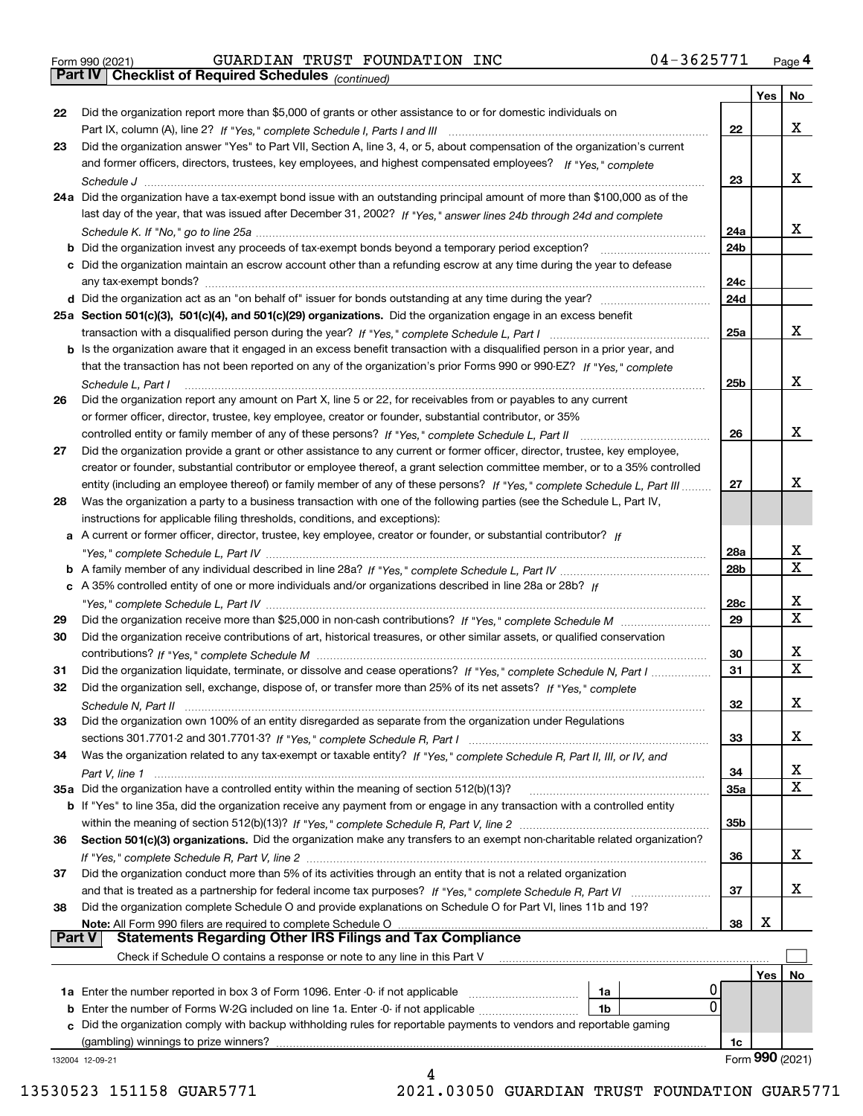|  | Form 990 (2021) |
|--|-----------------|

*(continued)*

|               |                                                                                                                                       |                 | Yes | No                |
|---------------|---------------------------------------------------------------------------------------------------------------------------------------|-----------------|-----|-------------------|
| 22            | Did the organization report more than \$5,000 of grants or other assistance to or for domestic individuals on                         |                 |     |                   |
|               |                                                                                                                                       | 22              |     | х                 |
| 23            | Did the organization answer "Yes" to Part VII, Section A, line 3, 4, or 5, about compensation of the organization's current           |                 |     |                   |
|               | and former officers, directors, trustees, key employees, and highest compensated employees? If "Yes," complete                        |                 |     |                   |
|               |                                                                                                                                       | 23              |     | х                 |
|               | 24a Did the organization have a tax-exempt bond issue with an outstanding principal amount of more than \$100,000 as of the           |                 |     |                   |
|               | last day of the year, that was issued after December 31, 2002? If "Yes," answer lines 24b through 24d and complete                    |                 |     |                   |
|               |                                                                                                                                       | 24a             |     | х                 |
|               | <b>b</b> Did the organization invest any proceeds of tax-exempt bonds beyond a temporary period exception?                            | 24 <sub>b</sub> |     |                   |
|               | c Did the organization maintain an escrow account other than a refunding escrow at any time during the year to defease                |                 |     |                   |
|               |                                                                                                                                       | 24c             |     |                   |
|               |                                                                                                                                       | 24d             |     |                   |
|               | 25a Section 501(c)(3), 501(c)(4), and 501(c)(29) organizations. Did the organization engage in an excess benefit                      |                 |     |                   |
|               |                                                                                                                                       | 25a             |     | х                 |
|               | b Is the organization aware that it engaged in an excess benefit transaction with a disqualified person in a prior year, and          |                 |     |                   |
|               | that the transaction has not been reported on any of the organization's prior Forms 990 or 990-EZ? If "Yes," complete                 |                 |     |                   |
|               |                                                                                                                                       | 25 <sub>b</sub> |     | х                 |
|               | Schedule L, Part I<br>Did the organization report any amount on Part X, line 5 or 22, for receivables from or payables to any current |                 |     |                   |
| 26            |                                                                                                                                       |                 |     |                   |
|               | or former officer, director, trustee, key employee, creator or founder, substantial contributor, or 35%                               |                 |     | х                 |
|               |                                                                                                                                       | 26              |     |                   |
| 27            | Did the organization provide a grant or other assistance to any current or former officer, director, trustee, key employee,           |                 |     |                   |
|               | creator or founder, substantial contributor or employee thereof, a grant selection committee member, or to a 35% controlled           |                 |     | х                 |
|               | entity (including an employee thereof) or family member of any of these persons? If "Yes," complete Schedule L, Part III              | 27              |     |                   |
| 28            | Was the organization a party to a business transaction with one of the following parties (see the Schedule L, Part IV,                |                 |     |                   |
|               | instructions for applicable filing thresholds, conditions, and exceptions):                                                           |                 |     |                   |
|               | a A current or former officer, director, trustee, key employee, creator or founder, or substantial contributor? If                    |                 |     |                   |
|               |                                                                                                                                       | 28a             |     | х<br>$\mathbf x$  |
|               |                                                                                                                                       | 28b             |     |                   |
|               | c A 35% controlled entity of one or more individuals and/or organizations described in line 28a or 28b? If                            |                 |     |                   |
|               |                                                                                                                                       | 28c             |     | х<br>$\mathbf{x}$ |
| 29            |                                                                                                                                       | 29              |     |                   |
| 30            | Did the organization receive contributions of art, historical treasures, or other similar assets, or qualified conservation           |                 |     |                   |
|               |                                                                                                                                       | 30              |     | х                 |
| 31            | Did the organization liquidate, terminate, or dissolve and cease operations? If "Yes," complete Schedule N, Part I                    | 31              |     | $\mathbf x$       |
| 32            | Did the organization sell, exchange, dispose of, or transfer more than 25% of its net assets? If "Yes," complete                      |                 |     |                   |
|               |                                                                                                                                       | 32              |     | х                 |
| 33            | Did the organization own 100% of an entity disregarded as separate from the organization under Regulations                            |                 |     |                   |
|               |                                                                                                                                       | 33              |     | х                 |
| 34            | Was the organization related to any tax-exempt or taxable entity? If "Yes," complete Schedule R, Part II, III, or IV, and             |                 |     |                   |
|               |                                                                                                                                       | 34              |     | x                 |
|               | 35a Did the organization have a controlled entity within the meaning of section 512(b)(13)?                                           | 35а             |     | X                 |
|               | <b>b</b> If "Yes" to line 35a, did the organization receive any payment from or engage in any transaction with a controlled entity    |                 |     |                   |
|               |                                                                                                                                       | 35b             |     |                   |
| 36            | Section 501(c)(3) organizations. Did the organization make any transfers to an exempt non-charitable related organization?            |                 |     |                   |
|               |                                                                                                                                       | 36              |     | x                 |
| 37            | Did the organization conduct more than 5% of its activities through an entity that is not a related organization                      |                 |     |                   |
|               |                                                                                                                                       | 37              |     | х                 |
| 38            | Did the organization complete Schedule O and provide explanations on Schedule O for Part VI, lines 11b and 19?                        |                 |     |                   |
|               | Note: All Form 990 filers are required to complete Schedule O                                                                         | 38              | х   |                   |
| <b>Part V</b> | <b>Statements Regarding Other IRS Filings and Tax Compliance</b>                                                                      |                 |     |                   |
|               | Check if Schedule O contains a response or note to any line in this Part V                                                            |                 |     |                   |
|               |                                                                                                                                       |                 | Yes | No                |
|               | 1a                                                                                                                                    |                 |     |                   |
|               | 0<br>1b                                                                                                                               |                 |     |                   |
|               | c Did the organization comply with backup withholding rules for reportable payments to vendors and reportable gaming                  |                 |     |                   |
|               | (gambling) winnings to prize winners?                                                                                                 | 1c              |     |                   |
|               | 132004 12-09-21                                                                                                                       |                 |     | Form 990 (2021)   |
|               | 4                                                                                                                                     |                 |     |                   |

13530523 151158 GUAR5771 2021.03050 GUARDIAN TRUST FOUNDATION GUAR5771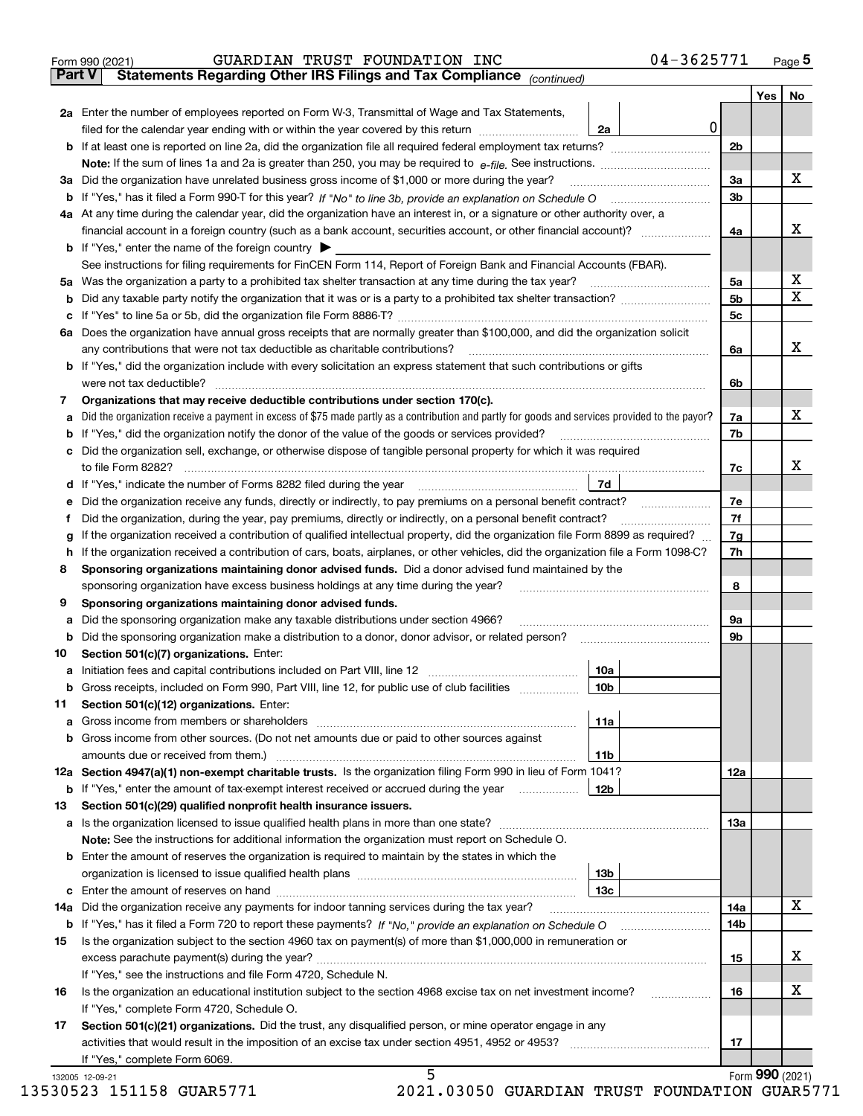|               | GUARDIAN TRUST FOUNDATION INC<br>Form 990 (2021)                                                                                                | 04-3625771 |                      |                 | $_{\text{Page}}$ 5 |
|---------------|-------------------------------------------------------------------------------------------------------------------------------------------------|------------|----------------------|-----------------|--------------------|
| <b>Part V</b> | Statements Regarding Other IRS Filings and Tax Compliance (continued)                                                                           |            |                      |                 |                    |
|               |                                                                                                                                                 |            |                      | Yes             | No                 |
|               | 2a Enter the number of employees reported on Form W-3, Transmittal of Wage and Tax Statements,                                                  |            |                      |                 |                    |
|               | filed for the calendar year ending with or within the year covered by this return<br>2a                                                         | $\pmb{0}$  |                      |                 |                    |
|               |                                                                                                                                                 |            | 2b                   |                 |                    |
|               |                                                                                                                                                 |            |                      |                 |                    |
|               | 3a Did the organization have unrelated business gross income of \$1,000 or more during the year?                                                |            | 3a                   |                 | х                  |
|               |                                                                                                                                                 |            | 3b                   |                 |                    |
|               | 4a At any time during the calendar year, did the organization have an interest in, or a signature or other authority over, a                    |            |                      |                 |                    |
|               |                                                                                                                                                 |            | 4a                   |                 | х                  |
|               | <b>b</b> If "Yes," enter the name of the foreign country $\blacktriangleright$                                                                  |            |                      |                 |                    |
|               | See instructions for filing requirements for FinCEN Form 114, Report of Foreign Bank and Financial Accounts (FBAR).                             |            |                      |                 |                    |
|               | Was the organization a party to a prohibited tax shelter transaction at any time during the tax year?                                           |            |                      |                 | х                  |
| 5a            |                                                                                                                                                 |            | 5а<br>5 <sub>b</sub> |                 | X                  |
| b             |                                                                                                                                                 |            |                      |                 |                    |
| с             |                                                                                                                                                 |            | 5c                   |                 |                    |
|               | 6a Does the organization have annual gross receipts that are normally greater than \$100,000, and did the organization solicit                  |            |                      |                 |                    |
|               | any contributions that were not tax deductible as charitable contributions? [[[[[[[[[[[[[[[[[[[[[[[]]]]]]]]]]]                                  |            | 6a                   |                 | х                  |
|               | <b>b</b> If "Yes," did the organization include with every solicitation an express statement that such contributions or gifts                   |            |                      |                 |                    |
|               |                                                                                                                                                 |            | 6b                   |                 |                    |
| 7             | Organizations that may receive deductible contributions under section 170(c).                                                                   |            |                      |                 |                    |
| а             | Did the organization receive a payment in excess of \$75 made partly as a contribution and partly for goods and services provided to the payor? |            | 7a                   |                 | х                  |
| b             | If "Yes," did the organization notify the donor of the value of the goods or services provided?                                                 |            | 7b                   |                 |                    |
| с             | Did the organization sell, exchange, or otherwise dispose of tangible personal property for which it was required                               |            |                      |                 |                    |
|               |                                                                                                                                                 |            | 7c                   |                 | x                  |
| d             | 7d                                                                                                                                              |            |                      |                 |                    |
| е             |                                                                                                                                                 |            | 7e                   |                 |                    |
| f             | Did the organization, during the year, pay premiums, directly or indirectly, on a personal benefit contract?                                    |            | 7f                   |                 |                    |
| g             | If the organization received a contribution of qualified intellectual property, did the organization file Form 8899 as required?                |            | 7g                   |                 |                    |
| h             | If the organization received a contribution of cars, boats, airplanes, or other vehicles, did the organization file a Form 1098-C?              |            | 7h                   |                 |                    |
| 8             | Sponsoring organizations maintaining donor advised funds. Did a donor advised fund maintained by the                                            |            |                      |                 |                    |
|               | sponsoring organization have excess business holdings at any time during the year?                                                              |            | 8                    |                 |                    |
| 9             | Sponsoring organizations maintaining donor advised funds.                                                                                       |            |                      |                 |                    |
| а             | Did the sponsoring organization make any taxable distributions under section 4966?                                                              |            | 9а                   |                 |                    |
| b             | Did the sponsoring organization make a distribution to a donor, donor advisor, or related person?                                               |            | 9b                   |                 |                    |
| 10            | Section 501(c)(7) organizations. Enter:                                                                                                         |            |                      |                 |                    |
|               | 10a                                                                                                                                             |            |                      |                 |                    |
|               | 10b <br>Gross receipts, included on Form 990, Part VIII, line 12, for public use of club facilities                                             |            |                      |                 |                    |
| 11            | Section 501(c)(12) organizations. Enter:                                                                                                        |            |                      |                 |                    |
|               |                                                                                                                                                 |            |                      |                 |                    |
| а             | 11a                                                                                                                                             |            |                      |                 |                    |
| b             | Gross income from other sources. (Do not net amounts due or paid to other sources against                                                       |            |                      |                 |                    |
|               | 11b                                                                                                                                             |            |                      |                 |                    |
|               | 12a Section 4947(a)(1) non-exempt charitable trusts. Is the organization filing Form 990 in lieu of Form 1041?                                  |            | 12a                  |                 |                    |
|               | 12b<br><b>b</b> If "Yes," enter the amount of tax-exempt interest received or accrued during the year <i>manument</i>                           |            |                      |                 |                    |
| 13            | Section 501(c)(29) qualified nonprofit health insurance issuers.                                                                                |            |                      |                 |                    |
| а             | Is the organization licensed to issue qualified health plans in more than one state?                                                            |            | 13a                  |                 |                    |
|               | Note: See the instructions for additional information the organization must report on Schedule O.                                               |            |                      |                 |                    |
| b             | Enter the amount of reserves the organization is required to maintain by the states in which the                                                |            |                      |                 |                    |
|               | 13 <sub>b</sub>                                                                                                                                 |            |                      |                 |                    |
| c             | 13c                                                                                                                                             |            |                      |                 |                    |
| 14a           | Did the organization receive any payments for indoor tanning services during the tax year?                                                      |            | 14a                  |                 | X                  |
|               | <b>b</b> If "Yes," has it filed a Form 720 to report these payments? If "No," provide an explanation on Schedule O                              |            | 14b                  |                 |                    |
| 15            | Is the organization subject to the section 4960 tax on payment(s) of more than \$1,000,000 in remuneration or                                   |            |                      |                 |                    |
|               |                                                                                                                                                 |            | 15                   |                 | х                  |
|               | If "Yes," see the instructions and file Form 4720, Schedule N.                                                                                  |            |                      |                 |                    |
| 16            | Is the organization an educational institution subject to the section 4968 excise tax on net investment income?                                 |            | 16                   |                 | х                  |
|               | If "Yes," complete Form 4720, Schedule O.                                                                                                       |            |                      |                 |                    |
| 17            | Section 501(c)(21) organizations. Did the trust, any disqualified person, or mine operator engage in any                                        |            |                      |                 |                    |
|               | activities that would result in the imposition of an excise tax under section 4951, 4952 or 4953?                                               |            | 17                   |                 |                    |
|               | If "Yes," complete Form 6069.                                                                                                                   |            |                      |                 |                    |
|               | 5<br>132005 12-09-21                                                                                                                            |            |                      | Form 990 (2021) |                    |

| 13530523 151158 GUAR5771 |  |
|--------------------------|--|
|                          |  |

 <sup>13530523 151158</sup> GUAR5771 2021.03050 GUARDIAN TRUST FOUNDATION GUAR5771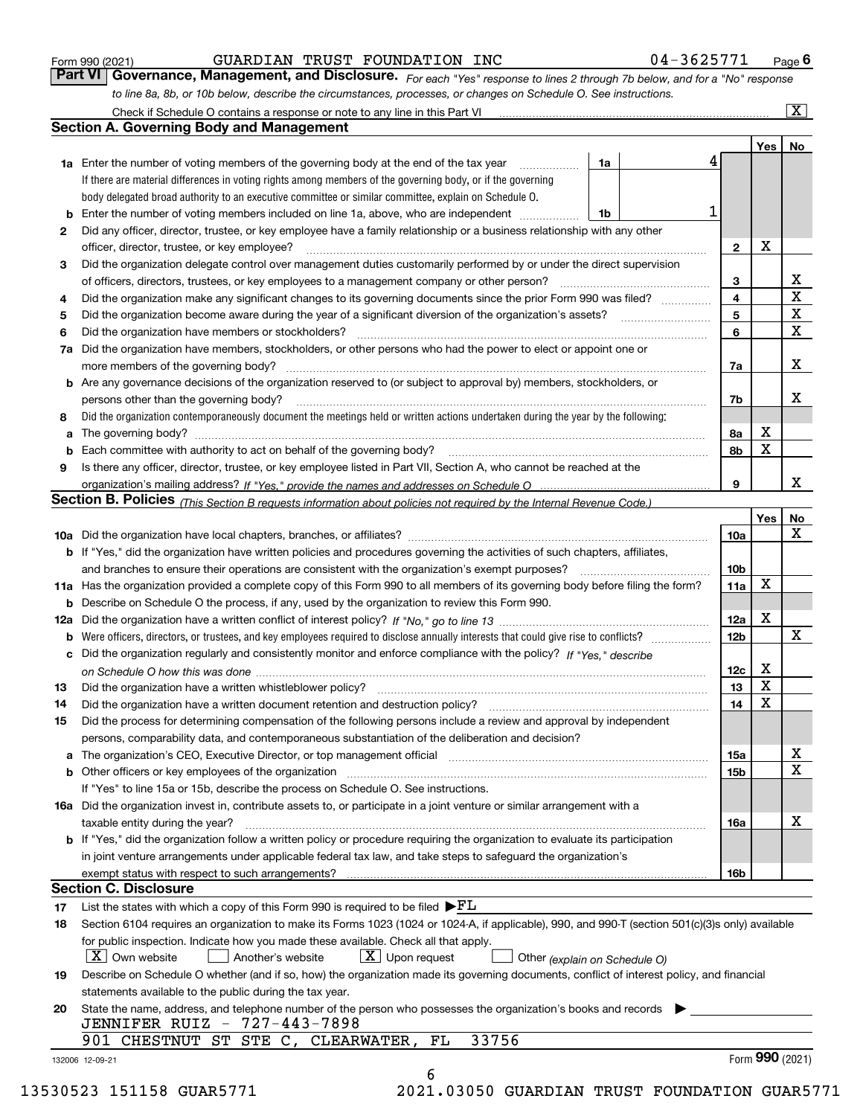|    | Check if Schedule O contains a response or note to any line in this Part VI [11] [12] Check if Schedule O contains a response or note to any line in this Part VI                                                              |    |  |   |                 |             | x                       |
|----|--------------------------------------------------------------------------------------------------------------------------------------------------------------------------------------------------------------------------------|----|--|---|-----------------|-------------|-------------------------|
|    | <b>Section A. Governing Body and Management</b>                                                                                                                                                                                |    |  |   |                 |             |                         |
|    |                                                                                                                                                                                                                                |    |  |   |                 | Yes         | No                      |
|    | <b>1a</b> Enter the number of voting members of the governing body at the end of the tax year<br>.                                                                                                                             | 1a |  | 4 |                 |             |                         |
|    | If there are material differences in voting rights among members of the governing body, or if the governing                                                                                                                    |    |  |   |                 |             |                         |
|    | body delegated broad authority to an executive committee or similar committee, explain on Schedule O.                                                                                                                          |    |  |   |                 |             |                         |
|    | <b>b</b> Enter the number of voting members included on line 1a, above, who are independent <i>manument</i> in                                                                                                                 | 1b |  |   |                 |             |                         |
| 2  | Did any officer, director, trustee, or key employee have a family relationship or a business relationship with any other                                                                                                       |    |  |   |                 |             |                         |
|    | officer, director, trustee, or key employee?                                                                                                                                                                                   |    |  |   | $\mathbf{2}$    | X           |                         |
| З  | Did the organization delegate control over management duties customarily performed by or under the direct supervision                                                                                                          |    |  |   |                 |             |                         |
|    | of officers, directors, trustees, or key employees to a management company or other person?                                                                                                                                    |    |  |   | 3               |             | x                       |
| 4  | Did the organization make any significant changes to its governing documents since the prior Form 990 was filed?                                                                                                               |    |  |   |                 |             | $\overline{\mathbf{x}}$ |
| 5  |                                                                                                                                                                                                                                |    |  |   | 5               |             | X                       |
| 6  | Did the organization have members or stockholders?                                                                                                                                                                             |    |  |   | 6               |             | $\mathbf X$             |
| 7a | Did the organization have members, stockholders, or other persons who had the power to elect or appoint one or                                                                                                                 |    |  |   |                 |             |                         |
|    | more members of the governing body?                                                                                                                                                                                            |    |  |   | 7a              |             | x                       |
|    | <b>b</b> Are any governance decisions of the organization reserved to (or subject to approval by) members, stockholders, or                                                                                                    |    |  |   |                 |             |                         |
|    | persons other than the governing body?                                                                                                                                                                                         |    |  |   | 7b              |             | x                       |
| 8  | Did the organization contemporaneously document the meetings held or written actions undertaken during the year by the following:                                                                                              |    |  |   |                 |             |                         |
|    |                                                                                                                                                                                                                                |    |  |   | 8a              | х           |                         |
|    |                                                                                                                                                                                                                                |    |  |   | 8b              | $\mathbf x$ |                         |
| 9  | Is there any officer, director, trustee, or key employee listed in Part VII, Section A, who cannot be reached at the                                                                                                           |    |  |   |                 |             |                         |
|    |                                                                                                                                                                                                                                |    |  |   | 9               |             | x                       |
|    | Section B. Policies (This Section B requests information about policies not required by the Internal Revenue Code.)                                                                                                            |    |  |   |                 |             |                         |
|    |                                                                                                                                                                                                                                |    |  |   |                 | Yes         | No                      |
|    |                                                                                                                                                                                                                                |    |  |   | 10a             |             | x                       |
|    | b If "Yes," did the organization have written policies and procedures governing the activities of such chapters, affiliates,                                                                                                   |    |  |   |                 |             |                         |
|    | and branches to ensure their operations are consistent with the organization's exempt purposes?                                                                                                                                |    |  |   | 10 <sub>b</sub> |             |                         |
|    | 11a Has the organization provided a complete copy of this Form 990 to all members of its governing body before filing the form?                                                                                                |    |  |   | 11a             | X           |                         |
|    | <b>b</b> Describe on Schedule O the process, if any, used by the organization to review this Form 990.                                                                                                                         |    |  |   |                 |             |                         |
|    |                                                                                                                                                                                                                                |    |  |   | 12a             | X           |                         |
|    |                                                                                                                                                                                                                                |    |  |   | 12 <sub>b</sub> |             | X                       |
|    | c Did the organization regularly and consistently monitor and enforce compliance with the policy? If "Yes," describe                                                                                                           |    |  |   |                 |             |                         |
|    |                                                                                                                                                                                                                                |    |  |   | 12c             | Х           |                         |
| 13 | Did the organization have a written whistleblower policy?                                                                                                                                                                      |    |  |   | 13              | X           |                         |
| 14 | Did the organization have a written document retention and destruction policy?                                                                                                                                                 |    |  |   | 14              | $\mathbf X$ |                         |
| 15 | Did the process for determining compensation of the following persons include a review and approval by independent                                                                                                             |    |  |   |                 |             |                         |
|    | persons, comparability data, and contemporaneous substantiation of the deliberation and decision?                                                                                                                              |    |  |   |                 |             |                         |
|    | a The organization's CEO, Executive Director, or top management official manufactured content content of the organization's CEO, Executive Director, or top management official manufactured content of the state of the state |    |  |   | 15a             |             | х                       |
|    | b Other officers or key employees of the organization manufactured content to the organization manufactured by Other officers or key employees of the organization manufactured content of the organization manufactured by Ot |    |  |   | 15b             |             | X                       |
|    | If "Yes" to line 15a or 15b, describe the process on Schedule O. See instructions.                                                                                                                                             |    |  |   |                 |             |                         |
|    | 16a Did the organization invest in, contribute assets to, or participate in a joint venture or similar arrangement with a                                                                                                      |    |  |   |                 |             |                         |
|    | taxable entity during the year?                                                                                                                                                                                                |    |  |   | 16a             |             | х                       |
|    | b If "Yes," did the organization follow a written policy or procedure requiring the organization to evaluate its participation                                                                                                 |    |  |   |                 |             |                         |
|    | in joint venture arrangements under applicable federal tax law, and take steps to safeguard the organization's                                                                                                                 |    |  |   |                 |             |                         |
|    |                                                                                                                                                                                                                                |    |  |   | 16b             |             |                         |
|    | <b>Section C. Disclosure</b>                                                                                                                                                                                                   |    |  |   |                 |             |                         |
| 17 | List the states with which a copy of this Form 990 is required to be filed $\blacktriangleright$ $\underline{\mathrm{FL}}$                                                                                                     |    |  |   |                 |             |                         |
| 18 | Section 6104 requires an organization to make its Forms 1023 (1024 or 1024-A, if applicable), 990, and 990-T (section 501(c)(3)s only) available                                                                               |    |  |   |                 |             |                         |
|    | for public inspection. Indicate how you made these available. Check all that apply.                                                                                                                                            |    |  |   |                 |             |                         |
|    | $X$ Own website<br>$ \mathbf{X} $ Upon request<br>Another's website<br>Other (explain on Schedule O)                                                                                                                           |    |  |   |                 |             |                         |
| 19 | Describe on Schedule O whether (and if so, how) the organization made its governing documents, conflict of interest policy, and financial                                                                                      |    |  |   |                 |             |                         |
|    | statements available to the public during the tax year.                                                                                                                                                                        |    |  |   |                 |             |                         |
| 20 | State the name, address, and telephone number of the person who possesses the organization's books and records                                                                                                                 |    |  |   |                 |             |                         |
|    | JENNIFER RUIZ - 727-443-7898                                                                                                                                                                                                   |    |  |   |                 |             |                         |
|    | 33756<br>901 CHESTNUT ST STE C, CLEARWATER,<br>FL                                                                                                                                                                              |    |  |   |                 |             |                         |
|    | 132006 12-09-21                                                                                                                                                                                                                |    |  |   |                 |             | Form 990 (2021)         |
|    | 6                                                                                                                                                                                                                              |    |  |   |                 |             |                         |

*to line 8a, 8b, or 10b below, describe the circumstances, processes, or changes on Schedule O. See instructions.*

Form 990 (2021) Page **6Part VI Governance, Management, and Disclosure.** 

GUARDIAN TRUST FOUNDATION INC 04-3625771

13530523 151158 GUAR5771 2021.03050 GUARDIAN TRUST FOUNDATION GUAR5771

*For each "Yes" response to lines 2 through 7b below, and for a "No" response*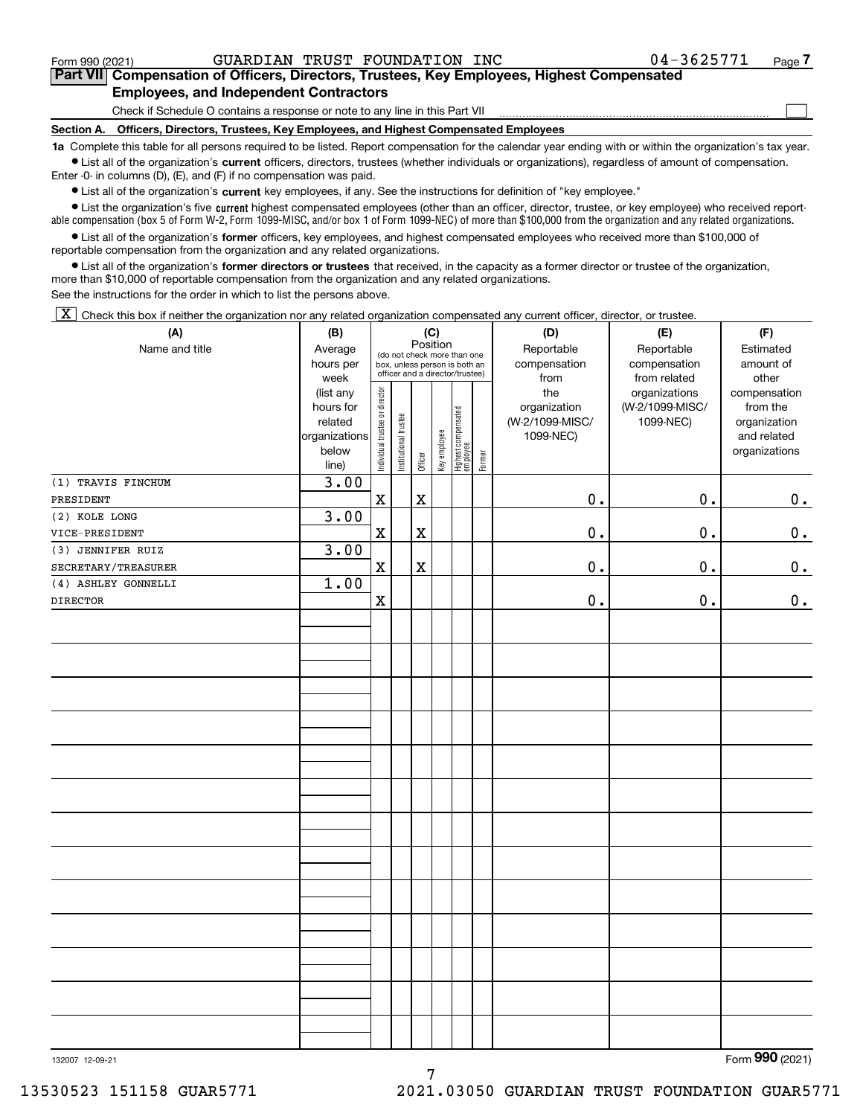$\mathcal{L}^{\text{max}}$ 

### **7Part VII Compensation of Officers, Directors, Trustees, Key Employees, Highest Compensated Employees, and Independent Contractors**

Check if Schedule O contains a response or note to any line in this Part VII

**Section A. Officers, Directors, Trustees, Key Employees, and Highest Compensated Employees**

**1a**  Complete this table for all persons required to be listed. Report compensation for the calendar year ending with or within the organization's tax year. **•** List all of the organization's current officers, directors, trustees (whether individuals or organizations), regardless of amount of compensation.

Enter -0- in columns (D), (E), and (F) if no compensation was paid.

 $\bullet$  List all of the organization's  $\sf current$  key employees, if any. See the instructions for definition of "key employee."

**•** List the organization's five current highest compensated employees (other than an officer, director, trustee, or key employee) who received reportable compensation (box 5 of Form W-2, Form 1099-MISC, and/or box 1 of Form 1099-NEC) of more than \$100,000 from the organization and any related organizations.

**•** List all of the organization's former officers, key employees, and highest compensated employees who received more than \$100,000 of reportable compensation from the organization and any related organizations.

**former directors or trustees**  ¥ List all of the organization's that received, in the capacity as a former director or trustee of the organization, more than \$10,000 of reportable compensation from the organization and any related organizations.

See the instructions for the order in which to list the persons above.

 $\boxed{\textbf{X}}$  Check this box if neither the organization nor any related organization compensated any current officer, director, or trustee.

| (A)                 | (B)                    | (C)                            |                       | (D)         | (E)          | (F)                                                              |        |                     |                                  |                          |
|---------------------|------------------------|--------------------------------|-----------------------|-------------|--------------|------------------------------------------------------------------|--------|---------------------|----------------------------------|--------------------------|
| Name and title      | Average                |                                |                       | Position    |              | (do not check more than one                                      |        | Reportable          | Reportable                       | Estimated                |
|                     | hours per              |                                |                       |             |              | box, unless person is both an<br>officer and a director/trustee) |        | compensation        | compensation                     | amount of                |
|                     | week                   |                                |                       |             |              |                                                                  |        | from                | from related                     | other                    |
|                     | (list any<br>hours for |                                |                       |             |              |                                                                  |        | the<br>organization | organizations<br>(W-2/1099-MISC/ | compensation<br>from the |
|                     | related                |                                |                       |             |              |                                                                  |        | (W-2/1099-MISC/     | 1099-NEC)                        | organization             |
|                     | organizations          |                                |                       |             |              |                                                                  |        | 1099-NEC)           |                                  | and related              |
|                     | below                  |                                |                       |             |              |                                                                  |        |                     |                                  | organizations            |
|                     | line)                  | Individual trustee or director | Institutional trustee | Officer     | Key employee | Highest compensated<br>employee                                  | Former |                     |                                  |                          |
| (1) TRAVIS FINCHUM  | 3.00                   |                                |                       |             |              |                                                                  |        |                     |                                  |                          |
| PRESIDENT           |                        | $\mathbf X$                    |                       | $\mathbf X$ |              |                                                                  |        | $0$ .               | 0.                               | 0.                       |
| (2) KOLE LONG       | 3.00                   |                                |                       |             |              |                                                                  |        |                     |                                  |                          |
| VICE-PRESIDENT      |                        | $\mathbf X$                    |                       | $\mathbf X$ |              |                                                                  |        | $0$ .               | 0.                               | 0.                       |
| (3) JENNIFER RUIZ   | 3.00                   |                                |                       |             |              |                                                                  |        |                     |                                  |                          |
| SECRETARY/TREASURER |                        | $\mathbf X$                    |                       | $\mathbf X$ |              |                                                                  |        | 0.                  | $\mathbf 0$ .                    | $\mathbf 0$ .            |
| (4) ASHLEY GONNELLI | 1.00                   |                                |                       |             |              |                                                                  |        |                     |                                  |                          |
| <b>DIRECTOR</b>     |                        | $\mathbf X$                    |                       |             |              |                                                                  |        | 0.                  | 0.                               | $0_{.}$                  |
|                     |                        |                                |                       |             |              |                                                                  |        |                     |                                  |                          |
|                     |                        |                                |                       |             |              |                                                                  |        |                     |                                  |                          |
|                     |                        |                                |                       |             |              |                                                                  |        |                     |                                  |                          |
|                     |                        |                                |                       |             |              |                                                                  |        |                     |                                  |                          |
|                     |                        |                                |                       |             |              |                                                                  |        |                     |                                  |                          |
|                     |                        |                                |                       |             |              |                                                                  |        |                     |                                  |                          |
|                     |                        |                                |                       |             |              |                                                                  |        |                     |                                  |                          |
|                     |                        |                                |                       |             |              |                                                                  |        |                     |                                  |                          |
|                     |                        |                                |                       |             |              |                                                                  |        |                     |                                  |                          |
|                     |                        |                                |                       |             |              |                                                                  |        |                     |                                  |                          |
|                     |                        |                                |                       |             |              |                                                                  |        |                     |                                  |                          |
|                     |                        |                                |                       |             |              |                                                                  |        |                     |                                  |                          |
|                     |                        |                                |                       |             |              |                                                                  |        |                     |                                  |                          |
|                     |                        |                                |                       |             |              |                                                                  |        |                     |                                  |                          |
|                     |                        |                                |                       |             |              |                                                                  |        |                     |                                  |                          |
|                     |                        |                                |                       |             |              |                                                                  |        |                     |                                  |                          |
|                     |                        |                                |                       |             |              |                                                                  |        |                     |                                  |                          |
|                     |                        |                                |                       |             |              |                                                                  |        |                     |                                  |                          |
|                     |                        |                                |                       |             |              |                                                                  |        |                     |                                  |                          |
|                     |                        |                                |                       |             |              |                                                                  |        |                     |                                  |                          |
|                     |                        |                                |                       |             |              |                                                                  |        |                     |                                  |                          |
|                     |                        |                                |                       |             |              |                                                                  |        |                     |                                  |                          |
|                     |                        |                                |                       |             |              |                                                                  |        |                     |                                  |                          |
|                     |                        |                                |                       |             |              |                                                                  |        |                     |                                  |                          |
|                     |                        |                                |                       |             |              |                                                                  |        |                     |                                  |                          |
|                     |                        |                                |                       |             |              |                                                                  |        |                     |                                  |                          |

7

132007 12-09-21

Form (2021) **990**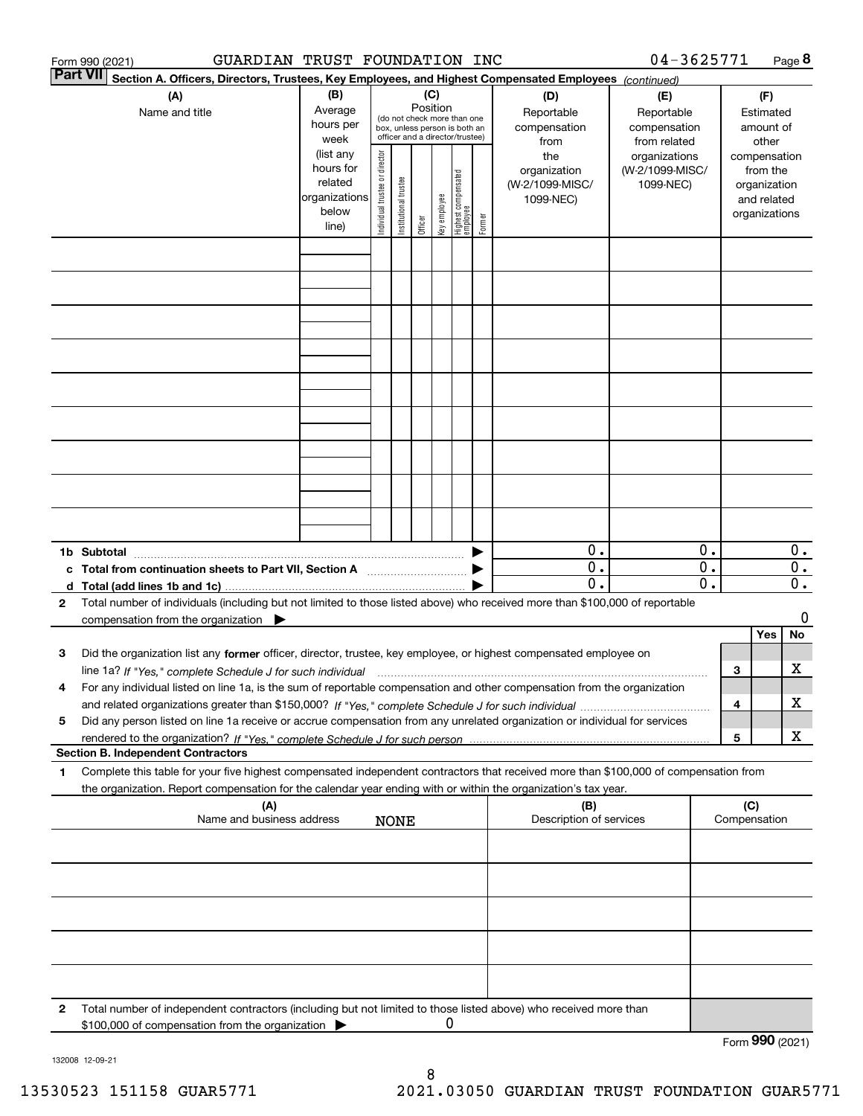| 04-3625771<br>GUARDIAN TRUST FOUNDATION INC<br>Form 990 (2021) |                                                                                                                                                                                                                                                                                                                                                                                                  |                                                                      |                                                                                                                    |                            |         |              |                                           |                                                   |                                                     | Page 8                                        |                                        |                 |                                                                          |          |
|----------------------------------------------------------------|--------------------------------------------------------------------------------------------------------------------------------------------------------------------------------------------------------------------------------------------------------------------------------------------------------------------------------------------------------------------------------------------------|----------------------------------------------------------------------|--------------------------------------------------------------------------------------------------------------------|----------------------------|---------|--------------|-------------------------------------------|---------------------------------------------------|-----------------------------------------------------|-----------------------------------------------|----------------------------------------|-----------------|--------------------------------------------------------------------------|----------|
|                                                                | Part VII<br>Section A. Officers, Directors, Trustees, Key Employees, and Highest Compensated Employees (continued)                                                                                                                                                                                                                                                                               |                                                                      |                                                                                                                    |                            |         |              |                                           |                                                   |                                                     |                                               |                                        |                 |                                                                          |          |
|                                                                | (A)<br>Name and title                                                                                                                                                                                                                                                                                                                                                                            | (B)<br>Average<br>hours per<br>week                                  | (C)<br>Position<br>(do not check more than one<br>box, unless person is both an<br>officer and a director/trustee) |                            |         |              | (D)<br>Reportable<br>compensation<br>from | (E)<br>Reportable<br>compensation<br>from related |                                                     |                                               | (F)<br>Estimated<br>amount of<br>other |                 |                                                                          |          |
|                                                                |                                                                                                                                                                                                                                                                                                                                                                                                  | (list any<br>hours for<br>related<br>organizations<br>below<br>line) | Individual trustee or director                                                                                     | Itustee<br>Institutional t | Officer | key employee | Highest compensated<br>employee           | Former                                            | the<br>organization<br>(W-2/1099-MISC/<br>1099-NEC) | organizations<br>(W-2/1099-MISC/<br>1099-NEC) |                                        |                 | compensation<br>from the<br>organization<br>and related<br>organizations |          |
|                                                                |                                                                                                                                                                                                                                                                                                                                                                                                  |                                                                      |                                                                                                                    |                            |         |              |                                           |                                                   |                                                     |                                               |                                        |                 |                                                                          |          |
|                                                                |                                                                                                                                                                                                                                                                                                                                                                                                  |                                                                      |                                                                                                                    |                            |         |              |                                           |                                                   |                                                     |                                               |                                        |                 |                                                                          |          |
|                                                                |                                                                                                                                                                                                                                                                                                                                                                                                  |                                                                      |                                                                                                                    |                            |         |              |                                           |                                                   |                                                     |                                               |                                        |                 |                                                                          |          |
|                                                                |                                                                                                                                                                                                                                                                                                                                                                                                  |                                                                      |                                                                                                                    |                            |         |              |                                           |                                                   |                                                     |                                               |                                        |                 |                                                                          |          |
|                                                                |                                                                                                                                                                                                                                                                                                                                                                                                  |                                                                      |                                                                                                                    |                            |         |              |                                           |                                                   |                                                     |                                               |                                        |                 |                                                                          |          |
|                                                                |                                                                                                                                                                                                                                                                                                                                                                                                  |                                                                      |                                                                                                                    |                            |         |              |                                           |                                                   |                                                     |                                               |                                        |                 |                                                                          |          |
|                                                                | 1b Subtotal                                                                                                                                                                                                                                                                                                                                                                                      |                                                                      |                                                                                                                    |                            |         |              |                                           |                                                   | 0.                                                  |                                               | 0.                                     |                 |                                                                          | $0$ .    |
|                                                                | c Total from continuation sheets to Part VII, Section A manufactor continuum<br>Total number of individuals (including but not limited to those listed above) who received more than \$100,000 of reportable                                                                                                                                                                                     |                                                                      |                                                                                                                    |                            |         |              |                                           |                                                   | 0.<br>$\mathbf 0$ .                                 |                                               | 0.<br>$\mathbf 0$ .                    |                 |                                                                          | 0.<br>0. |
| 2                                                              | compensation from the organization $\blacktriangleright$                                                                                                                                                                                                                                                                                                                                         |                                                                      |                                                                                                                    |                            |         |              |                                           |                                                   |                                                     |                                               |                                        |                 | Yes                                                                      | 0<br>No  |
| з<br>4                                                         | Did the organization list any former officer, director, trustee, key employee, or highest compensated employee on<br>line 1a? If "Yes," complete Schedule J for such individual manufactured contained and the 1a? If "Yes," complete Schedule J for such individual<br>For any individual listed on line 1a, is the sum of reportable compensation and other compensation from the organization |                                                                      |                                                                                                                    |                            |         |              |                                           |                                                   |                                                     |                                               |                                        | 3               |                                                                          | X        |
| 5                                                              | Did any person listed on line 1a receive or accrue compensation from any unrelated organization or individual for services                                                                                                                                                                                                                                                                       |                                                                      |                                                                                                                    |                            |         |              |                                           |                                                   |                                                     |                                               |                                        | 4               |                                                                          | x        |
|                                                                | <b>Section B. Independent Contractors</b>                                                                                                                                                                                                                                                                                                                                                        |                                                                      |                                                                                                                    |                            |         |              |                                           |                                                   |                                                     |                                               |                                        | 5               |                                                                          | x        |
| 1                                                              | Complete this table for your five highest compensated independent contractors that received more than \$100,000 of compensation from<br>the organization. Report compensation for the calendar year ending with or within the organization's tax year.                                                                                                                                           |                                                                      |                                                                                                                    |                            |         |              |                                           |                                                   |                                                     |                                               |                                        |                 |                                                                          |          |
|                                                                | (A)<br>(B)<br>Name and business address<br>Description of services<br><b>NONE</b>                                                                                                                                                                                                                                                                                                                |                                                                      |                                                                                                                    |                            |         |              |                                           |                                                   | (C)<br>Compensation                                 |                                               |                                        |                 |                                                                          |          |
|                                                                |                                                                                                                                                                                                                                                                                                                                                                                                  |                                                                      |                                                                                                                    |                            |         |              |                                           |                                                   |                                                     |                                               |                                        |                 |                                                                          |          |
|                                                                |                                                                                                                                                                                                                                                                                                                                                                                                  |                                                                      |                                                                                                                    |                            |         |              |                                           |                                                   |                                                     |                                               |                                        |                 |                                                                          |          |
|                                                                |                                                                                                                                                                                                                                                                                                                                                                                                  |                                                                      |                                                                                                                    |                            |         |              |                                           |                                                   |                                                     |                                               |                                        |                 |                                                                          |          |
| 2                                                              | Total number of independent contractors (including but not limited to those listed above) who received more than<br>\$100,000 of compensation from the organization                                                                                                                                                                                                                              |                                                                      |                                                                                                                    |                            |         | 0            |                                           |                                                   |                                                     |                                               |                                        |                 |                                                                          |          |
|                                                                |                                                                                                                                                                                                                                                                                                                                                                                                  |                                                                      |                                                                                                                    |                            |         |              |                                           |                                                   |                                                     |                                               |                                        | Form 990 (2021) |                                                                          |          |

132008 12-09-21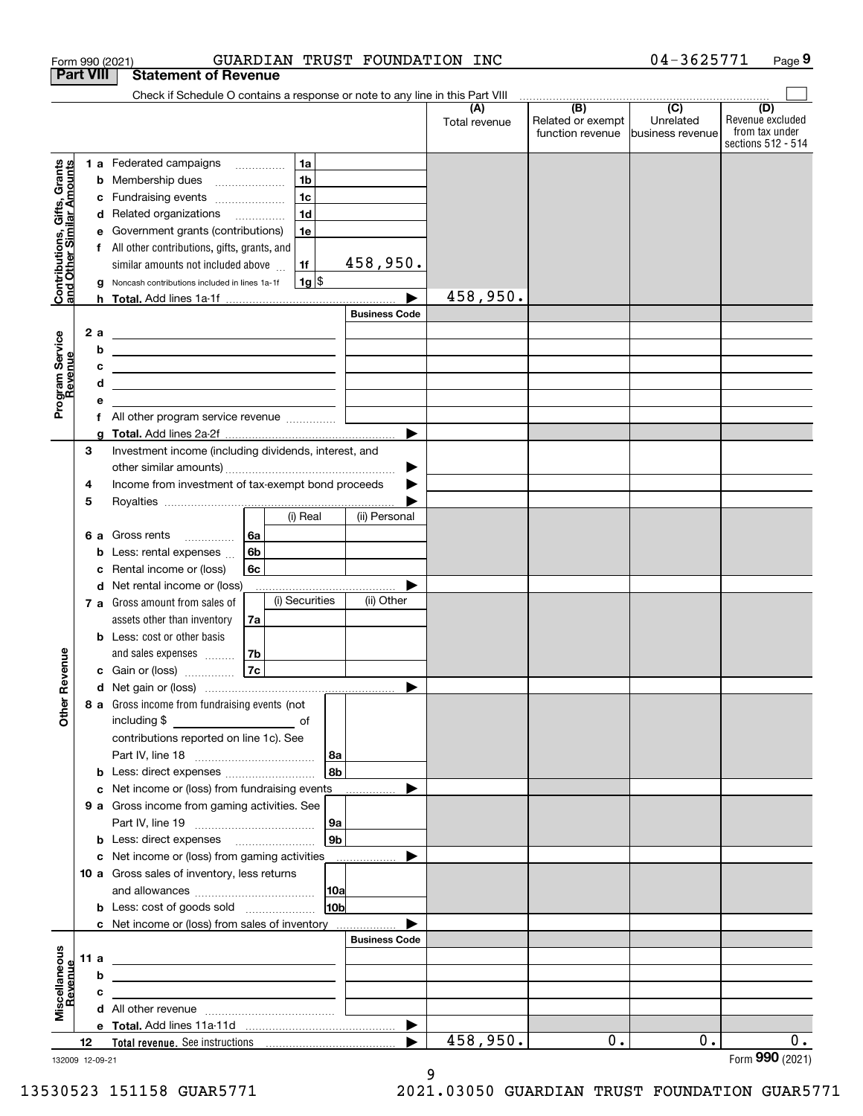|                                                           |                  | GUARDIAN TRUST FOUNDATION INC<br>Form 990 (2021)                                                                     |                      |                      |                                                                                               | 04-3625771                    | Page 9                                                   |
|-----------------------------------------------------------|------------------|----------------------------------------------------------------------------------------------------------------------|----------------------|----------------------|-----------------------------------------------------------------------------------------------|-------------------------------|----------------------------------------------------------|
|                                                           | <b>Part VIII</b> | <b>Statement of Revenue</b>                                                                                          |                      |                      |                                                                                               |                               |                                                          |
|                                                           |                  | Check if Schedule O contains a response or note to any line in this Part VIII                                        |                      |                      | $\begin{array}{c c c c c c} \hline \text{ } & \text{(B)} & \text{(C)} & \text{ } \end{array}$ |                               | (D)                                                      |
|                                                           |                  |                                                                                                                      |                      | (A)<br>Total revenue | Related or exempt<br>function revenue                                                         | Unrelated<br>business revenue | Revenue excluded<br>from tax under<br>sections 512 - 514 |
|                                                           |                  | 1a<br>1 a Federated campaigns                                                                                        |                      |                      |                                                                                               |                               |                                                          |
|                                                           | b                | 1 <sub>b</sub><br>Membership dues                                                                                    |                      |                      |                                                                                               |                               |                                                          |
|                                                           | с                | 1 <sub>c</sub><br>Fundraising events                                                                                 |                      |                      |                                                                                               |                               |                                                          |
|                                                           |                  | 1 <sub>d</sub><br>d Related organizations                                                                            |                      |                      |                                                                                               |                               |                                                          |
|                                                           | е                | 1e<br>Government grants (contributions)                                                                              |                      |                      |                                                                                               |                               |                                                          |
|                                                           | f                | All other contributions, gifts, grants, and                                                                          |                      |                      |                                                                                               |                               |                                                          |
|                                                           |                  | similar amounts not included above<br>1f                                                                             | 458,950.             |                      |                                                                                               |                               |                                                          |
|                                                           | g                | 1g <br>Noncash contributions included in lines 1a-1f                                                                 |                      |                      |                                                                                               |                               |                                                          |
| Contributions, Gifts, Grants<br>and Other Similar Amounts |                  |                                                                                                                      |                      | 458,950.             |                                                                                               |                               |                                                          |
|                                                           |                  |                                                                                                                      | <b>Business Code</b> |                      |                                                                                               |                               |                                                          |
|                                                           | 2a               | <u> 1989 - Johann Barn, fransk politik formuler (d. 1989)</u>                                                        |                      |                      |                                                                                               |                               |                                                          |
|                                                           | b                | <u> 1989 - Johann Barn, fransk politik amerikansk politik (</u>                                                      |                      |                      |                                                                                               |                               |                                                          |
| Program Service<br>Revenue                                | с                | <u> Alexandria de la contrada de la contrada de la contrada de la contrada de la contrada de la contrada de la c</u> |                      |                      |                                                                                               |                               |                                                          |
|                                                           | d                | the contract of the contract of the contract of the contract of the contract of                                      |                      |                      |                                                                                               |                               |                                                          |
|                                                           | е                |                                                                                                                      |                      |                      |                                                                                               |                               |                                                          |
|                                                           | f                | All other program service revenue                                                                                    |                      |                      |                                                                                               |                               |                                                          |
|                                                           | g                |                                                                                                                      |                      |                      |                                                                                               |                               |                                                          |
|                                                           | 3                | Investment income (including dividends, interest, and                                                                |                      |                      |                                                                                               |                               |                                                          |
|                                                           |                  |                                                                                                                      | ▶                    |                      |                                                                                               |                               |                                                          |
|                                                           | 4                | Income from investment of tax-exempt bond proceeds                                                                   | ▶                    |                      |                                                                                               |                               |                                                          |
|                                                           | 5                |                                                                                                                      |                      |                      |                                                                                               |                               |                                                          |
|                                                           |                  | (i) Real                                                                                                             | (ii) Personal        |                      |                                                                                               |                               |                                                          |
|                                                           |                  | 6a<br>6 a Gross rents<br>$\overline{\phantom{a}}$                                                                    |                      |                      |                                                                                               |                               |                                                          |
|                                                           | b                | 6 <sub>b</sub><br>Less: rental expenses                                                                              |                      |                      |                                                                                               |                               |                                                          |
|                                                           | с                | Rental income or (loss)<br>6с                                                                                        |                      |                      |                                                                                               |                               |                                                          |
|                                                           |                  | d Net rental income or (loss)                                                                                        |                      |                      |                                                                                               |                               |                                                          |
|                                                           |                  | (i) Securities<br>7 a Gross amount from sales of                                                                     | (ii) Other           |                      |                                                                                               |                               |                                                          |
|                                                           |                  | assets other than inventory<br>7a                                                                                    |                      |                      |                                                                                               |                               |                                                          |
|                                                           |                  | <b>b</b> Less: cost or other basis                                                                                   |                      |                      |                                                                                               |                               |                                                          |
|                                                           |                  | 7 <sub>b</sub><br>and sales expenses                                                                                 |                      |                      |                                                                                               |                               |                                                          |
| evenue                                                    |                  | 7c<br><b>c</b> Gain or (loss) $\ldots$                                                                               |                      |                      |                                                                                               |                               |                                                          |
|                                                           |                  |                                                                                                                      |                      |                      |                                                                                               |                               |                                                          |
| Other <sub>R</sub>                                        |                  | 8 a Gross income from fundraising events (not                                                                        |                      |                      |                                                                                               |                               |                                                          |
|                                                           |                  |                                                                                                                      |                      |                      |                                                                                               |                               |                                                          |
|                                                           |                  | contributions reported on line 1c). See                                                                              |                      |                      |                                                                                               |                               |                                                          |
|                                                           |                  |                                                                                                                      | 8a                   |                      |                                                                                               |                               |                                                          |
|                                                           |                  | <b>b</b> Less: direct expenses <i></i>                                                                               | 8 <sub>b</sub>       |                      |                                                                                               |                               |                                                          |
|                                                           |                  | c Net income or (loss) from fundraising events ____________                                                          |                      |                      |                                                                                               |                               |                                                          |
|                                                           |                  | 9 a Gross income from gaming activities. See                                                                         |                      |                      |                                                                                               |                               |                                                          |
|                                                           |                  |                                                                                                                      | 9a                   |                      |                                                                                               |                               |                                                          |
|                                                           |                  | <b>b</b> Less: direct expenses <b>manually</b>                                                                       | 9 <sub>b</sub>       |                      |                                                                                               |                               |                                                          |
|                                                           |                  | c Net income or (loss) from gaming activities                                                                        |                      |                      |                                                                                               |                               |                                                          |
|                                                           |                  | 10 a Gross sales of inventory, less returns                                                                          |                      |                      |                                                                                               |                               |                                                          |
|                                                           |                  |                                                                                                                      | 10a                  |                      |                                                                                               |                               |                                                          |
|                                                           |                  |                                                                                                                      | 10 <sub>b</sub>      |                      |                                                                                               |                               |                                                          |
|                                                           |                  | c Net income or (loss) from sales of inventory                                                                       |                      |                      |                                                                                               |                               |                                                          |
|                                                           |                  |                                                                                                                      | <b>Business Code</b> |                      |                                                                                               |                               |                                                          |
|                                                           | 11 a             | <u> 1989 - Andrea Stadt Britain, amerikansk politiker (</u>                                                          |                      |                      |                                                                                               |                               |                                                          |
|                                                           | b                | <u> 1989 - Johann Barn, amerikansk politiker (d. 1989)</u>                                                           |                      |                      |                                                                                               |                               |                                                          |
| Miscellaneous<br>Revenue                                  | c                | the control of the control of the control of the control of the control of                                           |                      |                      |                                                                                               |                               |                                                          |
|                                                           |                  |                                                                                                                      |                      |                      |                                                                                               |                               |                                                          |
|                                                           | 12               |                                                                                                                      |                      | 458,950.             |                                                                                               |                               |                                                          |
|                                                           |                  |                                                                                                                      |                      |                      | 0.                                                                                            | 0.                            | $0$ .                                                    |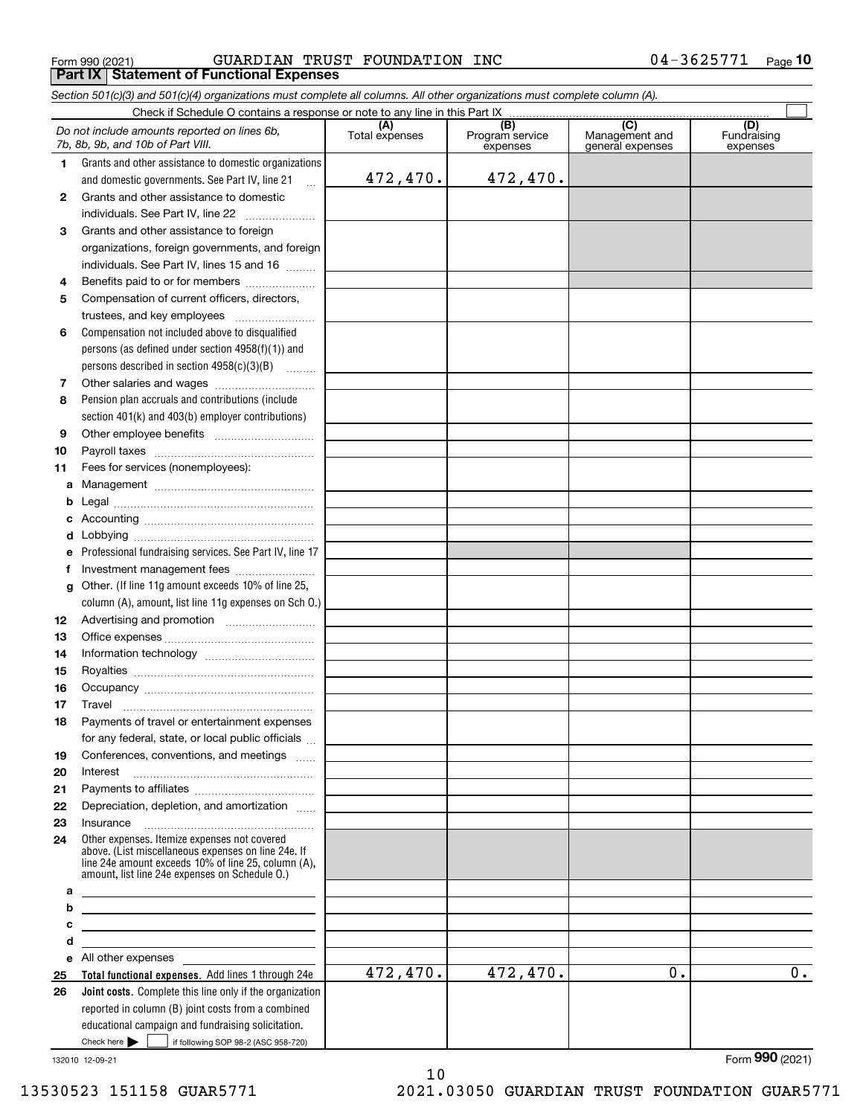Form 990 (2021) GUARDIAN TRUST FOUNDATION INC 0 $4$ -3625771 Page **Part IX Statement of Functional Expenses**

*Section 501(c)(3) and 501(c)(4) organizations must complete all columns. All other organizations must complete column (A).*

|              | Check if Schedule O contains a response or note to any line in this Part IX                                                                                                                                  |                       |                                    |                                           |                                |  |  |  |  |  |  |
|--------------|--------------------------------------------------------------------------------------------------------------------------------------------------------------------------------------------------------------|-----------------------|------------------------------------|-------------------------------------------|--------------------------------|--|--|--|--|--|--|
|              | Do not include amounts reported on lines 6b,<br>7b, 8b, 9b, and 10b of Part VIII.                                                                                                                            | (A)<br>Total expenses | (B)<br>Program service<br>expenses | (C)<br>Management and<br>general expenses | (D)<br>Fundraising<br>expenses |  |  |  |  |  |  |
| 1            | Grants and other assistance to domestic organizations                                                                                                                                                        |                       |                                    |                                           |                                |  |  |  |  |  |  |
|              | and domestic governments. See Part IV, line 21<br>$\ddotsc$                                                                                                                                                  | 472,470.              | 472,470.                           |                                           |                                |  |  |  |  |  |  |
| $\mathbf{2}$ | Grants and other assistance to domestic                                                                                                                                                                      |                       |                                    |                                           |                                |  |  |  |  |  |  |
|              | individuals. See Part IV, line 22                                                                                                                                                                            |                       |                                    |                                           |                                |  |  |  |  |  |  |
| 3            | Grants and other assistance to foreign                                                                                                                                                                       |                       |                                    |                                           |                                |  |  |  |  |  |  |
|              | organizations, foreign governments, and foreign                                                                                                                                                              |                       |                                    |                                           |                                |  |  |  |  |  |  |
|              | individuals. See Part IV, lines 15 and 16                                                                                                                                                                    |                       |                                    |                                           |                                |  |  |  |  |  |  |
| 4            | Benefits paid to or for members                                                                                                                                                                              |                       |                                    |                                           |                                |  |  |  |  |  |  |
| 5            | Compensation of current officers, directors,                                                                                                                                                                 |                       |                                    |                                           |                                |  |  |  |  |  |  |
|              |                                                                                                                                                                                                              |                       |                                    |                                           |                                |  |  |  |  |  |  |
| 6            | Compensation not included above to disqualified                                                                                                                                                              |                       |                                    |                                           |                                |  |  |  |  |  |  |
|              | persons (as defined under section $4958(f)(1)$ ) and                                                                                                                                                         |                       |                                    |                                           |                                |  |  |  |  |  |  |
|              | persons described in section $4958(c)(3)(B)$                                                                                                                                                                 |                       |                                    |                                           |                                |  |  |  |  |  |  |
| 7            |                                                                                                                                                                                                              |                       |                                    |                                           |                                |  |  |  |  |  |  |
| 8            | Pension plan accruals and contributions (include                                                                                                                                                             |                       |                                    |                                           |                                |  |  |  |  |  |  |
|              | section 401(k) and 403(b) employer contributions)                                                                                                                                                            |                       |                                    |                                           |                                |  |  |  |  |  |  |
| 9            |                                                                                                                                                                                                              |                       |                                    |                                           |                                |  |  |  |  |  |  |
| 10           |                                                                                                                                                                                                              |                       |                                    |                                           |                                |  |  |  |  |  |  |
| 11           | Fees for services (nonemployees):                                                                                                                                                                            |                       |                                    |                                           |                                |  |  |  |  |  |  |
| a            |                                                                                                                                                                                                              |                       |                                    |                                           |                                |  |  |  |  |  |  |
| b            |                                                                                                                                                                                                              |                       |                                    |                                           |                                |  |  |  |  |  |  |
| c            |                                                                                                                                                                                                              |                       |                                    |                                           |                                |  |  |  |  |  |  |
| d            |                                                                                                                                                                                                              |                       |                                    |                                           |                                |  |  |  |  |  |  |
| е            | Professional fundraising services. See Part IV, line 17                                                                                                                                                      |                       |                                    |                                           |                                |  |  |  |  |  |  |
| f            |                                                                                                                                                                                                              |                       |                                    |                                           |                                |  |  |  |  |  |  |
| a            | Other. (If line 11g amount exceeds 10% of line 25,                                                                                                                                                           |                       |                                    |                                           |                                |  |  |  |  |  |  |
|              | column (A), amount, list line 11g expenses on Sch O.)                                                                                                                                                        |                       |                                    |                                           |                                |  |  |  |  |  |  |
| 12           |                                                                                                                                                                                                              |                       |                                    |                                           |                                |  |  |  |  |  |  |
| 13           |                                                                                                                                                                                                              |                       |                                    |                                           |                                |  |  |  |  |  |  |
| 14           |                                                                                                                                                                                                              |                       |                                    |                                           |                                |  |  |  |  |  |  |
| 15<br>16     |                                                                                                                                                                                                              |                       |                                    |                                           |                                |  |  |  |  |  |  |
| 17           | Travel                                                                                                                                                                                                       |                       |                                    |                                           |                                |  |  |  |  |  |  |
| 18           | Payments of travel or entertainment expenses                                                                                                                                                                 |                       |                                    |                                           |                                |  |  |  |  |  |  |
|              | for any federal, state, or local public officials                                                                                                                                                            |                       |                                    |                                           |                                |  |  |  |  |  |  |
| 19           | Conferences, conventions, and meetings                                                                                                                                                                       |                       |                                    |                                           |                                |  |  |  |  |  |  |
| 20           | Interest                                                                                                                                                                                                     |                       |                                    |                                           |                                |  |  |  |  |  |  |
| 21           |                                                                                                                                                                                                              |                       |                                    |                                           |                                |  |  |  |  |  |  |
| 22           | Depreciation, depletion, and amortization                                                                                                                                                                    |                       |                                    |                                           |                                |  |  |  |  |  |  |
| 23           | Insurance                                                                                                                                                                                                    |                       |                                    |                                           |                                |  |  |  |  |  |  |
| 24           | Other expenses. Itemize expenses not covered<br>above. (List miscellaneous expenses on line 24e. If<br>line 24e amount exceeds 10% of line 25, column (A),<br>amount, list line 24e expenses on Schedule O.) |                       |                                    |                                           |                                |  |  |  |  |  |  |
| а            |                                                                                                                                                                                                              |                       |                                    |                                           |                                |  |  |  |  |  |  |
| b            |                                                                                                                                                                                                              |                       |                                    |                                           |                                |  |  |  |  |  |  |
| с            |                                                                                                                                                                                                              |                       |                                    |                                           |                                |  |  |  |  |  |  |
| d<br>е       | All other expenses                                                                                                                                                                                           |                       |                                    |                                           |                                |  |  |  |  |  |  |
| 25           | Total functional expenses. Add lines 1 through 24e                                                                                                                                                           | 472,470.              | 472,470.                           | 0.                                        | $\overline{0}$ .               |  |  |  |  |  |  |
| 26           | Joint costs. Complete this line only if the organization                                                                                                                                                     |                       |                                    |                                           |                                |  |  |  |  |  |  |
|              | reported in column (B) joint costs from a combined                                                                                                                                                           |                       |                                    |                                           |                                |  |  |  |  |  |  |
|              | educational campaign and fundraising solicitation.                                                                                                                                                           |                       |                                    |                                           |                                |  |  |  |  |  |  |
|              | Check here $\blacktriangleright$<br>if following SOP 98-2 (ASC 958-720)                                                                                                                                      |                       |                                    |                                           |                                |  |  |  |  |  |  |

132010 12-09-21

10 13530523 151158 GUAR5771 2021.03050 GUARDIAN TRUST FOUNDATION GUAR5771

Form (2021) **990**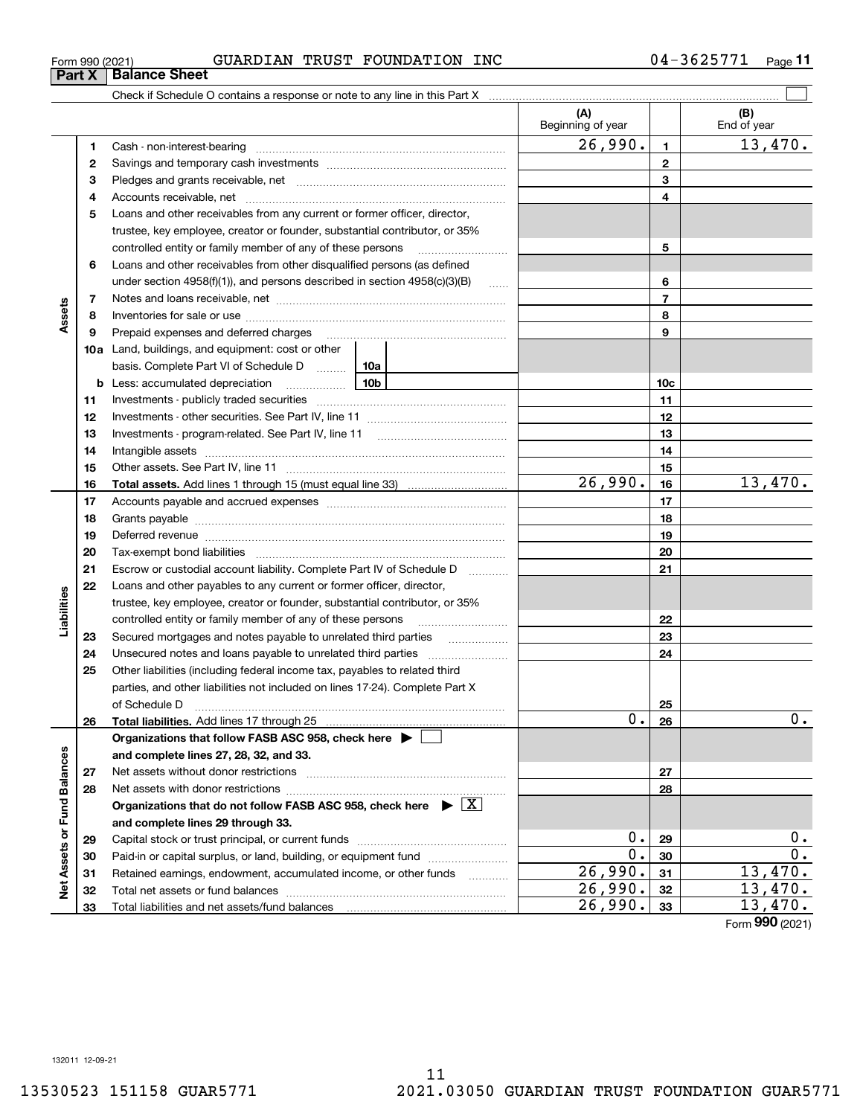Form (2021) **990**

| Form 990 (2021) | TRUST<br>GUARDIAN | FOUNDATION<br>INC | 3625771<br>$04 -$ | $P$ age |
|-----------------|-------------------|-------------------|-------------------|---------|
|-----------------|-------------------|-------------------|-------------------|---------|

|                             |    |                                                                                                                                                                                                                                |                 | (A)<br>Beginning of year  |                 | (B)<br>End of year |
|-----------------------------|----|--------------------------------------------------------------------------------------------------------------------------------------------------------------------------------------------------------------------------------|-----------------|---------------------------|-----------------|--------------------|
|                             | 1  |                                                                                                                                                                                                                                |                 | 26,990.                   | $\blacksquare$  | 13,470.            |
|                             | 2  |                                                                                                                                                                                                                                |                 |                           | $\mathbf{2}$    |                    |
|                             | з  |                                                                                                                                                                                                                                |                 |                           | 3               |                    |
|                             | 4  |                                                                                                                                                                                                                                |                 |                           | 4               |                    |
|                             | 5  | Loans and other receivables from any current or former officer, director,                                                                                                                                                      |                 |                           |                 |                    |
|                             |    | trustee, key employee, creator or founder, substantial contributor, or 35%                                                                                                                                                     |                 |                           |                 |                    |
|                             |    | controlled entity or family member of any of these persons                                                                                                                                                                     |                 |                           | 5               |                    |
|                             | 6  | Loans and other receivables from other disqualified persons (as defined                                                                                                                                                        |                 |                           |                 |                    |
|                             |    | under section $4958(f)(1)$ , and persons described in section $4958(c)(3)(B)$                                                                                                                                                  | <b>Contract</b> |                           | 6               |                    |
|                             | 7  |                                                                                                                                                                                                                                |                 |                           | $\overline{7}$  |                    |
| Assets                      | 8  |                                                                                                                                                                                                                                |                 |                           | 8               |                    |
|                             | 9  |                                                                                                                                                                                                                                |                 | 9                         |                 |                    |
|                             |    | 10a Land, buildings, and equipment: cost or other                                                                                                                                                                              |                 |                           |                 |                    |
|                             |    | basis. Complete Part VI of Schedule D  10a                                                                                                                                                                                     |                 |                           |                 |                    |
|                             |    | 10b<br><b>b</b> Less: accumulated depreciation                                                                                                                                                                                 |                 |                           | 10 <sub>c</sub> |                    |
|                             | 11 |                                                                                                                                                                                                                                |                 |                           | 11              |                    |
|                             | 12 |                                                                                                                                                                                                                                |                 |                           | 12              |                    |
|                             | 13 |                                                                                                                                                                                                                                |                 |                           | 13              |                    |
|                             | 14 |                                                                                                                                                                                                                                |                 |                           | 14              |                    |
|                             | 15 |                                                                                                                                                                                                                                |                 |                           | 15              |                    |
|                             | 16 |                                                                                                                                                                                                                                |                 | $\overline{26,990}$ .     | 16              | 13,470.            |
|                             | 17 |                                                                                                                                                                                                                                |                 |                           | 17              |                    |
|                             | 18 |                                                                                                                                                                                                                                |                 | 18                        |                 |                    |
|                             | 19 | Deferred revenue manual contracts and contracts are all the manual contracts and contracts are contracted and contracts are contracted and contract are contracted and contract are contracted and contract are contracted and |                 | 19                        |                 |                    |
|                             | 20 |                                                                                                                                                                                                                                |                 |                           | 20              |                    |
|                             | 21 | Escrow or custodial account liability. Complete Part IV of Schedule D                                                                                                                                                          |                 |                           | 21              |                    |
|                             | 22 | Loans and other payables to any current or former officer, director,                                                                                                                                                           |                 |                           |                 |                    |
| Liabilities                 |    | trustee, key employee, creator or founder, substantial contributor, or 35%                                                                                                                                                     |                 |                           |                 |                    |
|                             |    | controlled entity or family member of any of these persons                                                                                                                                                                     |                 |                           | 22              |                    |
|                             | 23 | Secured mortgages and notes payable to unrelated third parties                                                                                                                                                                 |                 |                           | 23              |                    |
|                             | 24 |                                                                                                                                                                                                                                |                 |                           | 24              |                    |
|                             | 25 | Other liabilities (including federal income tax, payables to related third                                                                                                                                                     |                 |                           |                 |                    |
|                             |    | parties, and other liabilities not included on lines 17-24). Complete Part X                                                                                                                                                   |                 |                           |                 |                    |
|                             |    |                                                                                                                                                                                                                                |                 |                           | 25              |                    |
|                             | 26 | Total liabilities. Add lines 17 through 25                                                                                                                                                                                     |                 | $\overline{0}$ .          | 26              | $\mathbf 0$ .      |
|                             |    | Organizations that follow FASB ASC 958, check here $\blacktriangleright$                                                                                                                                                       |                 |                           |                 |                    |
|                             |    | and complete lines 27, 28, 32, and 33.                                                                                                                                                                                         |                 |                           |                 |                    |
|                             | 27 |                                                                                                                                                                                                                                |                 |                           | 27              |                    |
|                             | 28 |                                                                                                                                                                                                                                |                 |                           | 28              |                    |
|                             |    | Organizations that do not follow FASB ASC 958, check here $\triangleright \lfloor X \rfloor$                                                                                                                                   |                 |                           |                 |                    |
|                             |    | and complete lines 29 through 33.                                                                                                                                                                                              |                 |                           |                 |                    |
|                             | 29 |                                                                                                                                                                                                                                |                 | $0$ .<br>$\overline{0}$ . | 29              | 0.                 |
| Net Assets or Fund Balances | 30 | Paid-in or capital surplus, or land, building, or equipment fund                                                                                                                                                               |                 |                           | 30              | $0$ .              |
|                             | 31 | Retained earnings, endowment, accumulated income, or other funds                                                                                                                                                               |                 | 26,990.                   | 31              | 13,470.            |
|                             | 32 |                                                                                                                                                                                                                                |                 | 26,990.<br>26,990.        | 32              | 13,470.<br>13,470. |
|                             | 33 |                                                                                                                                                                                                                                |                 |                           | 33              |                    |

**Part X Balance Sheet**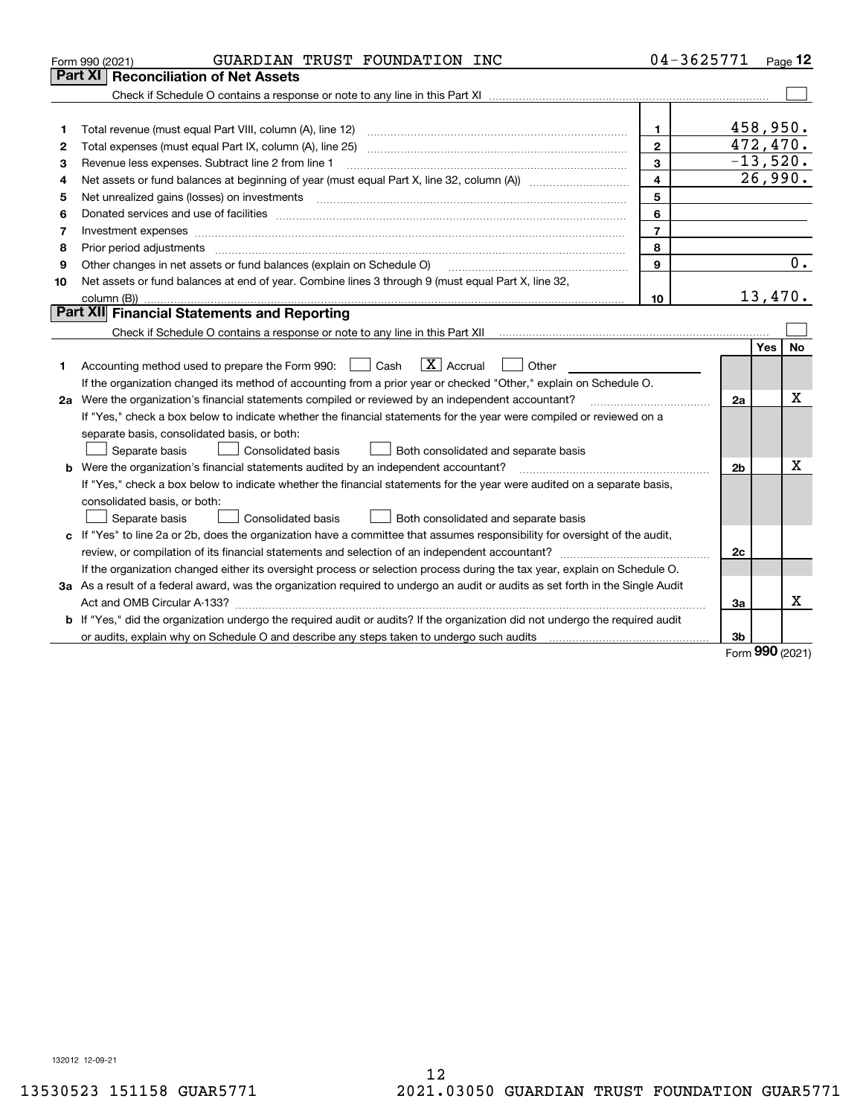| Part XI<br>458,950.<br>1<br>1<br>472,470.<br>$\mathbf{2}$<br>2<br>$-13,520.$<br>3<br>Revenue less expenses. Subtract line 2 from line 1<br>з<br>26,990.<br>$\overline{\mathbf{4}}$<br>4<br>5<br>Net unrealized gains (losses) on investments<br>5<br>$\begin{minipage}{0.5\textwidth} \begin{tabular}{ l l l } \hline & \multicolumn{1}{ l l } \hline & \multicolumn{1}{ l } \multicolumn{1}{ l } \multicolumn{1}{ l } \multicolumn{1}{ l } \multicolumn{1}{ l } \multicolumn{1}{ l } \multicolumn{1}{ l } \multicolumn{1}{ l } \multicolumn{1}{ l } \multicolumn{1}{ l } \multicolumn{1}{ l } \multicolumn{1}{ l } \multicolumn{1}{ l } \multicolumn{1}{ l } \multicolumn{1}{ l } \multicolumn{1$<br>6<br>6<br>$\overline{7}$<br>Investment expenses<br>7<br>8<br>Prior period adjustments<br>8<br>0.<br>$\mathbf{9}$<br>Other changes in net assets or fund balances (explain on Schedule O)<br>9<br>Net assets or fund balances at end of year. Combine lines 3 through 9 (must equal Part X, line 32,<br>10<br>13,470.<br>10<br>Part XII Financial Statements and Reporting<br>No.<br>Yes<br>$\boxed{\mathbf{X}}$ Accrual<br>Accounting method used to prepare the Form 990: <u>June</u> Cash<br>Other<br>1.<br>If the organization changed its method of accounting from a prior year or checked "Other," explain on Schedule O.<br>Χ<br>2a Were the organization's financial statements compiled or reviewed by an independent accountant?<br>2a<br>If "Yes," check a box below to indicate whether the financial statements for the year were compiled or reviewed on a<br>separate basis, consolidated basis, or both:<br>Separate basis<br>Both consolidated and separate basis<br>Consolidated basis<br>Χ<br><b>b</b> Were the organization's financial statements audited by an independent accountant?<br>2b<br>If "Yes," check a box below to indicate whether the financial statements for the year were audited on a separate basis,<br>consolidated basis, or both:<br>Consolidated basis<br>Separate basis<br>Both consolidated and separate basis<br>c If "Yes" to line 2a or 2b, does the organization have a committee that assumes responsibility for oversight of the audit,<br>2c<br>If the organization changed either its oversight process or selection process during the tax year, explain on Schedule O.<br>3a As a result of a federal award, was the organization required to undergo an audit or audits as set forth in the Single Audit<br>x<br>Act and OMB Circular A-133?<br>За<br>b If "Yes," did the organization undergo the required audit or audits? If the organization did not undergo the required audit<br>3b<br><b>nnn</b> | GUARDIAN TRUST FOUNDATION INC<br>Form 990 (2021) | 04-3625771 |  | Page $12$ |
|-------------------------------------------------------------------------------------------------------------------------------------------------------------------------------------------------------------------------------------------------------------------------------------------------------------------------------------------------------------------------------------------------------------------------------------------------------------------------------------------------------------------------------------------------------------------------------------------------------------------------------------------------------------------------------------------------------------------------------------------------------------------------------------------------------------------------------------------------------------------------------------------------------------------------------------------------------------------------------------------------------------------------------------------------------------------------------------------------------------------------------------------------------------------------------------------------------------------------------------------------------------------------------------------------------------------------------------------------------------------------------------------------------------------------------------------------------------------------------------------------------------------------------------------------------------------------------------------------------------------------------------------------------------------------------------------------------------------------------------------------------------------------------------------------------------------------------------------------------------------------------------------------------------------------------------------------------------------------------------------------------------------------------------------------------------------------------------------------------------------------------------------------------------------------------------------------------------------------------------------------------------------------------------------------------------------------------------------------------------------------------------------------------------------------------------------------------------------------------------------------------------------------------------------------------------------------------------------------------------------------------------------------------------------------|--------------------------------------------------|------------|--|-----------|
|                                                                                                                                                                                                                                                                                                                                                                                                                                                                                                                                                                                                                                                                                                                                                                                                                                                                                                                                                                                                                                                                                                                                                                                                                                                                                                                                                                                                                                                                                                                                                                                                                                                                                                                                                                                                                                                                                                                                                                                                                                                                                                                                                                                                                                                                                                                                                                                                                                                                                                                                                                                                                                                                         | <b>Reconciliation of Net Assets</b>              |            |  |           |
|                                                                                                                                                                                                                                                                                                                                                                                                                                                                                                                                                                                                                                                                                                                                                                                                                                                                                                                                                                                                                                                                                                                                                                                                                                                                                                                                                                                                                                                                                                                                                                                                                                                                                                                                                                                                                                                                                                                                                                                                                                                                                                                                                                                                                                                                                                                                                                                                                                                                                                                                                                                                                                                                         |                                                  |            |  |           |
|                                                                                                                                                                                                                                                                                                                                                                                                                                                                                                                                                                                                                                                                                                                                                                                                                                                                                                                                                                                                                                                                                                                                                                                                                                                                                                                                                                                                                                                                                                                                                                                                                                                                                                                                                                                                                                                                                                                                                                                                                                                                                                                                                                                                                                                                                                                                                                                                                                                                                                                                                                                                                                                                         |                                                  |            |  |           |
|                                                                                                                                                                                                                                                                                                                                                                                                                                                                                                                                                                                                                                                                                                                                                                                                                                                                                                                                                                                                                                                                                                                                                                                                                                                                                                                                                                                                                                                                                                                                                                                                                                                                                                                                                                                                                                                                                                                                                                                                                                                                                                                                                                                                                                                                                                                                                                                                                                                                                                                                                                                                                                                                         |                                                  |            |  |           |
|                                                                                                                                                                                                                                                                                                                                                                                                                                                                                                                                                                                                                                                                                                                                                                                                                                                                                                                                                                                                                                                                                                                                                                                                                                                                                                                                                                                                                                                                                                                                                                                                                                                                                                                                                                                                                                                                                                                                                                                                                                                                                                                                                                                                                                                                                                                                                                                                                                                                                                                                                                                                                                                                         |                                                  |            |  |           |
|                                                                                                                                                                                                                                                                                                                                                                                                                                                                                                                                                                                                                                                                                                                                                                                                                                                                                                                                                                                                                                                                                                                                                                                                                                                                                                                                                                                                                                                                                                                                                                                                                                                                                                                                                                                                                                                                                                                                                                                                                                                                                                                                                                                                                                                                                                                                                                                                                                                                                                                                                                                                                                                                         |                                                  |            |  |           |
|                                                                                                                                                                                                                                                                                                                                                                                                                                                                                                                                                                                                                                                                                                                                                                                                                                                                                                                                                                                                                                                                                                                                                                                                                                                                                                                                                                                                                                                                                                                                                                                                                                                                                                                                                                                                                                                                                                                                                                                                                                                                                                                                                                                                                                                                                                                                                                                                                                                                                                                                                                                                                                                                         |                                                  |            |  |           |
|                                                                                                                                                                                                                                                                                                                                                                                                                                                                                                                                                                                                                                                                                                                                                                                                                                                                                                                                                                                                                                                                                                                                                                                                                                                                                                                                                                                                                                                                                                                                                                                                                                                                                                                                                                                                                                                                                                                                                                                                                                                                                                                                                                                                                                                                                                                                                                                                                                                                                                                                                                                                                                                                         |                                                  |            |  |           |
|                                                                                                                                                                                                                                                                                                                                                                                                                                                                                                                                                                                                                                                                                                                                                                                                                                                                                                                                                                                                                                                                                                                                                                                                                                                                                                                                                                                                                                                                                                                                                                                                                                                                                                                                                                                                                                                                                                                                                                                                                                                                                                                                                                                                                                                                                                                                                                                                                                                                                                                                                                                                                                                                         |                                                  |            |  |           |
|                                                                                                                                                                                                                                                                                                                                                                                                                                                                                                                                                                                                                                                                                                                                                                                                                                                                                                                                                                                                                                                                                                                                                                                                                                                                                                                                                                                                                                                                                                                                                                                                                                                                                                                                                                                                                                                                                                                                                                                                                                                                                                                                                                                                                                                                                                                                                                                                                                                                                                                                                                                                                                                                         |                                                  |            |  |           |
|                                                                                                                                                                                                                                                                                                                                                                                                                                                                                                                                                                                                                                                                                                                                                                                                                                                                                                                                                                                                                                                                                                                                                                                                                                                                                                                                                                                                                                                                                                                                                                                                                                                                                                                                                                                                                                                                                                                                                                                                                                                                                                                                                                                                                                                                                                                                                                                                                                                                                                                                                                                                                                                                         |                                                  |            |  |           |
|                                                                                                                                                                                                                                                                                                                                                                                                                                                                                                                                                                                                                                                                                                                                                                                                                                                                                                                                                                                                                                                                                                                                                                                                                                                                                                                                                                                                                                                                                                                                                                                                                                                                                                                                                                                                                                                                                                                                                                                                                                                                                                                                                                                                                                                                                                                                                                                                                                                                                                                                                                                                                                                                         |                                                  |            |  |           |
|                                                                                                                                                                                                                                                                                                                                                                                                                                                                                                                                                                                                                                                                                                                                                                                                                                                                                                                                                                                                                                                                                                                                                                                                                                                                                                                                                                                                                                                                                                                                                                                                                                                                                                                                                                                                                                                                                                                                                                                                                                                                                                                                                                                                                                                                                                                                                                                                                                                                                                                                                                                                                                                                         |                                                  |            |  |           |
|                                                                                                                                                                                                                                                                                                                                                                                                                                                                                                                                                                                                                                                                                                                                                                                                                                                                                                                                                                                                                                                                                                                                                                                                                                                                                                                                                                                                                                                                                                                                                                                                                                                                                                                                                                                                                                                                                                                                                                                                                                                                                                                                                                                                                                                                                                                                                                                                                                                                                                                                                                                                                                                                         |                                                  |            |  |           |
|                                                                                                                                                                                                                                                                                                                                                                                                                                                                                                                                                                                                                                                                                                                                                                                                                                                                                                                                                                                                                                                                                                                                                                                                                                                                                                                                                                                                                                                                                                                                                                                                                                                                                                                                                                                                                                                                                                                                                                                                                                                                                                                                                                                                                                                                                                                                                                                                                                                                                                                                                                                                                                                                         |                                                  |            |  |           |
|                                                                                                                                                                                                                                                                                                                                                                                                                                                                                                                                                                                                                                                                                                                                                                                                                                                                                                                                                                                                                                                                                                                                                                                                                                                                                                                                                                                                                                                                                                                                                                                                                                                                                                                                                                                                                                                                                                                                                                                                                                                                                                                                                                                                                                                                                                                                                                                                                                                                                                                                                                                                                                                                         |                                                  |            |  |           |
|                                                                                                                                                                                                                                                                                                                                                                                                                                                                                                                                                                                                                                                                                                                                                                                                                                                                                                                                                                                                                                                                                                                                                                                                                                                                                                                                                                                                                                                                                                                                                                                                                                                                                                                                                                                                                                                                                                                                                                                                                                                                                                                                                                                                                                                                                                                                                                                                                                                                                                                                                                                                                                                                         |                                                  |            |  |           |
|                                                                                                                                                                                                                                                                                                                                                                                                                                                                                                                                                                                                                                                                                                                                                                                                                                                                                                                                                                                                                                                                                                                                                                                                                                                                                                                                                                                                                                                                                                                                                                                                                                                                                                                                                                                                                                                                                                                                                                                                                                                                                                                                                                                                                                                                                                                                                                                                                                                                                                                                                                                                                                                                         |                                                  |            |  |           |
|                                                                                                                                                                                                                                                                                                                                                                                                                                                                                                                                                                                                                                                                                                                                                                                                                                                                                                                                                                                                                                                                                                                                                                                                                                                                                                                                                                                                                                                                                                                                                                                                                                                                                                                                                                                                                                                                                                                                                                                                                                                                                                                                                                                                                                                                                                                                                                                                                                                                                                                                                                                                                                                                         |                                                  |            |  |           |
|                                                                                                                                                                                                                                                                                                                                                                                                                                                                                                                                                                                                                                                                                                                                                                                                                                                                                                                                                                                                                                                                                                                                                                                                                                                                                                                                                                                                                                                                                                                                                                                                                                                                                                                                                                                                                                                                                                                                                                                                                                                                                                                                                                                                                                                                                                                                                                                                                                                                                                                                                                                                                                                                         |                                                  |            |  |           |
|                                                                                                                                                                                                                                                                                                                                                                                                                                                                                                                                                                                                                                                                                                                                                                                                                                                                                                                                                                                                                                                                                                                                                                                                                                                                                                                                                                                                                                                                                                                                                                                                                                                                                                                                                                                                                                                                                                                                                                                                                                                                                                                                                                                                                                                                                                                                                                                                                                                                                                                                                                                                                                                                         |                                                  |            |  |           |
|                                                                                                                                                                                                                                                                                                                                                                                                                                                                                                                                                                                                                                                                                                                                                                                                                                                                                                                                                                                                                                                                                                                                                                                                                                                                                                                                                                                                                                                                                                                                                                                                                                                                                                                                                                                                                                                                                                                                                                                                                                                                                                                                                                                                                                                                                                                                                                                                                                                                                                                                                                                                                                                                         |                                                  |            |  |           |
|                                                                                                                                                                                                                                                                                                                                                                                                                                                                                                                                                                                                                                                                                                                                                                                                                                                                                                                                                                                                                                                                                                                                                                                                                                                                                                                                                                                                                                                                                                                                                                                                                                                                                                                                                                                                                                                                                                                                                                                                                                                                                                                                                                                                                                                                                                                                                                                                                                                                                                                                                                                                                                                                         |                                                  |            |  |           |
|                                                                                                                                                                                                                                                                                                                                                                                                                                                                                                                                                                                                                                                                                                                                                                                                                                                                                                                                                                                                                                                                                                                                                                                                                                                                                                                                                                                                                                                                                                                                                                                                                                                                                                                                                                                                                                                                                                                                                                                                                                                                                                                                                                                                                                                                                                                                                                                                                                                                                                                                                                                                                                                                         |                                                  |            |  |           |
|                                                                                                                                                                                                                                                                                                                                                                                                                                                                                                                                                                                                                                                                                                                                                                                                                                                                                                                                                                                                                                                                                                                                                                                                                                                                                                                                                                                                                                                                                                                                                                                                                                                                                                                                                                                                                                                                                                                                                                                                                                                                                                                                                                                                                                                                                                                                                                                                                                                                                                                                                                                                                                                                         |                                                  |            |  |           |
|                                                                                                                                                                                                                                                                                                                                                                                                                                                                                                                                                                                                                                                                                                                                                                                                                                                                                                                                                                                                                                                                                                                                                                                                                                                                                                                                                                                                                                                                                                                                                                                                                                                                                                                                                                                                                                                                                                                                                                                                                                                                                                                                                                                                                                                                                                                                                                                                                                                                                                                                                                                                                                                                         |                                                  |            |  |           |
|                                                                                                                                                                                                                                                                                                                                                                                                                                                                                                                                                                                                                                                                                                                                                                                                                                                                                                                                                                                                                                                                                                                                                                                                                                                                                                                                                                                                                                                                                                                                                                                                                                                                                                                                                                                                                                                                                                                                                                                                                                                                                                                                                                                                                                                                                                                                                                                                                                                                                                                                                                                                                                                                         |                                                  |            |  |           |
|                                                                                                                                                                                                                                                                                                                                                                                                                                                                                                                                                                                                                                                                                                                                                                                                                                                                                                                                                                                                                                                                                                                                                                                                                                                                                                                                                                                                                                                                                                                                                                                                                                                                                                                                                                                                                                                                                                                                                                                                                                                                                                                                                                                                                                                                                                                                                                                                                                                                                                                                                                                                                                                                         |                                                  |            |  |           |
|                                                                                                                                                                                                                                                                                                                                                                                                                                                                                                                                                                                                                                                                                                                                                                                                                                                                                                                                                                                                                                                                                                                                                                                                                                                                                                                                                                                                                                                                                                                                                                                                                                                                                                                                                                                                                                                                                                                                                                                                                                                                                                                                                                                                                                                                                                                                                                                                                                                                                                                                                                                                                                                                         |                                                  |            |  |           |
|                                                                                                                                                                                                                                                                                                                                                                                                                                                                                                                                                                                                                                                                                                                                                                                                                                                                                                                                                                                                                                                                                                                                                                                                                                                                                                                                                                                                                                                                                                                                                                                                                                                                                                                                                                                                                                                                                                                                                                                                                                                                                                                                                                                                                                                                                                                                                                                                                                                                                                                                                                                                                                                                         |                                                  |            |  |           |
|                                                                                                                                                                                                                                                                                                                                                                                                                                                                                                                                                                                                                                                                                                                                                                                                                                                                                                                                                                                                                                                                                                                                                                                                                                                                                                                                                                                                                                                                                                                                                                                                                                                                                                                                                                                                                                                                                                                                                                                                                                                                                                                                                                                                                                                                                                                                                                                                                                                                                                                                                                                                                                                                         |                                                  |            |  |           |
|                                                                                                                                                                                                                                                                                                                                                                                                                                                                                                                                                                                                                                                                                                                                                                                                                                                                                                                                                                                                                                                                                                                                                                                                                                                                                                                                                                                                                                                                                                                                                                                                                                                                                                                                                                                                                                                                                                                                                                                                                                                                                                                                                                                                                                                                                                                                                                                                                                                                                                                                                                                                                                                                         |                                                  |            |  |           |
|                                                                                                                                                                                                                                                                                                                                                                                                                                                                                                                                                                                                                                                                                                                                                                                                                                                                                                                                                                                                                                                                                                                                                                                                                                                                                                                                                                                                                                                                                                                                                                                                                                                                                                                                                                                                                                                                                                                                                                                                                                                                                                                                                                                                                                                                                                                                                                                                                                                                                                                                                                                                                                                                         |                                                  |            |  |           |
|                                                                                                                                                                                                                                                                                                                                                                                                                                                                                                                                                                                                                                                                                                                                                                                                                                                                                                                                                                                                                                                                                                                                                                                                                                                                                                                                                                                                                                                                                                                                                                                                                                                                                                                                                                                                                                                                                                                                                                                                                                                                                                                                                                                                                                                                                                                                                                                                                                                                                                                                                                                                                                                                         |                                                  |            |  |           |

Form (2021) **990**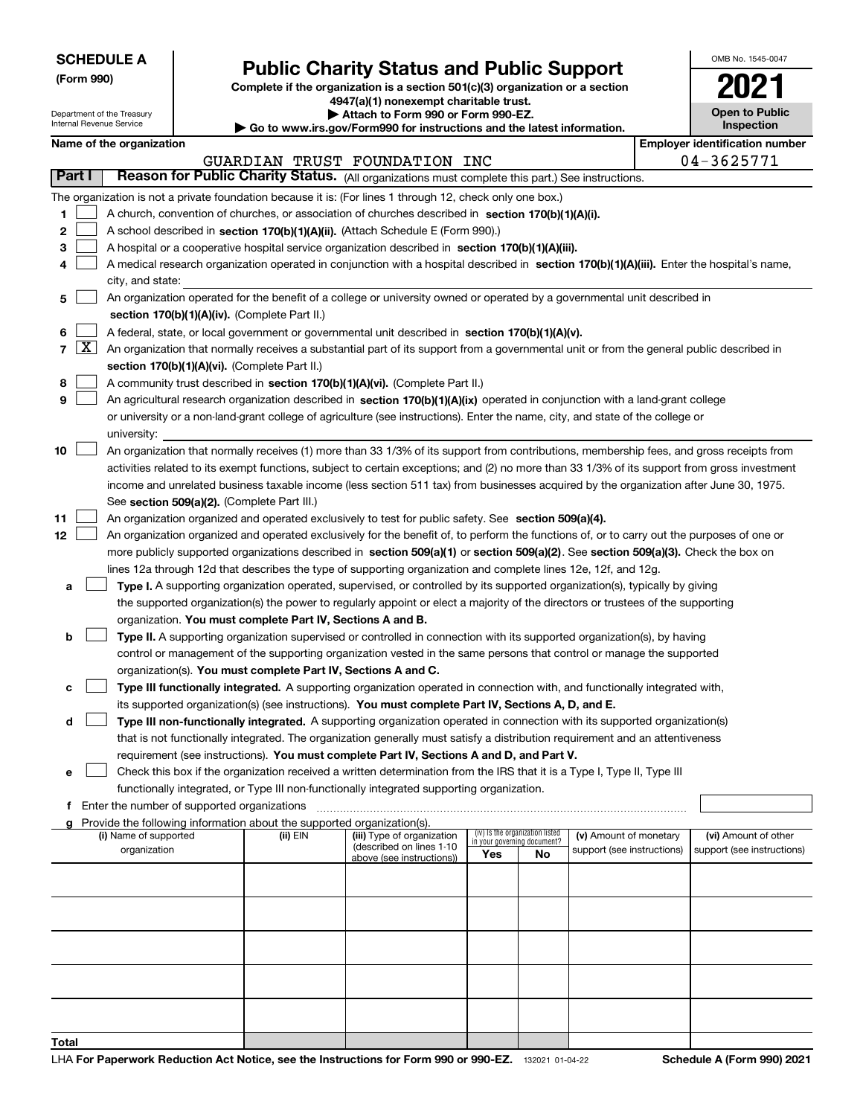Department of the Treasury Internal Revenue Service

**(Form 990)**

### **Public Charity Status and Public Support**

**Complete if the organization is a section 501(c)(3) organization or a section 4947(a)(1) nonexempt charitable trust.**

**| Attach to Form 990 or Form 990-EZ.** 

**| Go to www.irs.gov/Form990 for instructions and the latest information.**

| OMB No. 1545-0047                   |
|-------------------------------------|
| 202                                 |
| <b>Open to Public</b><br>Inspection |

| Name of the organization |  |  |
|--------------------------|--|--|
|--------------------------|--|--|

|                |                     | Name of the organization                                                                                                                                                                                                                                       |          |                                                        |                                                                |    |                            |  | <b>Employer identification number</b> |
|----------------|---------------------|----------------------------------------------------------------------------------------------------------------------------------------------------------------------------------------------------------------------------------------------------------------|----------|--------------------------------------------------------|----------------------------------------------------------------|----|----------------------------|--|---------------------------------------|
|                |                     |                                                                                                                                                                                                                                                                |          | GUARDIAN TRUST FOUNDATION INC                          |                                                                |    |                            |  | 04-3625771                            |
| Part I         |                     | Reason for Public Charity Status. (All organizations must complete this part.) See instructions.                                                                                                                                                               |          |                                                        |                                                                |    |                            |  |                                       |
|                |                     | The organization is not a private foundation because it is: (For lines 1 through 12, check only one box.)                                                                                                                                                      |          |                                                        |                                                                |    |                            |  |                                       |
| 1              |                     | A church, convention of churches, or association of churches described in section 170(b)(1)(A)(i).                                                                                                                                                             |          |                                                        |                                                                |    |                            |  |                                       |
| 2              |                     | A school described in section 170(b)(1)(A)(ii). (Attach Schedule E (Form 990).)                                                                                                                                                                                |          |                                                        |                                                                |    |                            |  |                                       |
| З              |                     | A hospital or a cooperative hospital service organization described in section 170(b)(1)(A)(iii).                                                                                                                                                              |          |                                                        |                                                                |    |                            |  |                                       |
| 4              |                     | A medical research organization operated in conjunction with a hospital described in section 170(b)(1)(A)(iii). Enter the hospital's name,                                                                                                                     |          |                                                        |                                                                |    |                            |  |                                       |
|                |                     | city, and state:                                                                                                                                                                                                                                               |          |                                                        |                                                                |    |                            |  |                                       |
| 5              |                     | An organization operated for the benefit of a college or university owned or operated by a governmental unit described in                                                                                                                                      |          |                                                        |                                                                |    |                            |  |                                       |
|                |                     | section 170(b)(1)(A)(iv). (Complete Part II.)                                                                                                                                                                                                                  |          |                                                        |                                                                |    |                            |  |                                       |
| 6              |                     | A federal, state, or local government or governmental unit described in section 170(b)(1)(A)(v).                                                                                                                                                               |          |                                                        |                                                                |    |                            |  |                                       |
| $\overline{7}$ | $\lfloor x \rfloor$ | An organization that normally receives a substantial part of its support from a governmental unit or from the general public described in                                                                                                                      |          |                                                        |                                                                |    |                            |  |                                       |
|                |                     | section 170(b)(1)(A)(vi). (Complete Part II.)                                                                                                                                                                                                                  |          |                                                        |                                                                |    |                            |  |                                       |
| 8              |                     | A community trust described in section 170(b)(1)(A)(vi). (Complete Part II.)                                                                                                                                                                                   |          |                                                        |                                                                |    |                            |  |                                       |
| 9              |                     | An agricultural research organization described in section 170(b)(1)(A)(ix) operated in conjunction with a land-grant college                                                                                                                                  |          |                                                        |                                                                |    |                            |  |                                       |
|                |                     | or university or a non-land-grant college of agriculture (see instructions). Enter the name, city, and state of the college or                                                                                                                                 |          |                                                        |                                                                |    |                            |  |                                       |
|                |                     | university:                                                                                                                                                                                                                                                    |          |                                                        |                                                                |    |                            |  |                                       |
| 10             |                     | An organization that normally receives (1) more than 33 1/3% of its support from contributions, membership fees, and gross receipts from                                                                                                                       |          |                                                        |                                                                |    |                            |  |                                       |
|                |                     | activities related to its exempt functions, subject to certain exceptions; and (2) no more than 33 1/3% of its support from gross investment                                                                                                                   |          |                                                        |                                                                |    |                            |  |                                       |
|                |                     | income and unrelated business taxable income (less section 511 tax) from businesses acquired by the organization after June 30, 1975.                                                                                                                          |          |                                                        |                                                                |    |                            |  |                                       |
|                |                     | See section 509(a)(2). (Complete Part III.)                                                                                                                                                                                                                    |          |                                                        |                                                                |    |                            |  |                                       |
| 11             |                     | An organization organized and operated exclusively to test for public safety. See section 509(a)(4).                                                                                                                                                           |          |                                                        |                                                                |    |                            |  |                                       |
| 12             |                     | An organization organized and operated exclusively for the benefit of, to perform the functions of, or to carry out the purposes of one or                                                                                                                     |          |                                                        |                                                                |    |                            |  |                                       |
|                |                     | more publicly supported organizations described in section 509(a)(1) or section 509(a)(2). See section 509(a)(3). Check the box on                                                                                                                             |          |                                                        |                                                                |    |                            |  |                                       |
|                |                     | lines 12a through 12d that describes the type of supporting organization and complete lines 12e, 12f, and 12g.                                                                                                                                                 |          |                                                        |                                                                |    |                            |  |                                       |
| а              |                     | Type I. A supporting organization operated, supervised, or controlled by its supported organization(s), typically by giving<br>the supported organization(s) the power to regularly appoint or elect a majority of the directors or trustees of the supporting |          |                                                        |                                                                |    |                            |  |                                       |
|                |                     | organization. You must complete Part IV, Sections A and B.                                                                                                                                                                                                     |          |                                                        |                                                                |    |                            |  |                                       |
| b              |                     | Type II. A supporting organization supervised or controlled in connection with its supported organization(s), by having                                                                                                                                        |          |                                                        |                                                                |    |                            |  |                                       |
|                |                     | control or management of the supporting organization vested in the same persons that control or manage the supported                                                                                                                                           |          |                                                        |                                                                |    |                            |  |                                       |
|                |                     | organization(s). You must complete Part IV, Sections A and C.                                                                                                                                                                                                  |          |                                                        |                                                                |    |                            |  |                                       |
| с              |                     | Type III functionally integrated. A supporting organization operated in connection with, and functionally integrated with,                                                                                                                                     |          |                                                        |                                                                |    |                            |  |                                       |
|                |                     | its supported organization(s) (see instructions). You must complete Part IV, Sections A, D, and E.                                                                                                                                                             |          |                                                        |                                                                |    |                            |  |                                       |
| d              |                     | Type III non-functionally integrated. A supporting organization operated in connection with its supported organization(s)                                                                                                                                      |          |                                                        |                                                                |    |                            |  |                                       |
|                |                     | that is not functionally integrated. The organization generally must satisfy a distribution requirement and an attentiveness                                                                                                                                   |          |                                                        |                                                                |    |                            |  |                                       |
|                |                     | requirement (see instructions). You must complete Part IV, Sections A and D, and Part V.                                                                                                                                                                       |          |                                                        |                                                                |    |                            |  |                                       |
| е              |                     | Check this box if the organization received a written determination from the IRS that it is a Type I, Type II, Type III                                                                                                                                        |          |                                                        |                                                                |    |                            |  |                                       |
|                |                     | functionally integrated, or Type III non-functionally integrated supporting organization.                                                                                                                                                                      |          |                                                        |                                                                |    |                            |  |                                       |
| f.             |                     | Enter the number of supported organizations                                                                                                                                                                                                                    |          |                                                        |                                                                |    |                            |  |                                       |
|                |                     | g Provide the following information about the supported organization(s).                                                                                                                                                                                       |          |                                                        |                                                                |    |                            |  |                                       |
|                |                     | (i) Name of supported                                                                                                                                                                                                                                          | (ii) EIN | (iii) Type of organization<br>(described on lines 1-10 | (iv) Is the organization listed<br>in your governing document? |    | (v) Amount of monetary     |  | (vi) Amount of other                  |
|                |                     | organization                                                                                                                                                                                                                                                   |          | above (see instructions))                              | Yes                                                            | No | support (see instructions) |  | support (see instructions)            |
|                |                     |                                                                                                                                                                                                                                                                |          |                                                        |                                                                |    |                            |  |                                       |
|                |                     |                                                                                                                                                                                                                                                                |          |                                                        |                                                                |    |                            |  |                                       |
|                |                     |                                                                                                                                                                                                                                                                |          |                                                        |                                                                |    |                            |  |                                       |
|                |                     |                                                                                                                                                                                                                                                                |          |                                                        |                                                                |    |                            |  |                                       |
|                |                     |                                                                                                                                                                                                                                                                |          |                                                        |                                                                |    |                            |  |                                       |
|                |                     |                                                                                                                                                                                                                                                                |          |                                                        |                                                                |    |                            |  |                                       |
|                |                     |                                                                                                                                                                                                                                                                |          |                                                        |                                                                |    |                            |  |                                       |
|                |                     |                                                                                                                                                                                                                                                                |          |                                                        |                                                                |    |                            |  |                                       |
|                |                     |                                                                                                                                                                                                                                                                |          |                                                        |                                                                |    |                            |  |                                       |
| Total          |                     |                                                                                                                                                                                                                                                                |          |                                                        |                                                                |    |                            |  |                                       |
|                |                     |                                                                                                                                                                                                                                                                |          |                                                        |                                                                |    |                            |  |                                       |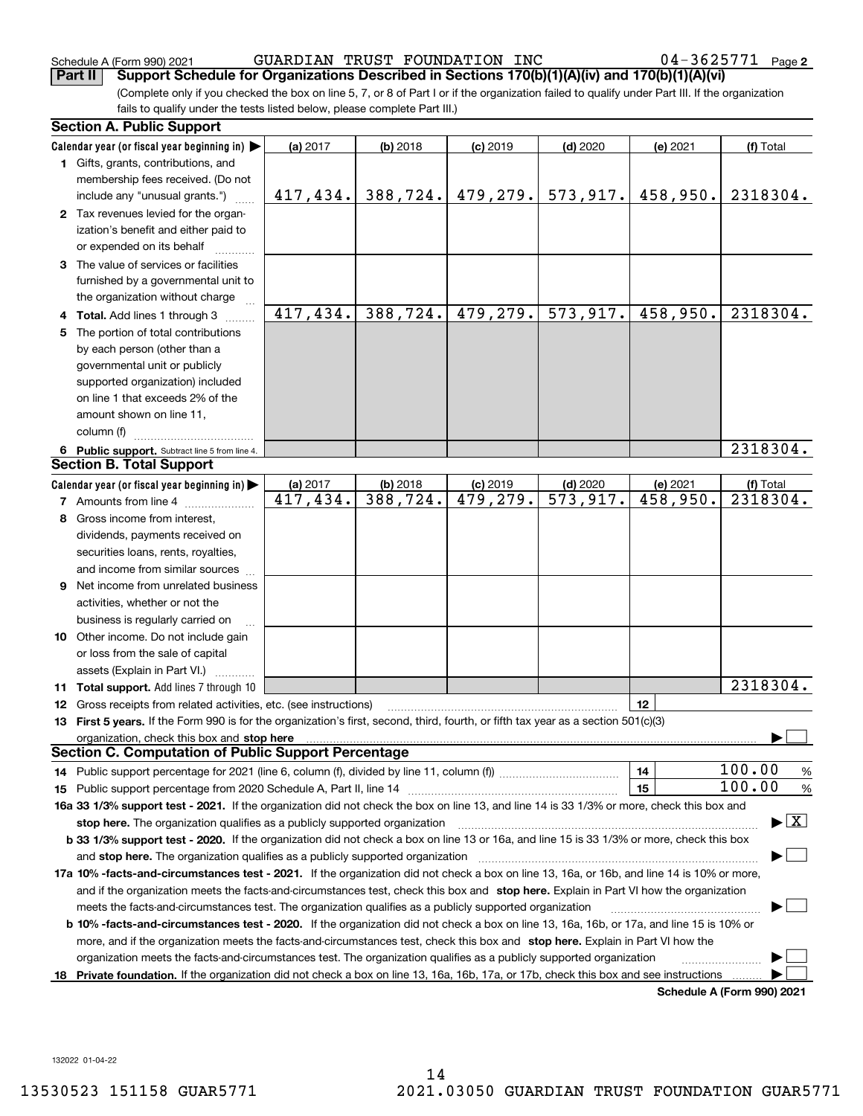(Complete only if you checked the box on line 5, 7, or 8 of Part I or if the organization failed to qualify under Part III. If the organization fails to qualify under the tests listed below, please complete Part III.) **Part II Support Schedule for Organizations Described in Sections 170(b)(1)(A)(iv) and 170(b)(1)(A)(vi)**

|    | <b>Section A. Public Support</b>                                                                                                               |           |            |            |            |          |                                          |
|----|------------------------------------------------------------------------------------------------------------------------------------------------|-----------|------------|------------|------------|----------|------------------------------------------|
|    | Calendar year (or fiscal year beginning in) $\blacktriangleright$                                                                              | (a) 2017  | (b) 2018   | $(c)$ 2019 | $(d)$ 2020 | (e) 2021 | (f) Total                                |
|    | 1 Gifts, grants, contributions, and                                                                                                            |           |            |            |            |          |                                          |
|    | membership fees received. (Do not                                                                                                              |           |            |            |            |          |                                          |
|    | include any "unusual grants.")                                                                                                                 | 417, 434. | 388, 724.  | 479, 279.  | 573, 917.  | 458,950. | 2318304.                                 |
|    | 2 Tax revenues levied for the organ-                                                                                                           |           |            |            |            |          |                                          |
|    | ization's benefit and either paid to                                                                                                           |           |            |            |            |          |                                          |
|    | or expended on its behalf                                                                                                                      |           |            |            |            |          |                                          |
|    | 3 The value of services or facilities                                                                                                          |           |            |            |            |          |                                          |
|    | furnished by a governmental unit to                                                                                                            |           |            |            |            |          |                                          |
|    | the organization without charge                                                                                                                |           |            |            |            |          |                                          |
|    | 4 Total. Add lines 1 through 3                                                                                                                 | 417,434.  | 388, 724.  | 479, 279.  | 573,917.   | 458,950. | 2318304.                                 |
| 5. | The portion of total contributions                                                                                                             |           |            |            |            |          |                                          |
|    | by each person (other than a                                                                                                                   |           |            |            |            |          |                                          |
|    | governmental unit or publicly                                                                                                                  |           |            |            |            |          |                                          |
|    | supported organization) included                                                                                                               |           |            |            |            |          |                                          |
|    | on line 1 that exceeds 2% of the                                                                                                               |           |            |            |            |          |                                          |
|    | amount shown on line 11,                                                                                                                       |           |            |            |            |          |                                          |
|    | column (f)                                                                                                                                     |           |            |            |            |          |                                          |
|    | 6 Public support. Subtract line 5 from line 4.                                                                                                 |           |            |            |            |          | 2318304.                                 |
|    | <b>Section B. Total Support</b>                                                                                                                |           |            |            |            |          |                                          |
|    | Calendar year (or fiscal year beginning in) $\blacktriangleright$                                                                              | (a) 2017  | $(b)$ 2018 | $(c)$ 2019 | $(d)$ 2020 | (e) 2021 | (f) Total                                |
|    | <b>7</b> Amounts from line 4                                                                                                                   | 417, 434. | 388, 724.  | 479,279.   | 573,917.   | 458,950. | 2318304.                                 |
|    | 8 Gross income from interest,                                                                                                                  |           |            |            |            |          |                                          |
|    | dividends, payments received on                                                                                                                |           |            |            |            |          |                                          |
|    | securities loans, rents, royalties,                                                                                                            |           |            |            |            |          |                                          |
|    | and income from similar sources                                                                                                                |           |            |            |            |          |                                          |
|    | <b>9</b> Net income from unrelated business                                                                                                    |           |            |            |            |          |                                          |
|    | activities, whether or not the                                                                                                                 |           |            |            |            |          |                                          |
|    | business is regularly carried on                                                                                                               |           |            |            |            |          |                                          |
|    | <b>10</b> Other income. Do not include gain                                                                                                    |           |            |            |            |          |                                          |
|    | or loss from the sale of capital                                                                                                               |           |            |            |            |          |                                          |
|    | assets (Explain in Part VI.)                                                                                                                   |           |            |            |            |          |                                          |
|    | <b>11 Total support.</b> Add lines 7 through 10                                                                                                |           |            |            |            |          | 2318304.                                 |
|    | <b>12</b> Gross receipts from related activities, etc. (see instructions)                                                                      |           |            |            |            | 12       |                                          |
|    | 13 First 5 years. If the Form 990 is for the organization's first, second, third, fourth, or fifth tax year as a section 501(c)(3)             |           |            |            |            |          |                                          |
|    |                                                                                                                                                |           |            |            |            |          |                                          |
|    | Section C. Computation of Public Support Percentage                                                                                            |           |            |            |            |          |                                          |
|    |                                                                                                                                                |           |            |            |            | 14       | 100.00<br>%                              |
|    |                                                                                                                                                |           |            |            |            | 15       | 100.00<br>%                              |
|    | 16a 33 1/3% support test - 2021. If the organization did not check the box on line 13, and line 14 is 33 1/3% or more, check this box and      |           |            |            |            |          |                                          |
|    | stop here. The organization qualifies as a publicly supported organization                                                                     |           |            |            |            |          | $\blacktriangleright$ $\boxed{\text{X}}$ |
|    | b 33 1/3% support test - 2020. If the organization did not check a box on line 13 or 16a, and line 15 is 33 1/3% or more, check this box       |           |            |            |            |          |                                          |
|    | and stop here. The organization qualifies as a publicly supported organization                                                                 |           |            |            |            |          |                                          |
|    | 17a 10% -facts-and-circumstances test - 2021. If the organization did not check a box on line 13, 16a, or 16b, and line 14 is 10% or more,     |           |            |            |            |          |                                          |
|    | and if the organization meets the facts-and-circumstances test, check this box and stop here. Explain in Part VI how the organization          |           |            |            |            |          |                                          |
|    | meets the facts-and-circumstances test. The organization qualifies as a publicly supported organization                                        |           |            |            |            |          |                                          |
|    | <b>b 10% -facts-and-circumstances test - 2020.</b> If the organization did not check a box on line 13, 16a, 16b, or 17a, and line 15 is 10% or |           |            |            |            |          |                                          |
|    | more, and if the organization meets the facts-and-circumstances test, check this box and stop here. Explain in Part VI how the                 |           |            |            |            |          |                                          |
|    | organization meets the facts-and-circumstances test. The organization qualifies as a publicly supported organization                           |           |            |            |            |          |                                          |
|    | 18 Private foundation. If the organization did not check a box on line 13, 16a, 16b, 17a, or 17b, check this box and see instructions          |           |            |            |            |          |                                          |
|    |                                                                                                                                                |           |            |            |            |          | Schedule A (Form 990) 2021               |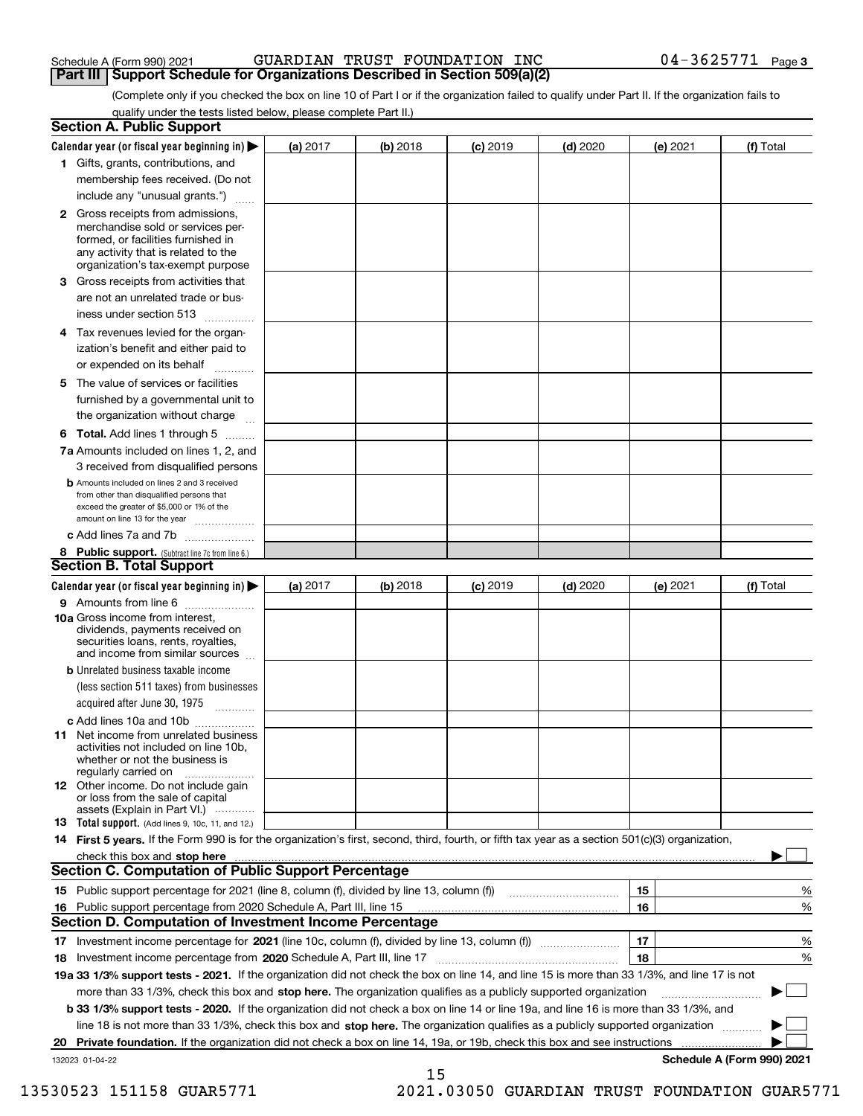| Schedule A (Form 990) 2021 |  |  |
|----------------------------|--|--|
|                            |  |  |

#### Schedule A (Form 990) 2021 GUARDIAN TRUST FOUNDATION INC 0 4-3 6 2 5 7 7 1 Page **Part III | Support Schedule for Organizations Described in Section 509(a)(2)**

(Complete only if you checked the box on line 10 of Part I or if the organization failed to qualify under Part II. If the organization fails to qualify under the tests listed below, please complete Part II.)

|     | <b>Section A. Public Support</b>                                                                                                                                                                                               |          |          |            |            |          |                            |
|-----|--------------------------------------------------------------------------------------------------------------------------------------------------------------------------------------------------------------------------------|----------|----------|------------|------------|----------|----------------------------|
|     | Calendar year (or fiscal year beginning in) $\blacktriangleright$                                                                                                                                                              | (a) 2017 | (b) 2018 | $(c)$ 2019 | $(d)$ 2020 | (e) 2021 | (f) Total                  |
|     | 1 Gifts, grants, contributions, and                                                                                                                                                                                            |          |          |            |            |          |                            |
|     | membership fees received. (Do not                                                                                                                                                                                              |          |          |            |            |          |                            |
|     | include any "unusual grants.")                                                                                                                                                                                                 |          |          |            |            |          |                            |
|     | <b>2</b> Gross receipts from admissions,<br>merchandise sold or services per-<br>formed, or facilities furnished in<br>any activity that is related to the<br>organization's tax-exempt purpose                                |          |          |            |            |          |                            |
|     | 3 Gross receipts from activities that<br>are not an unrelated trade or bus-                                                                                                                                                    |          |          |            |            |          |                            |
|     | iness under section 513                                                                                                                                                                                                        |          |          |            |            |          |                            |
|     | 4 Tax revenues levied for the organ-<br>ization's benefit and either paid to<br>or expended on its behalf                                                                                                                      |          |          |            |            |          |                            |
|     | 5 The value of services or facilities                                                                                                                                                                                          |          |          |            |            |          |                            |
|     | furnished by a governmental unit to<br>the organization without charge                                                                                                                                                         |          |          |            |            |          |                            |
|     | <b>6 Total.</b> Add lines 1 through 5                                                                                                                                                                                          |          |          |            |            |          |                            |
|     | 7a Amounts included on lines 1, 2, and<br>3 received from disqualified persons                                                                                                                                                 |          |          |            |            |          |                            |
|     | <b>b</b> Amounts included on lines 2 and 3 received                                                                                                                                                                            |          |          |            |            |          |                            |
|     | from other than disqualified persons that<br>exceed the greater of \$5,000 or 1% of the<br>amount on line 13 for the year                                                                                                      |          |          |            |            |          |                            |
|     | c Add lines 7a and 7b                                                                                                                                                                                                          |          |          |            |            |          |                            |
|     | 8 Public support. (Subtract line 7c from line 6.)                                                                                                                                                                              |          |          |            |            |          |                            |
|     | <b>Section B. Total Support</b>                                                                                                                                                                                                |          |          |            |            |          |                            |
|     | Calendar year (or fiscal year beginning in)                                                                                                                                                                                    | (a) 2017 | (b) 2018 | $(c)$ 2019 | $(d)$ 2020 | (e) 2021 | (f) Total                  |
|     | 9 Amounts from line 6                                                                                                                                                                                                          |          |          |            |            |          |                            |
|     | <b>10a</b> Gross income from interest,<br>dividends, payments received on<br>securities loans, rents, royalties,<br>and income from similar sources                                                                            |          |          |            |            |          |                            |
|     | <b>b</b> Unrelated business taxable income                                                                                                                                                                                     |          |          |            |            |          |                            |
|     | (less section 511 taxes) from businesses                                                                                                                                                                                       |          |          |            |            |          |                            |
|     | acquired after June 30, 1975                                                                                                                                                                                                   |          |          |            |            |          |                            |
|     | c Add lines 10a and 10b<br>11 Net income from unrelated business<br>activities not included on line 10b,<br>whether or not the business is<br>regularly carried on                                                             |          |          |            |            |          |                            |
|     | <b>12</b> Other income. Do not include gain<br>or loss from the sale of capital<br>assets (Explain in Part VI.)                                                                                                                |          |          |            |            |          |                            |
|     | 13 Total support. (Add lines 9, 10c, 11, and 12.)                                                                                                                                                                              |          |          |            |            |          |                            |
|     | 14 First 5 years. If the Form 990 is for the organization's first, second, third, fourth, or fifth tax year as a section 501(c)(3) organization,                                                                               |          |          |            |            |          |                            |
|     | check this box and stop here with the continuum control to the change of the state of the state of the change of the state of the change of the change of the state of the change of the change of the change of the change of |          |          |            |            |          |                            |
|     | <b>Section C. Computation of Public Support Percentage</b>                                                                                                                                                                     |          |          |            |            |          |                            |
|     | 15 Public support percentage for 2021 (line 8, column (f), divided by line 13, column (f))                                                                                                                                     |          |          |            |            | 15       | %                          |
| 16. | Public support percentage from 2020 Schedule A, Part III, line 15                                                                                                                                                              |          |          |            |            | 16       | %                          |
|     | <b>Section D. Computation of Investment Income Percentage</b>                                                                                                                                                                  |          |          |            |            |          |                            |
|     | 17 Investment income percentage for 2021 (line 10c, column (f), divided by line 13, column (f))                                                                                                                                |          |          |            |            | 17       | %                          |
|     | 18 Investment income percentage from 2020 Schedule A, Part III, line 17                                                                                                                                                        |          |          |            |            | 18       | %                          |
|     | 19a 33 1/3% support tests - 2021. If the organization did not check the box on line 14, and line 15 is more than 33 1/3%, and line 17 is not                                                                                   |          |          |            |            |          |                            |
|     | more than 33 1/3%, check this box and stop here. The organization qualifies as a publicly supported organization                                                                                                               |          |          |            |            |          |                            |
|     | b 33 1/3% support tests - 2020. If the organization did not check a box on line 14 or line 19a, and line 16 is more than 33 1/3%, and                                                                                          |          |          |            |            |          |                            |
|     | line 18 is not more than 33 1/3%, check this box and stop here. The organization qualifies as a publicly supported organization                                                                                                |          |          |            |            |          |                            |
| 20  | Private foundation. If the organization did not check a box on line 14, 19a, or 19b, check this box and see instructions                                                                                                       |          |          |            |            |          |                            |
|     | 132023 01-04-22                                                                                                                                                                                                                |          |          |            |            |          | Schedule A (Form 990) 2021 |

15

 <sup>13530523 151158</sup> GUAR5771 2021.03050 GUARDIAN TRUST FOUNDATION GUAR5771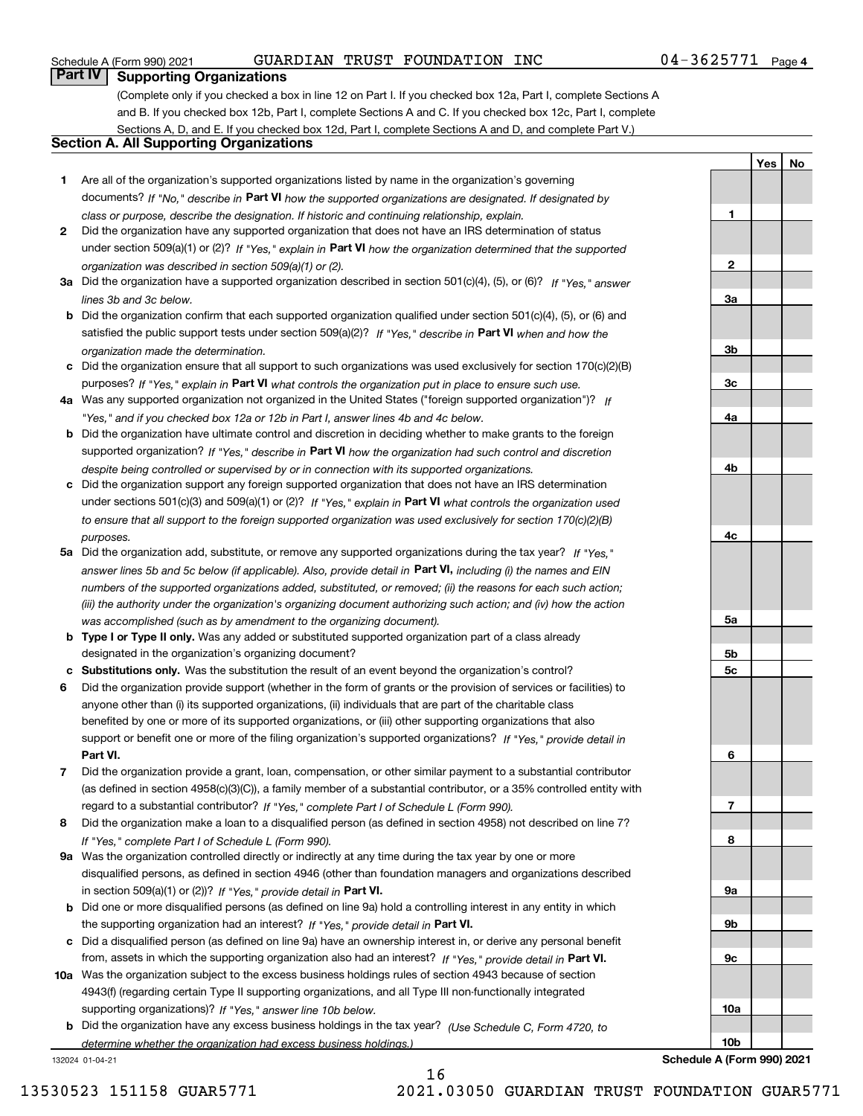**1**

**2**

**3a**

**3b**

**3c**

**4a**

**4b**

**4c**

**YesNo**

### **Part IV Supporting Organizations**

(Complete only if you checked a box in line 12 on Part I. If you checked box 12a, Part I, complete Sections A and B. If you checked box 12b, Part I, complete Sections A and C. If you checked box 12c, Part I, complete Sections A, D, and E. If you checked box 12d, Part I, complete Sections A and D, and complete Part V.)

### **Section A. All Supporting Organizations**

- **1** Are all of the organization's supported organizations listed by name in the organization's governing documents? If "No," describe in **Part VI** how the supported organizations are designated. If designated by *class or purpose, describe the designation. If historic and continuing relationship, explain.*
- **2** Did the organization have any supported organization that does not have an IRS determination of status under section 509(a)(1) or (2)? If "Yes," explain in Part VI how the organization determined that the supported *organization was described in section 509(a)(1) or (2).*
- **3a** Did the organization have a supported organization described in section 501(c)(4), (5), or (6)? If "Yes," answer *lines 3b and 3c below.*
- **b** Did the organization confirm that each supported organization qualified under section 501(c)(4), (5), or (6) and satisfied the public support tests under section 509(a)(2)? If "Yes," describe in **Part VI** when and how the *organization made the determination.*
- **c**Did the organization ensure that all support to such organizations was used exclusively for section 170(c)(2)(B) purposes? If "Yes," explain in **Part VI** what controls the organization put in place to ensure such use.
- **4a***If* Was any supported organization not organized in the United States ("foreign supported organization")? *"Yes," and if you checked box 12a or 12b in Part I, answer lines 4b and 4c below.*
- **b** Did the organization have ultimate control and discretion in deciding whether to make grants to the foreign supported organization? If "Yes," describe in **Part VI** how the organization had such control and discretion *despite being controlled or supervised by or in connection with its supported organizations.*
- **c** Did the organization support any foreign supported organization that does not have an IRS determination under sections 501(c)(3) and 509(a)(1) or (2)? If "Yes," explain in **Part VI** what controls the organization used *to ensure that all support to the foreign supported organization was used exclusively for section 170(c)(2)(B) purposes.*
- **5a** Did the organization add, substitute, or remove any supported organizations during the tax year? If "Yes," answer lines 5b and 5c below (if applicable). Also, provide detail in **Part VI,** including (i) the names and EIN *numbers of the supported organizations added, substituted, or removed; (ii) the reasons for each such action; (iii) the authority under the organization's organizing document authorizing such action; and (iv) how the action was accomplished (such as by amendment to the organizing document).*
- **b** Type I or Type II only. Was any added or substituted supported organization part of a class already designated in the organization's organizing document?
- **cSubstitutions only.**  Was the substitution the result of an event beyond the organization's control?
- **6** Did the organization provide support (whether in the form of grants or the provision of services or facilities) to **Part VI.** *If "Yes," provide detail in* support or benefit one or more of the filing organization's supported organizations? anyone other than (i) its supported organizations, (ii) individuals that are part of the charitable class benefited by one or more of its supported organizations, or (iii) other supporting organizations that also
- **7**Did the organization provide a grant, loan, compensation, or other similar payment to a substantial contributor *If "Yes," complete Part I of Schedule L (Form 990).* regard to a substantial contributor? (as defined in section 4958(c)(3)(C)), a family member of a substantial contributor, or a 35% controlled entity with
- **8** Did the organization make a loan to a disqualified person (as defined in section 4958) not described on line 7? *If "Yes," complete Part I of Schedule L (Form 990).*
- **9a** Was the organization controlled directly or indirectly at any time during the tax year by one or more in section 509(a)(1) or (2))? If "Yes," *provide detail in* <code>Part VI.</code> disqualified persons, as defined in section 4946 (other than foundation managers and organizations described
- **b** Did one or more disqualified persons (as defined on line 9a) hold a controlling interest in any entity in which the supporting organization had an interest? If "Yes," provide detail in P**art VI**.
- **c**Did a disqualified person (as defined on line 9a) have an ownership interest in, or derive any personal benefit from, assets in which the supporting organization also had an interest? If "Yes," provide detail in P**art VI.**
- **10a** Was the organization subject to the excess business holdings rules of section 4943 because of section supporting organizations)? If "Yes," answer line 10b below. 4943(f) (regarding certain Type II supporting organizations, and all Type III non-functionally integrated
- **b** Did the organization have any excess business holdings in the tax year? (Use Schedule C, Form 4720, to *determine whether the organization had excess business holdings.)*

132024 01-04-21



**Schedule A (Form 990) 2021**

16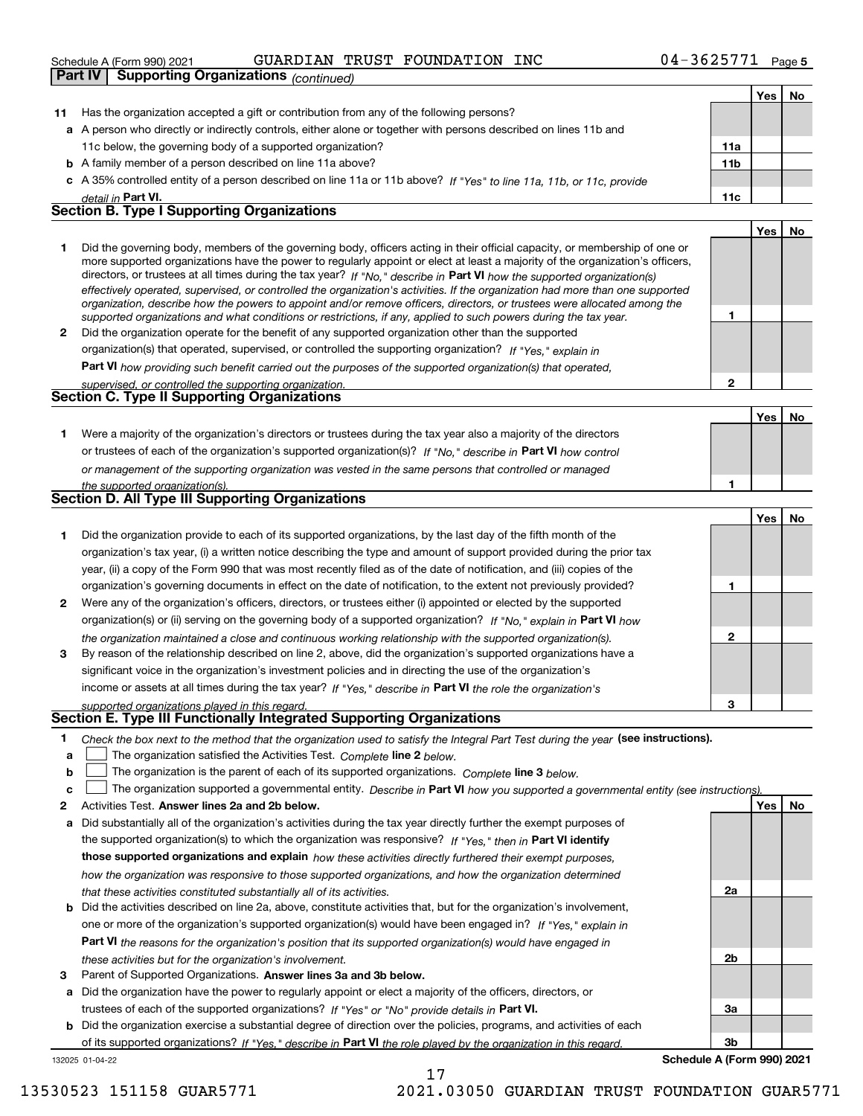|    | <b>PCLIGATION HIGHLER (LOLITIES AND ARE</b><br>GOAKDIAN IRODI FOONDAIION                                                                                                                                                                                                                                                                                                                                                                                                                                                                                                                                                                             |                 |     | raue o |
|----|------------------------------------------------------------------------------------------------------------------------------------------------------------------------------------------------------------------------------------------------------------------------------------------------------------------------------------------------------------------------------------------------------------------------------------------------------------------------------------------------------------------------------------------------------------------------------------------------------------------------------------------------------|-----------------|-----|--------|
|    | <b>Part IV</b><br><b>Supporting Organizations (continued)</b>                                                                                                                                                                                                                                                                                                                                                                                                                                                                                                                                                                                        |                 |     |        |
|    |                                                                                                                                                                                                                                                                                                                                                                                                                                                                                                                                                                                                                                                      |                 | Yes | No     |
| 11 | Has the organization accepted a gift or contribution from any of the following persons?                                                                                                                                                                                                                                                                                                                                                                                                                                                                                                                                                              |                 |     |        |
|    | a A person who directly or indirectly controls, either alone or together with persons described on lines 11b and                                                                                                                                                                                                                                                                                                                                                                                                                                                                                                                                     |                 |     |        |
|    | 11c below, the governing body of a supported organization?                                                                                                                                                                                                                                                                                                                                                                                                                                                                                                                                                                                           | 11a             |     |        |
|    | <b>b</b> A family member of a person described on line 11a above?                                                                                                                                                                                                                                                                                                                                                                                                                                                                                                                                                                                    | 11 <sub>b</sub> |     |        |
| c  | A 35% controlled entity of a person described on line 11a or 11b above? If "Yes" to line 11a, 11b, or 11c, provide                                                                                                                                                                                                                                                                                                                                                                                                                                                                                                                                   |                 |     |        |
|    | detail in Part VI.                                                                                                                                                                                                                                                                                                                                                                                                                                                                                                                                                                                                                                   | 11c             |     |        |
|    | <b>Section B. Type I Supporting Organizations</b>                                                                                                                                                                                                                                                                                                                                                                                                                                                                                                                                                                                                    |                 |     |        |
|    |                                                                                                                                                                                                                                                                                                                                                                                                                                                                                                                                                                                                                                                      |                 | Yes | No     |
| 1  | Did the governing body, members of the governing body, officers acting in their official capacity, or membership of one or<br>more supported organizations have the power to regularly appoint or elect at least a majority of the organization's officers,<br>directors, or trustees at all times during the tax year? If "No," describe in Part VI how the supported organization(s)<br>effectively operated, supervised, or controlled the organization's activities. If the organization had more than one supported<br>organization, describe how the powers to appoint and/or remove officers, directors, or trustees were allocated among the |                 |     |        |
|    | supported organizations and what conditions or restrictions, if any, applied to such powers during the tax year.                                                                                                                                                                                                                                                                                                                                                                                                                                                                                                                                     | 1               |     |        |
| 2  | Did the organization operate for the benefit of any supported organization other than the supported                                                                                                                                                                                                                                                                                                                                                                                                                                                                                                                                                  |                 |     |        |
|    | organization(s) that operated, supervised, or controlled the supporting organization? If "Yes," explain in                                                                                                                                                                                                                                                                                                                                                                                                                                                                                                                                           |                 |     |        |
|    | Part VI how providing such benefit carried out the purposes of the supported organization(s) that operated,                                                                                                                                                                                                                                                                                                                                                                                                                                                                                                                                          |                 |     |        |
|    | supervised, or controlled the supporting organization.                                                                                                                                                                                                                                                                                                                                                                                                                                                                                                                                                                                               | $\mathbf{2}$    |     |        |
|    | <b>Section C. Type II Supporting Organizations</b>                                                                                                                                                                                                                                                                                                                                                                                                                                                                                                                                                                                                   |                 |     |        |
|    |                                                                                                                                                                                                                                                                                                                                                                                                                                                                                                                                                                                                                                                      |                 | Yes | No     |
| 1. | Were a majority of the organization's directors or trustees during the tax year also a majority of the directors                                                                                                                                                                                                                                                                                                                                                                                                                                                                                                                                     |                 |     |        |
|    | or trustees of each of the organization's supported organization(s)? If "No," describe in Part VI how control                                                                                                                                                                                                                                                                                                                                                                                                                                                                                                                                        |                 |     |        |
|    | or management of the supporting organization was vested in the same persons that controlled or managed                                                                                                                                                                                                                                                                                                                                                                                                                                                                                                                                               |                 |     |        |
|    | the supported organization(s).                                                                                                                                                                                                                                                                                                                                                                                                                                                                                                                                                                                                                       | 1               |     |        |
|    | Section D. All Type III Supporting Organizations                                                                                                                                                                                                                                                                                                                                                                                                                                                                                                                                                                                                     |                 |     |        |
|    |                                                                                                                                                                                                                                                                                                                                                                                                                                                                                                                                                                                                                                                      |                 | Yes | No     |
| 1  | Did the organization provide to each of its supported organizations, by the last day of the fifth month of the                                                                                                                                                                                                                                                                                                                                                                                                                                                                                                                                       |                 |     |        |
|    | organization's tax year, (i) a written notice describing the type and amount of support provided during the prior tax                                                                                                                                                                                                                                                                                                                                                                                                                                                                                                                                |                 |     |        |
|    | year, (ii) a copy of the Form 990 that was most recently filed as of the date of notification, and (iii) copies of the                                                                                                                                                                                                                                                                                                                                                                                                                                                                                                                               |                 |     |        |
|    | organization's governing documents in effect on the date of notification, to the extent not previously provided?                                                                                                                                                                                                                                                                                                                                                                                                                                                                                                                                     | 1               |     |        |
| 2  | Were any of the organization's officers, directors, or trustees either (i) appointed or elected by the supported                                                                                                                                                                                                                                                                                                                                                                                                                                                                                                                                     |                 |     |        |
|    | organization(s) or (ii) serving on the governing body of a supported organization? If "No," explain in Part VI how                                                                                                                                                                                                                                                                                                                                                                                                                                                                                                                                   |                 |     |        |
|    |                                                                                                                                                                                                                                                                                                                                                                                                                                                                                                                                                                                                                                                      | $\overline{2}$  |     |        |
| 3  | the organization maintained a close and continuous working relationship with the supported organization(s).<br>By reason of the relationship described on line 2, above, did the organization's supported organizations have a                                                                                                                                                                                                                                                                                                                                                                                                                       |                 |     |        |
|    |                                                                                                                                                                                                                                                                                                                                                                                                                                                                                                                                                                                                                                                      |                 |     |        |
|    | significant voice in the organization's investment policies and in directing the use of the organization's                                                                                                                                                                                                                                                                                                                                                                                                                                                                                                                                           |                 |     |        |
|    | income or assets at all times during the tax year? If "Yes," describe in Part VI the role the organization's                                                                                                                                                                                                                                                                                                                                                                                                                                                                                                                                         |                 |     |        |
|    | supported organizations played in this regard.<br>Section E. Type III Functionally Integrated Supporting Organizations                                                                                                                                                                                                                                                                                                                                                                                                                                                                                                                               | 3               |     |        |
|    |                                                                                                                                                                                                                                                                                                                                                                                                                                                                                                                                                                                                                                                      |                 |     |        |
| 1  | Check the box next to the method that the organization used to satisfy the Integral Part Test during the year (see instructions).                                                                                                                                                                                                                                                                                                                                                                                                                                                                                                                    |                 |     |        |
| a  | The organization satisfied the Activities Test. Complete line 2 below.                                                                                                                                                                                                                                                                                                                                                                                                                                                                                                                                                                               |                 |     |        |
| b  | The organization is the parent of each of its supported organizations. Complete line 3 below.                                                                                                                                                                                                                                                                                                                                                                                                                                                                                                                                                        |                 |     |        |
| c  | The organization supported a governmental entity. Describe in Part VI how you supported a governmental entity (see instructions)                                                                                                                                                                                                                                                                                                                                                                                                                                                                                                                     |                 |     |        |

**2Answer lines 2a and 2b below. Yes No** Activities Test.

- **a** Did substantially all of the organization's activities during the tax year directly further the exempt purposes of the supported organization(s) to which the organization was responsive? If "Yes," then in **Part VI identify those supported organizations and explain**  *how these activities directly furthered their exempt purposes, how the organization was responsive to those supported organizations, and how the organization determined that these activities constituted substantially all of its activities.*
- **b** Did the activities described on line 2a, above, constitute activities that, but for the organization's involvement, **Part VI**  *the reasons for the organization's position that its supported organization(s) would have engaged in* one or more of the organization's supported organization(s) would have been engaged in? If "Yes," e*xplain in these activities but for the organization's involvement.*
- **3** Parent of Supported Organizations. Answer lines 3a and 3b below.

**a** Did the organization have the power to regularly appoint or elect a majority of the officers, directors, or trustees of each of the supported organizations? If "Yes" or "No" provide details in **Part VI.** 

132025 01-04-22 **b** Did the organization exercise a substantial degree of direction over the policies, programs, and activities of each of its supported organizations? If "Yes," describe in Part VI the role played by the organization in this regard.

17

**3bSchedule A (Form 990) 2021**

**2a**

**2b**

**3a**

13530523 151158 GUAR5771 2021.03050 GUARDIAN TRUST FOUNDATION GUAR5771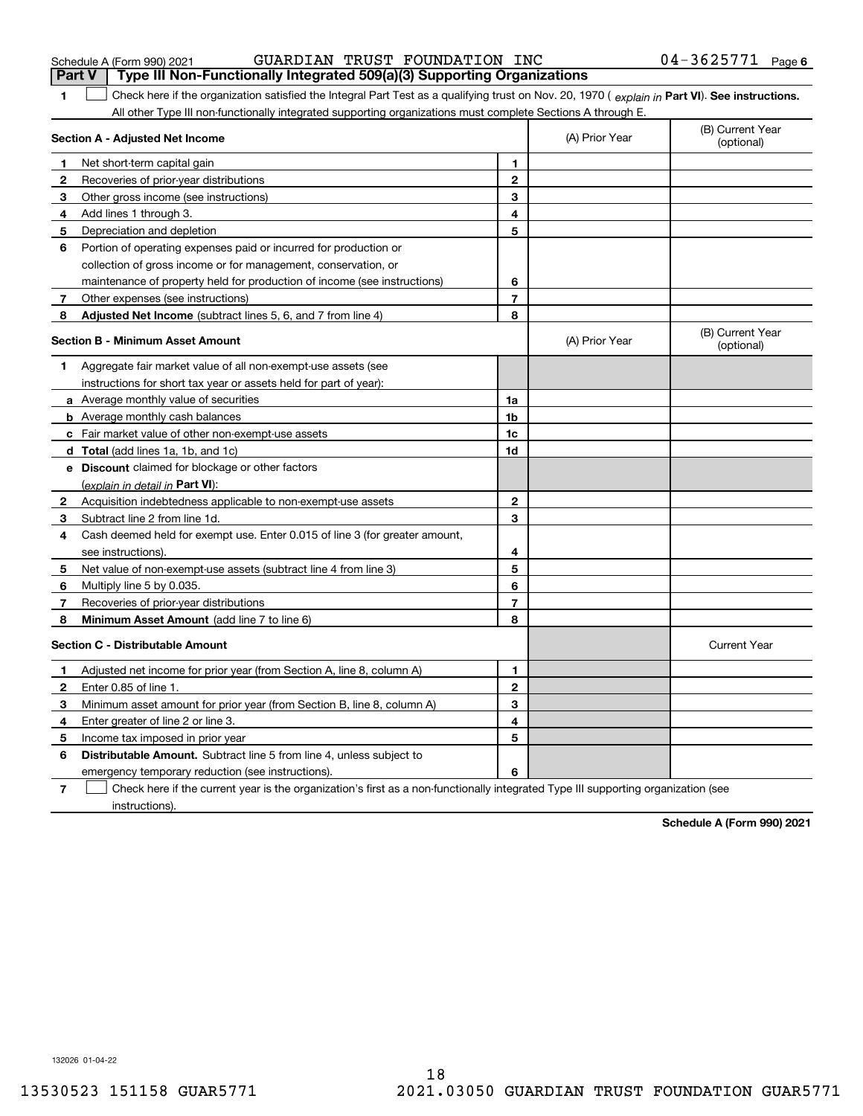| Schedule A (Form 990) 202 |  |  |
|---------------------------|--|--|
|---------------------------|--|--|

|              | <b>Part V</b><br>Type III Non-Functionally Integrated 509(a)(3) Supporting Organizations                                                       |                |                                |                                |
|--------------|------------------------------------------------------------------------------------------------------------------------------------------------|----------------|--------------------------------|--------------------------------|
| 1            | Check here if the organization satisfied the Integral Part Test as a qualifying trust on Nov. 20, 1970 (explain in Part VI). See instructions. |                |                                |                                |
|              | All other Type III non-functionally integrated supporting organizations must complete Sections A through E.                                    |                |                                |                                |
|              | Section A - Adjusted Net Income                                                                                                                | (A) Prior Year | (B) Current Year<br>(optional) |                                |
| 1            | Net short-term capital gain                                                                                                                    | 1              |                                |                                |
| $\mathbf{2}$ | Recoveries of prior-year distributions                                                                                                         | $\overline{2}$ |                                |                                |
| 3            | Other gross income (see instructions)                                                                                                          | 3              |                                |                                |
| 4            | Add lines 1 through 3.                                                                                                                         | 4              |                                |                                |
| 5            | Depreciation and depletion                                                                                                                     | 5              |                                |                                |
| 6            | Portion of operating expenses paid or incurred for production or                                                                               |                |                                |                                |
|              | collection of gross income or for management, conservation, or                                                                                 |                |                                |                                |
|              | maintenance of property held for production of income (see instructions)                                                                       | 6              |                                |                                |
| 7            | Other expenses (see instructions)                                                                                                              | $\overline{7}$ |                                |                                |
| 8            | <b>Adjusted Net Income</b> (subtract lines 5, 6, and 7 from line 4)                                                                            | 8              |                                |                                |
|              | <b>Section B - Minimum Asset Amount</b>                                                                                                        |                | (A) Prior Year                 | (B) Current Year<br>(optional) |
| 1            | Aggregate fair market value of all non-exempt-use assets (see                                                                                  |                |                                |                                |
|              | instructions for short tax year or assets held for part of year):                                                                              |                |                                |                                |
|              | <b>a</b> Average monthly value of securities                                                                                                   | 1a             |                                |                                |
|              | <b>b</b> Average monthly cash balances                                                                                                         | 1b             |                                |                                |
|              | c Fair market value of other non-exempt-use assets                                                                                             | 1c             |                                |                                |
|              | <b>d</b> Total (add lines 1a, 1b, and 1c)                                                                                                      | 1d             |                                |                                |
|              | e Discount claimed for blockage or other factors                                                                                               |                |                                |                                |
|              | (explain in detail in Part VI):                                                                                                                |                |                                |                                |
| $\mathbf{2}$ | Acquisition indebtedness applicable to non-exempt-use assets                                                                                   | $\mathbf{2}$   |                                |                                |
| 3            | Subtract line 2 from line 1d.                                                                                                                  | 3              |                                |                                |
| 4            | Cash deemed held for exempt use. Enter 0.015 of line 3 (for greater amount,                                                                    |                |                                |                                |
|              | see instructions).                                                                                                                             | 4              |                                |                                |
| 5            | Net value of non-exempt-use assets (subtract line 4 from line 3)                                                                               | 5              |                                |                                |
| 6            | Multiply line 5 by 0.035.                                                                                                                      | 6              |                                |                                |
| 7            | Recoveries of prior-year distributions                                                                                                         | 7              |                                |                                |
| 8            | Minimum Asset Amount (add line 7 to line 6)                                                                                                    | 8              |                                |                                |
|              | <b>Section C - Distributable Amount</b>                                                                                                        |                |                                | <b>Current Year</b>            |
| 1            | Adjusted net income for prior year (from Section A, line 8, column A)                                                                          | 1              |                                |                                |
| 2            | Enter 0.85 of line 1.                                                                                                                          | $\mathbf{2}$   |                                |                                |
| 3            | Minimum asset amount for prior year (from Section B, line 8, column A)                                                                         | 3              |                                |                                |
| 4            | Enter greater of line 2 or line 3.                                                                                                             | 4              |                                |                                |
| 5            | Income tax imposed in prior year                                                                                                               | 5              |                                |                                |
| 6            | <b>Distributable Amount.</b> Subtract line 5 from line 4, unless subject to                                                                    |                |                                |                                |
|              | emergency temporary reduction (see instructions).                                                                                              | 6              |                                |                                |
|              |                                                                                                                                                |                |                                |                                |

**7**Check here if the current year is the organization's first as a non-functionally integrated Type III supporting organization (see instructions).

**Schedule A (Form 990) 2021**

132026 01-04-22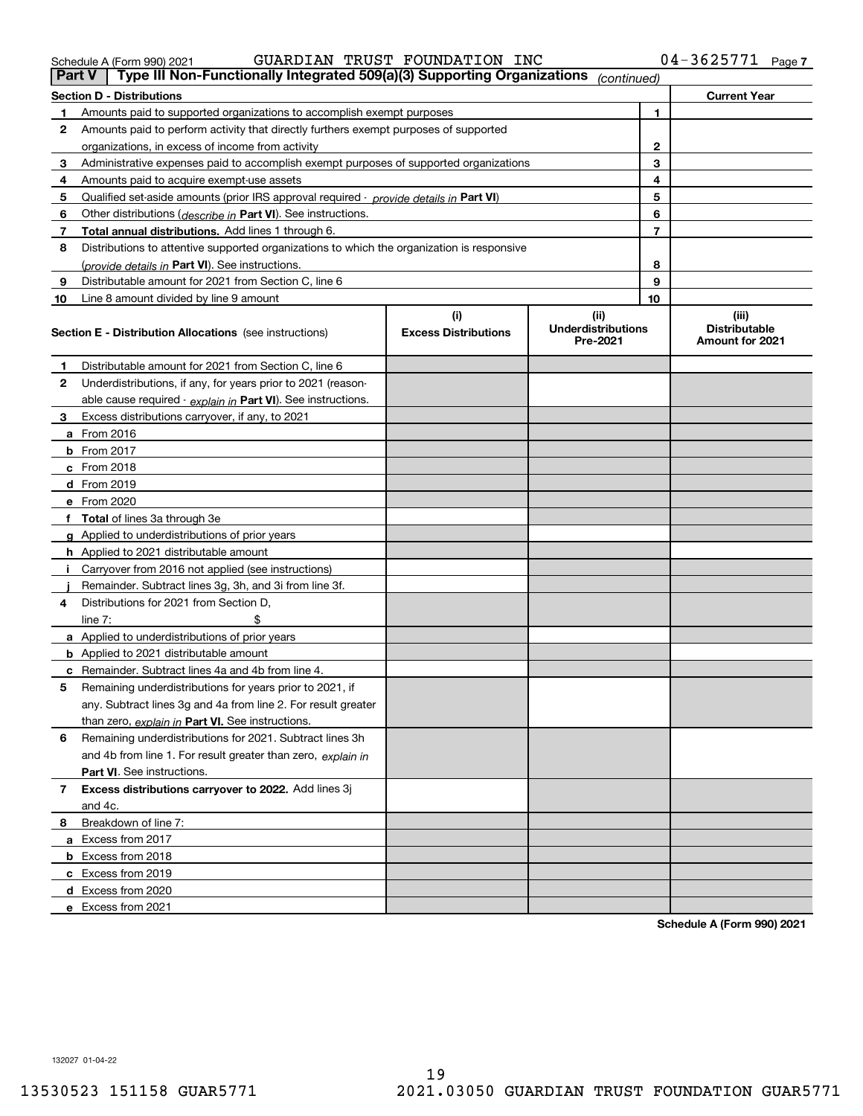|  |  | ally Integrated 509(a)(3) Supporting Organizations |
|--|--|----------------------------------------------------|

| Part V | Type III Non-Functionally Integrated 509(a)(3) Supporting Organizations                       |                             | (continued)                           |                |                                         |
|--------|-----------------------------------------------------------------------------------------------|-----------------------------|---------------------------------------|----------------|-----------------------------------------|
|        | Section D - Distributions                                                                     |                             |                                       |                | <b>Current Year</b>                     |
| 1      | Amounts paid to supported organizations to accomplish exempt purposes                         |                             |                                       | 1              |                                         |
| 2      | Amounts paid to perform activity that directly furthers exempt purposes of supported          |                             |                                       |                |                                         |
|        | organizations, in excess of income from activity                                              | 2                           |                                       |                |                                         |
| 3      | Administrative expenses paid to accomplish exempt purposes of supported organizations         | 3                           |                                       |                |                                         |
| 4      | Amounts paid to acquire exempt-use assets                                                     |                             |                                       | 4              |                                         |
| 5      | Qualified set-aside amounts (prior IRS approval required - <i>provide details in</i> Part VI) |                             |                                       | 5              |                                         |
| 6      | Other distributions ( <i>describe in</i> Part VI). See instructions.                          |                             |                                       | 6              |                                         |
| 7      | Total annual distributions. Add lines 1 through 6.                                            |                             |                                       | $\overline{7}$ |                                         |
| 8      | Distributions to attentive supported organizations to which the organization is responsive    |                             |                                       |                |                                         |
|        | (provide details in Part VI). See instructions.                                               |                             |                                       | 8              |                                         |
| 9      | Distributable amount for 2021 from Section C, line 6                                          |                             |                                       | 9              |                                         |
| 10     | Line 8 amount divided by line 9 amount                                                        |                             |                                       | 10             |                                         |
|        |                                                                                               | (i)                         | (ii)                                  |                | (iii)                                   |
|        | <b>Section E - Distribution Allocations</b> (see instructions)                                | <b>Excess Distributions</b> | <b>Underdistributions</b><br>Pre-2021 |                | <b>Distributable</b><br>Amount for 2021 |
| 1      | Distributable amount for 2021 from Section C, line 6                                          |                             |                                       |                |                                         |
| 2      | Underdistributions, if any, for years prior to 2021 (reason-                                  |                             |                                       |                |                                         |
|        | able cause required - explain in Part VI). See instructions.                                  |                             |                                       |                |                                         |
| 3      | Excess distributions carryover, if any, to 2021                                               |                             |                                       |                |                                         |
|        | <b>a</b> From 2016                                                                            |                             |                                       |                |                                         |
|        | <b>b</b> From 2017                                                                            |                             |                                       |                |                                         |
|        | c From 2018                                                                                   |                             |                                       |                |                                         |
|        | <b>d</b> From 2019                                                                            |                             |                                       |                |                                         |
|        | e From 2020                                                                                   |                             |                                       |                |                                         |
| f      | <b>Total</b> of lines 3a through 3e                                                           |                             |                                       |                |                                         |
| a      | Applied to underdistributions of prior years                                                  |                             |                                       |                |                                         |
|        | <b>h</b> Applied to 2021 distributable amount                                                 |                             |                                       |                |                                         |
|        | Carryover from 2016 not applied (see instructions)                                            |                             |                                       |                |                                         |
|        | Remainder. Subtract lines 3g, 3h, and 3i from line 3f.                                        |                             |                                       |                |                                         |
| 4      | Distributions for 2021 from Section D,                                                        |                             |                                       |                |                                         |
|        | line $7:$                                                                                     |                             |                                       |                |                                         |
|        | <b>a</b> Applied to underdistributions of prior years                                         |                             |                                       |                |                                         |
|        | <b>b</b> Applied to 2021 distributable amount                                                 |                             |                                       |                |                                         |
| с      | Remainder. Subtract lines 4a and 4b from line 4.                                              |                             |                                       |                |                                         |
| 5      | Remaining underdistributions for years prior to 2021, if                                      |                             |                                       |                |                                         |
|        | any. Subtract lines 3g and 4a from line 2. For result greater                                 |                             |                                       |                |                                         |
|        | than zero, explain in Part VI. See instructions.                                              |                             |                                       |                |                                         |
| 6      | Remaining underdistributions for 2021. Subtract lines 3h                                      |                             |                                       |                |                                         |
|        | and 4b from line 1. For result greater than zero, explain in                                  |                             |                                       |                |                                         |
|        | Part VI. See instructions.                                                                    |                             |                                       |                |                                         |
| 7      | Excess distributions carryover to 2022. Add lines 3j                                          |                             |                                       |                |                                         |
|        | and 4c.                                                                                       |                             |                                       |                |                                         |
| 8.     | Breakdown of line 7:                                                                          |                             |                                       |                |                                         |
|        | a Excess from 2017                                                                            |                             |                                       |                |                                         |
|        | <b>b</b> Excess from 2018                                                                     |                             |                                       |                |                                         |
|        | c Excess from 2019                                                                            |                             |                                       |                |                                         |
|        | d Excess from 2020                                                                            |                             |                                       |                |                                         |
|        | e Excess from 2021                                                                            |                             |                                       |                |                                         |
|        |                                                                                               |                             |                                       |                |                                         |

**Schedule A (Form 990) 2021**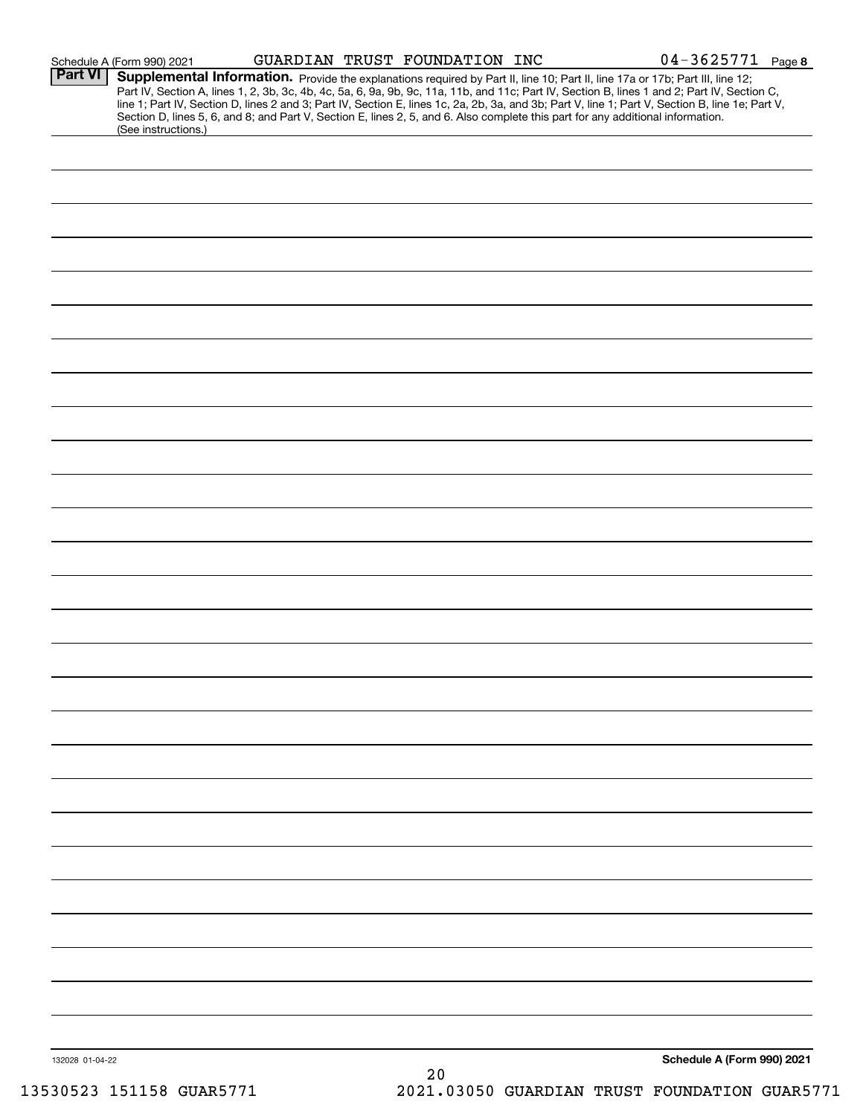|                 | Schedule A (Form 990) 2021                                                                                                                                                                                                                                                                                                                                                                                                                                                                                                                                                                  |  | GUARDIAN TRUST FOUNDATION INC |  | $04 - 3625771$ Page 8      |  |
|-----------------|---------------------------------------------------------------------------------------------------------------------------------------------------------------------------------------------------------------------------------------------------------------------------------------------------------------------------------------------------------------------------------------------------------------------------------------------------------------------------------------------------------------------------------------------------------------------------------------------|--|-------------------------------|--|----------------------------|--|
| <b>Part VI</b>  | Supplemental Information. Provide the explanations required by Part II, line 10; Part II, line 17a or 17b; Part III, line 12;<br>Part IV, Section A, lines 1, 2, 3b, 3c, 4b, 4c, 5a, 6, 9a, 9b, 9c, 11a, 11b, and 11c; Part IV, Section B, lines 1 and 2; Part IV, Section C,<br>line 1; Part IV, Section D, lines 2 and 3; Part IV, Section E, lines 1c, 2a, 2b, 3a, and 3b; Part V, line 1; Part V, Section B, line 1e; Part V,<br>Section D, lines 5, 6, and 8; and Part V, Section E, lines 2, 5, and 6. Also complete this part for any additional information.<br>(See instructions.) |  |                               |  |                            |  |
|                 |                                                                                                                                                                                                                                                                                                                                                                                                                                                                                                                                                                                             |  |                               |  |                            |  |
|                 |                                                                                                                                                                                                                                                                                                                                                                                                                                                                                                                                                                                             |  |                               |  |                            |  |
|                 |                                                                                                                                                                                                                                                                                                                                                                                                                                                                                                                                                                                             |  |                               |  |                            |  |
|                 |                                                                                                                                                                                                                                                                                                                                                                                                                                                                                                                                                                                             |  |                               |  |                            |  |
|                 |                                                                                                                                                                                                                                                                                                                                                                                                                                                                                                                                                                                             |  |                               |  |                            |  |
|                 |                                                                                                                                                                                                                                                                                                                                                                                                                                                                                                                                                                                             |  |                               |  |                            |  |
|                 |                                                                                                                                                                                                                                                                                                                                                                                                                                                                                                                                                                                             |  |                               |  |                            |  |
|                 |                                                                                                                                                                                                                                                                                                                                                                                                                                                                                                                                                                                             |  |                               |  |                            |  |
|                 |                                                                                                                                                                                                                                                                                                                                                                                                                                                                                                                                                                                             |  |                               |  |                            |  |
|                 |                                                                                                                                                                                                                                                                                                                                                                                                                                                                                                                                                                                             |  |                               |  |                            |  |
|                 |                                                                                                                                                                                                                                                                                                                                                                                                                                                                                                                                                                                             |  |                               |  |                            |  |
|                 |                                                                                                                                                                                                                                                                                                                                                                                                                                                                                                                                                                                             |  |                               |  |                            |  |
|                 |                                                                                                                                                                                                                                                                                                                                                                                                                                                                                                                                                                                             |  |                               |  |                            |  |
|                 |                                                                                                                                                                                                                                                                                                                                                                                                                                                                                                                                                                                             |  |                               |  |                            |  |
|                 |                                                                                                                                                                                                                                                                                                                                                                                                                                                                                                                                                                                             |  |                               |  |                            |  |
|                 |                                                                                                                                                                                                                                                                                                                                                                                                                                                                                                                                                                                             |  |                               |  |                            |  |
|                 |                                                                                                                                                                                                                                                                                                                                                                                                                                                                                                                                                                                             |  |                               |  |                            |  |
|                 |                                                                                                                                                                                                                                                                                                                                                                                                                                                                                                                                                                                             |  |                               |  |                            |  |
|                 |                                                                                                                                                                                                                                                                                                                                                                                                                                                                                                                                                                                             |  |                               |  |                            |  |
|                 |                                                                                                                                                                                                                                                                                                                                                                                                                                                                                                                                                                                             |  |                               |  |                            |  |
|                 |                                                                                                                                                                                                                                                                                                                                                                                                                                                                                                                                                                                             |  |                               |  |                            |  |
|                 |                                                                                                                                                                                                                                                                                                                                                                                                                                                                                                                                                                                             |  |                               |  |                            |  |
|                 |                                                                                                                                                                                                                                                                                                                                                                                                                                                                                                                                                                                             |  |                               |  |                            |  |
|                 |                                                                                                                                                                                                                                                                                                                                                                                                                                                                                                                                                                                             |  |                               |  |                            |  |
|                 |                                                                                                                                                                                                                                                                                                                                                                                                                                                                                                                                                                                             |  |                               |  |                            |  |
|                 |                                                                                                                                                                                                                                                                                                                                                                                                                                                                                                                                                                                             |  |                               |  |                            |  |
| 132028 01-04-22 |                                                                                                                                                                                                                                                                                                                                                                                                                                                                                                                                                                                             |  | 20                            |  | Schedule A (Form 990) 2021 |  |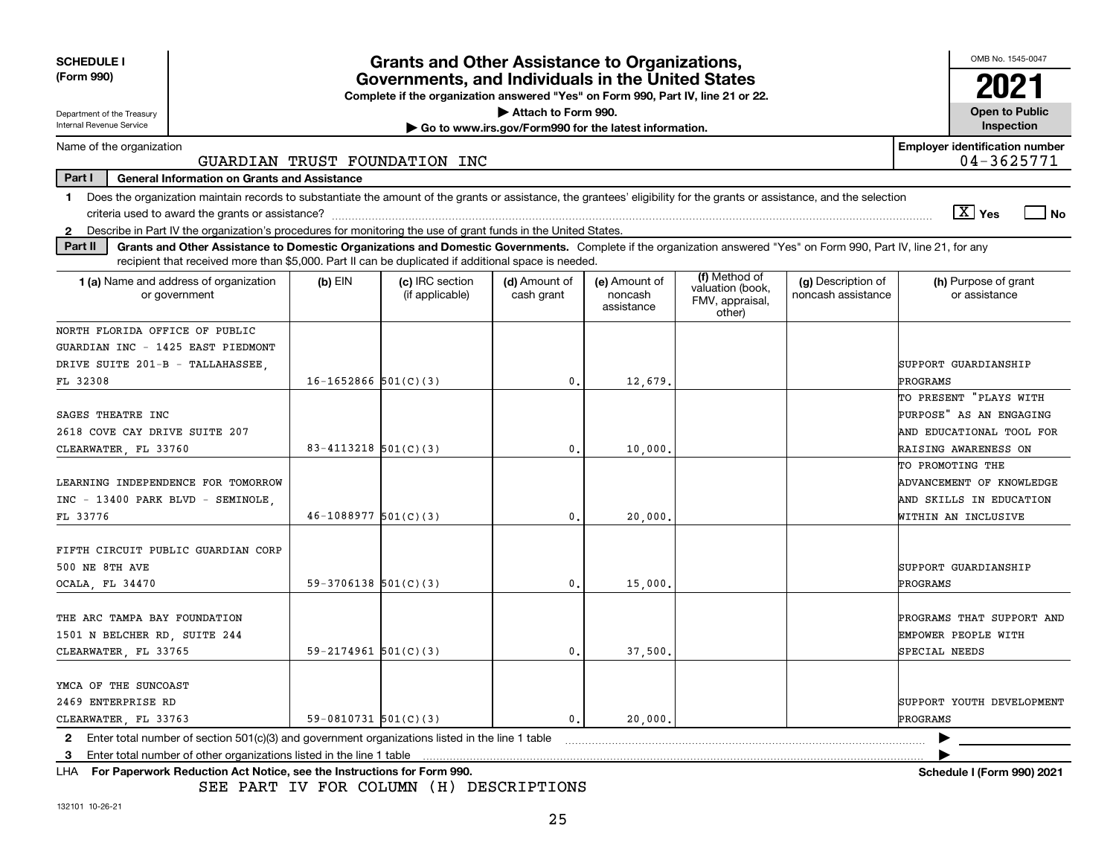| <b>SCHEDULE I</b><br>(Form 990)                                                                                                                                                |                                                                                  |                            | Grants and Other Assistance to Organizations,<br>Governments, and Individuals in the United States                                                                                                                                                                        |                             |                                        |                                                                |                                          | OMB No. 1545-0047<br>2021                           |  |  |
|--------------------------------------------------------------------------------------------------------------------------------------------------------------------------------|----------------------------------------------------------------------------------|----------------------------|---------------------------------------------------------------------------------------------------------------------------------------------------------------------------------------------------------------------------------------------------------------------------|-----------------------------|----------------------------------------|----------------------------------------------------------------|------------------------------------------|-----------------------------------------------------|--|--|
|                                                                                                                                                                                | Complete if the organization answered "Yes" on Form 990, Part IV, line 21 or 22. |                            |                                                                                                                                                                                                                                                                           |                             |                                        |                                                                |                                          |                                                     |  |  |
| Department of the Treasury<br>Internal Revenue Service                                                                                                                         | Attach to Form 990.<br>Go to www.irs.gov/Form990 for the latest information.     |                            |                                                                                                                                                                                                                                                                           |                             |                                        |                                                                |                                          |                                                     |  |  |
| Name of the organization                                                                                                                                                       |                                                                                  |                            |                                                                                                                                                                                                                                                                           |                             |                                        |                                                                |                                          | Inspection<br><b>Employer identification number</b> |  |  |
|                                                                                                                                                                                |                                                                                  |                            | GUARDIAN TRUST FOUNDATION INC                                                                                                                                                                                                                                             |                             |                                        |                                                                |                                          | 04-3625771                                          |  |  |
| Part I                                                                                                                                                                         | <b>General Information on Grants and Assistance</b>                              |                            |                                                                                                                                                                                                                                                                           |                             |                                        |                                                                |                                          |                                                     |  |  |
| Does the organization maintain records to substantiate the amount of the grants or assistance, the grantees' eligibility for the grants or assistance, and the selection<br>1. |                                                                                  |                            |                                                                                                                                                                                                                                                                           |                             |                                        |                                                                |                                          |                                                     |  |  |
|                                                                                                                                                                                |                                                                                  |                            |                                                                                                                                                                                                                                                                           |                             |                                        |                                                                |                                          | $\sqrt{X}$ Yes<br>l No                              |  |  |
| Describe in Part IV the organization's procedures for monitoring the use of grant funds in the United States.<br>$\mathbf{2}$                                                  |                                                                                  |                            |                                                                                                                                                                                                                                                                           |                             |                                        |                                                                |                                          |                                                     |  |  |
| Part II                                                                                                                                                                        |                                                                                  |                            | Grants and Other Assistance to Domestic Organizations and Domestic Governments. Complete if the organization answered "Yes" on Form 990, Part IV, line 21, for any<br>recipient that received more than \$5,000. Part II can be duplicated if additional space is needed. |                             |                                        |                                                                |                                          |                                                     |  |  |
| 1 (a) Name and address of organization<br>or government                                                                                                                        |                                                                                  | $(b)$ EIN                  | (c) IRC section<br>(if applicable)                                                                                                                                                                                                                                        | (d) Amount of<br>cash grant | (e) Amount of<br>noncash<br>assistance | (f) Method of<br>valuation (book,<br>FMV, appraisal,<br>other) | (g) Description of<br>noncash assistance | (h) Purpose of grant<br>or assistance               |  |  |
| NORTH FLORIDA OFFICE OF PUBLIC                                                                                                                                                 |                                                                                  |                            |                                                                                                                                                                                                                                                                           |                             |                                        |                                                                |                                          |                                                     |  |  |
| GUARDIAN INC - 1425 EAST PIEDMONT                                                                                                                                              |                                                                                  |                            |                                                                                                                                                                                                                                                                           |                             |                                        |                                                                |                                          |                                                     |  |  |
| DRIVE SUITE 201-B - TALLAHASSEE,                                                                                                                                               |                                                                                  |                            |                                                                                                                                                                                                                                                                           |                             |                                        |                                                                |                                          | SUPPORT GUARDIANSHIP                                |  |  |
| FL 32308                                                                                                                                                                       |                                                                                  | $16 - 1652866$ $501(C)(3)$ |                                                                                                                                                                                                                                                                           | $\mathfrak{o}$ .            | 12,679                                 |                                                                |                                          | PROGRAMS                                            |  |  |
|                                                                                                                                                                                |                                                                                  |                            |                                                                                                                                                                                                                                                                           |                             |                                        |                                                                |                                          | TO PRESENT "PLAYS WITH                              |  |  |
| SAGES THEATRE INC<br>2618 COVE CAY DRIVE SUITE 207                                                                                                                             |                                                                                  |                            |                                                                                                                                                                                                                                                                           |                             |                                        |                                                                |                                          | PURPOSE" AS AN ENGAGING<br>AND EDUCATIONAL TOOL FOR |  |  |
| CLEARWATER, FL 33760                                                                                                                                                           |                                                                                  | $83 - 4113218$ $501(C)(3)$ |                                                                                                                                                                                                                                                                           | 0.                          | 10,000                                 |                                                                |                                          | <b>RAISING AWARENESS ON</b>                         |  |  |
|                                                                                                                                                                                |                                                                                  |                            |                                                                                                                                                                                                                                                                           |                             |                                        |                                                                |                                          | TO PROMOTING THE                                    |  |  |
| LEARNING INDEPENDENCE FOR TOMORROW                                                                                                                                             |                                                                                  |                            |                                                                                                                                                                                                                                                                           |                             |                                        |                                                                |                                          | ADVANCEMENT OF KNOWLEDGE                            |  |  |
| INC - 13400 PARK BLVD - SEMINOLE                                                                                                                                               |                                                                                  |                            |                                                                                                                                                                                                                                                                           |                             |                                        |                                                                |                                          | AND SKILLS IN EDUCATION                             |  |  |
| FL 33776                                                                                                                                                                       |                                                                                  | $46-1088977$ $501(C)(3)$   |                                                                                                                                                                                                                                                                           | 0.                          | 20,000                                 |                                                                |                                          | WITHIN AN INCLUSIVE                                 |  |  |
| FIFTH CIRCUIT PUBLIC GUARDIAN CORP<br>500 NE 8TH AVE                                                                                                                           |                                                                                  |                            |                                                                                                                                                                                                                                                                           |                             |                                        |                                                                |                                          | SUPPORT GUARDIANSHIP                                |  |  |
| OCALA, FL 34470                                                                                                                                                                |                                                                                  | $59-3706138$ $501(C)(3)$   |                                                                                                                                                                                                                                                                           | 0                           | 15,000                                 |                                                                |                                          | PROGRAMS                                            |  |  |
| THE ARC TAMPA BAY FOUNDATION<br>1501 N BELCHER RD, SUITE 244                                                                                                                   |                                                                                  |                            |                                                                                                                                                                                                                                                                           |                             |                                        |                                                                |                                          | PROGRAMS THAT SUPPORT AND<br>EMPOWER PEOPLE WITH    |  |  |
| CLEARWATER, FL 33765                                                                                                                                                           |                                                                                  | $59 - 2174961$ $501(C)(3)$ |                                                                                                                                                                                                                                                                           | $\mathbf{0}$ .              | 37,500                                 |                                                                |                                          | SPECIAL NEEDS                                       |  |  |
| YMCA OF THE SUNCOAST<br>2469 ENTERPRISE RD                                                                                                                                     |                                                                                  |                            |                                                                                                                                                                                                                                                                           |                             |                                        |                                                                |                                          | SUPPORT YOUTH DEVELOPMENT                           |  |  |
| CLEARWATER, FL 33763                                                                                                                                                           |                                                                                  | $59-0810731$ $501(C)(3)$   |                                                                                                                                                                                                                                                                           | $\mathfrak{o}$ .            | 20,000                                 |                                                                |                                          | PROGRAMS                                            |  |  |
| 2 Enter total number of section 501(c)(3) and government organizations listed in the line 1 table                                                                              |                                                                                  |                            |                                                                                                                                                                                                                                                                           |                             |                                        |                                                                |                                          |                                                     |  |  |
| Enter total number of other organizations listed in the line 1 table<br>3                                                                                                      |                                                                                  |                            |                                                                                                                                                                                                                                                                           |                             |                                        |                                                                |                                          |                                                     |  |  |
| For Paperwork Reduction Act Notice, see the Instructions for Form 990.<br>LHA.                                                                                                 |                                                                                  |                            |                                                                                                                                                                                                                                                                           |                             |                                        |                                                                |                                          | Schedule I (Form 990) 2021                          |  |  |

SEE PART IV FOR COLUMN (H) DESCRIPTIONS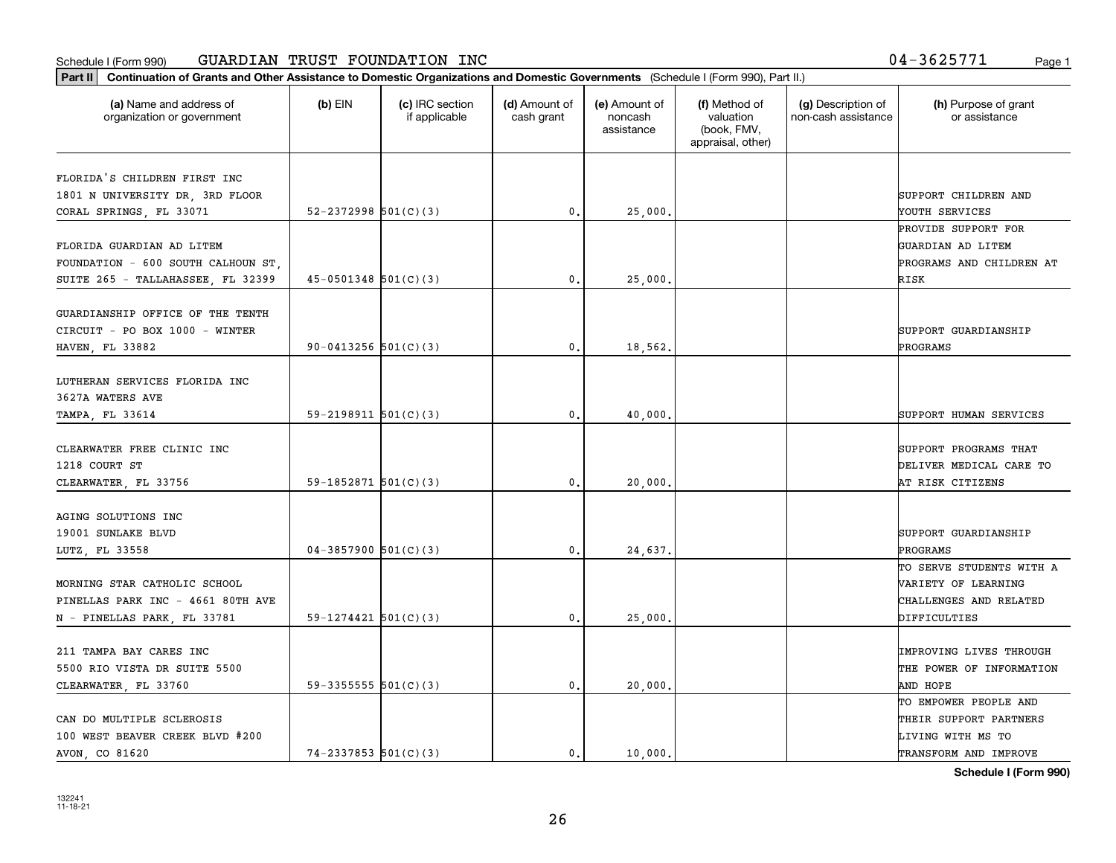#### Schedule I (Form 990) Page 1 GUARDIAN TRUST FOUNDATION INC 04-3625771

|                                                       | Part II   Continuation of Grants and Other Assistance to Domestic Organizations and Domestic Governments (Schedule I (Form 990), Part II.) |                                  |                             |                                        |                                                                |                                           |                                       |  |
|-------------------------------------------------------|--------------------------------------------------------------------------------------------------------------------------------------------|----------------------------------|-----------------------------|----------------------------------------|----------------------------------------------------------------|-------------------------------------------|---------------------------------------|--|
| (a) Name and address of<br>organization or government | $(b)$ EIN                                                                                                                                  | (c) IRC section<br>if applicable | (d) Amount of<br>cash grant | (e) Amount of<br>noncash<br>assistance | (f) Method of<br>valuation<br>(book, FMV,<br>appraisal, other) | (g) Description of<br>non-cash assistance | (h) Purpose of grant<br>or assistance |  |
| FLORIDA'S CHILDREN FIRST INC                          |                                                                                                                                            |                                  |                             |                                        |                                                                |                                           |                                       |  |
| 1801 N UNIVERSITY DR, 3RD FLOOR                       |                                                                                                                                            |                                  |                             |                                        |                                                                |                                           | SUPPORT CHILDREN AND                  |  |
| CORAL SPRINGS, FL 33071                               | $52 - 2372998$ $501(C)(3)$                                                                                                                 |                                  | 0.                          | 25,000                                 |                                                                |                                           | YOUTH SERVICES                        |  |
|                                                       |                                                                                                                                            |                                  |                             |                                        |                                                                |                                           | PROVIDE SUPPORT FOR                   |  |
| FLORIDA GUARDIAN AD LITEM                             |                                                                                                                                            |                                  |                             |                                        |                                                                |                                           | GUARDIAN AD LITEM                     |  |
| FOUNDATION - 600 SOUTH CALHOUN ST.                    |                                                                                                                                            |                                  |                             |                                        |                                                                |                                           | PROGRAMS AND CHILDREN AT              |  |
| SUITE 265 - TALLAHASSEE, FL 32399                     | $45-0501348$ $501(C)(3)$                                                                                                                   |                                  | 0.                          | 25,000                                 |                                                                |                                           | RISK                                  |  |
|                                                       |                                                                                                                                            |                                  |                             |                                        |                                                                |                                           |                                       |  |
| GUARDIANSHIP OFFICE OF THE TENTH                      |                                                                                                                                            |                                  |                             |                                        |                                                                |                                           |                                       |  |
| CIRCUIT - PO BOX 1000 - WINTER                        |                                                                                                                                            |                                  |                             |                                        |                                                                |                                           | SUPPORT GUARDIANSHIP                  |  |
| HAVEN, FL 33882                                       | 90-0413256 $501(C)(3)$                                                                                                                     |                                  | 0.                          | 18,562.                                |                                                                |                                           | PROGRAMS                              |  |
|                                                       |                                                                                                                                            |                                  |                             |                                        |                                                                |                                           |                                       |  |
| LUTHERAN SERVICES FLORIDA INC                         |                                                                                                                                            |                                  |                             |                                        |                                                                |                                           |                                       |  |
| 3627A WATERS AVE                                      |                                                                                                                                            |                                  |                             |                                        |                                                                |                                           |                                       |  |
| TAMPA, FL 33614                                       | 59-2198911 $501(C)(3)$                                                                                                                     |                                  | 0.                          | 40,000                                 |                                                                |                                           | SUPPORT HUMAN SERVICES                |  |
|                                                       |                                                                                                                                            |                                  |                             |                                        |                                                                |                                           |                                       |  |
| CLEARWATER FREE CLINIC INC                            |                                                                                                                                            |                                  |                             |                                        |                                                                |                                           | SUPPORT PROGRAMS THAT                 |  |
| 1218 COURT ST                                         |                                                                                                                                            |                                  |                             |                                        |                                                                |                                           | DELIVER MEDICAL CARE TO               |  |
| CLEARWATER, FL 33756                                  | 59-1852871 $501(C)(3)$                                                                                                                     |                                  | 0.                          | 20,000                                 |                                                                |                                           | AT RISK CITIZENS                      |  |
| AGING SOLUTIONS INC                                   |                                                                                                                                            |                                  |                             |                                        |                                                                |                                           |                                       |  |
| 19001 SUNLAKE BLVD                                    |                                                                                                                                            |                                  |                             |                                        |                                                                |                                           | SUPPORT GUARDIANSHIP                  |  |
| LUTZ, FL 33558                                        | $04-3857900$ $501(C)(3)$                                                                                                                   |                                  | 0.                          | 24,637.                                |                                                                |                                           | PROGRAMS                              |  |
|                                                       |                                                                                                                                            |                                  |                             |                                        |                                                                |                                           | TO SERVE STUDENTS WITH A              |  |
| MORNING STAR CATHOLIC SCHOOL                          |                                                                                                                                            |                                  |                             |                                        |                                                                |                                           | <b>VARIETY OF LEARNING</b>            |  |
| PINELLAS PARK INC - 4661 80TH AVE                     |                                                                                                                                            |                                  |                             |                                        |                                                                |                                           | CHALLENGES AND RELATED                |  |
| N - PINELLAS PARK, FL 33781                           | $59-1274421$ $501(C)(3)$                                                                                                                   |                                  | 0.                          | 25,000                                 |                                                                |                                           | DIFFICULTIES                          |  |
|                                                       |                                                                                                                                            |                                  |                             |                                        |                                                                |                                           |                                       |  |
| 211 TAMPA BAY CARES INC                               |                                                                                                                                            |                                  |                             |                                        |                                                                |                                           | <b>IMPROVING LIVES THROUGH</b>        |  |
| 5500 RIO VISTA DR SUITE 5500                          |                                                                                                                                            |                                  |                             |                                        |                                                                |                                           | THE POWER OF INFORMATION              |  |
| CLEARWATER, FL 33760                                  | 59-3355555 $501(C)(3)$                                                                                                                     |                                  | $\mathbf{0}$ .              | 20,000.                                |                                                                |                                           | AND HOPE                              |  |
|                                                       |                                                                                                                                            |                                  |                             |                                        |                                                                |                                           | TO EMPOWER PEOPLE AND                 |  |
| CAN DO MULTIPLE SCLEROSIS                             |                                                                                                                                            |                                  |                             |                                        |                                                                |                                           | THEIR SUPPORT PARTNERS                |  |
| 100 WEST BEAVER CREEK BLVD #200                       |                                                                                                                                            |                                  |                             |                                        |                                                                |                                           | LIVING WITH MS TO                     |  |
|                                                       | $74 - 2337853$ 501(C)(3)                                                                                                                   |                                  | 0.                          | 10,000.                                |                                                                |                                           | TRANSFORM AND IMPROVE                 |  |

**Schedule I (Form 990)**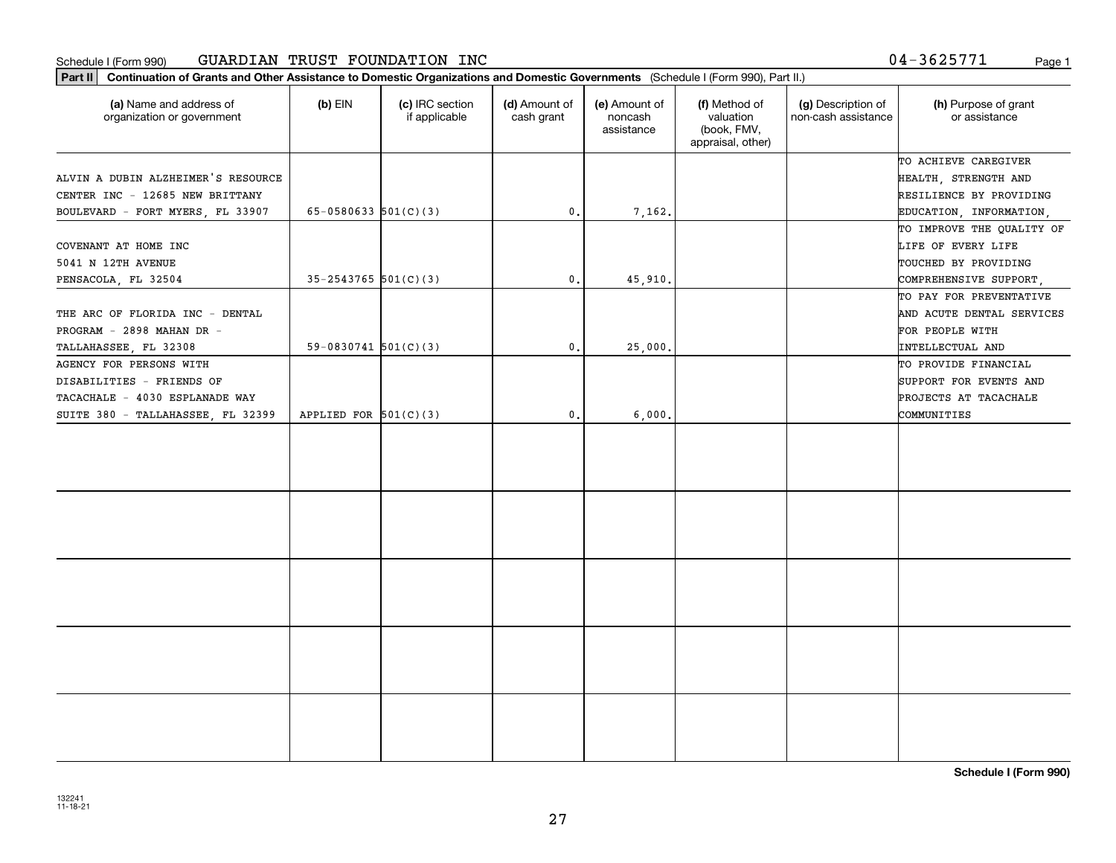#### Schedule I (Form 990) Page 1 GUARDIAN TRUST FOUNDATION INC

**Part II Continuation of Grants and Other Assistance to Domestic Organizations and Domestic Governments**  (Schedule I (Form 990), Part II.)

| (a) Name and address of<br>organization or government | $(b)$ EIN                  | (c) IRC section<br>if applicable | (d) Amount of<br>cash grant | (e) Amount of<br>noncash<br>assistance | (f) Method of<br>valuation<br>(book, FMV,<br>appraisal, other) | (g) Description of<br>non-cash assistance | (h) Purpose of grant<br>or assistance |
|-------------------------------------------------------|----------------------------|----------------------------------|-----------------------------|----------------------------------------|----------------------------------------------------------------|-------------------------------------------|---------------------------------------|
|                                                       |                            |                                  |                             |                                        |                                                                |                                           | TO ACHIEVE CAREGIVER                  |
| ALVIN A DUBIN ALZHEIMER'S RESOURCE                    |                            |                                  |                             |                                        |                                                                |                                           | HEALTH, STRENGTH AND                  |
| CENTER INC - 12685 NEW BRITTANY                       |                            |                                  |                             |                                        |                                                                |                                           | RESILIENCE BY PROVIDING               |
| BOULEVARD - FORT MYERS, FL 33907                      | $65 - 0580633$ $501(C)(3)$ |                                  | $\mathbf{0}$ .              | 7,162.                                 |                                                                |                                           | EDUCATION, INFORMATION,               |
|                                                       |                            |                                  |                             |                                        |                                                                |                                           | TO IMPROVE THE QUALITY OF             |
| COVENANT AT HOME INC                                  |                            |                                  |                             |                                        |                                                                |                                           | LIFE OF EVERY LIFE                    |
| 5041 N 12TH AVENUE                                    |                            |                                  |                             |                                        |                                                                |                                           | TOUCHED BY PROVIDING                  |
| PENSACOLA, FL 32504                                   | $35 - 2543765$ 501(C)(3)   |                                  | $\mathbf{0}$ .              | 45,910.                                |                                                                |                                           | COMPREHENSIVE SUPPORT,                |
|                                                       |                            |                                  |                             |                                        |                                                                |                                           | TO PAY FOR PREVENTATIVE               |
| THE ARC OF FLORIDA INC - DENTAL                       |                            |                                  |                             |                                        |                                                                |                                           | AND ACUTE DENTAL SERVICES             |
| PROGRAM - 2898 MAHAN DR -                             |                            |                                  |                             |                                        |                                                                |                                           | FOR PEOPLE WITH                       |
| TALLAHASSEE, FL 32308                                 | $59-0830741$ $501(C)(3)$   |                                  | 0.                          | 25,000.                                |                                                                |                                           | INTELLECTUAL AND                      |
| AGENCY FOR PERSONS WITH                               |                            |                                  |                             |                                        |                                                                |                                           | TO PROVIDE FINANCIAL                  |
| DISABILITIES - FRIENDS OF                             |                            |                                  |                             |                                        |                                                                |                                           | SUPPORT FOR EVENTS AND                |
| TACACHALE - 4030 ESPLANADE WAY                        |                            |                                  |                             |                                        |                                                                |                                           | PROJECTS AT TACACHALE                 |
| SUITE 380 - TALLAHASSEE, FL 32399                     | APPLIED FOR $501(C)(3)$    |                                  | $\mathbf{0}$ .              | 6,000.                                 |                                                                |                                           | COMMUNITIES                           |
|                                                       |                            |                                  |                             |                                        |                                                                |                                           |                                       |
|                                                       |                            |                                  |                             |                                        |                                                                |                                           |                                       |

**Schedule I (Form 990)**

04-3625771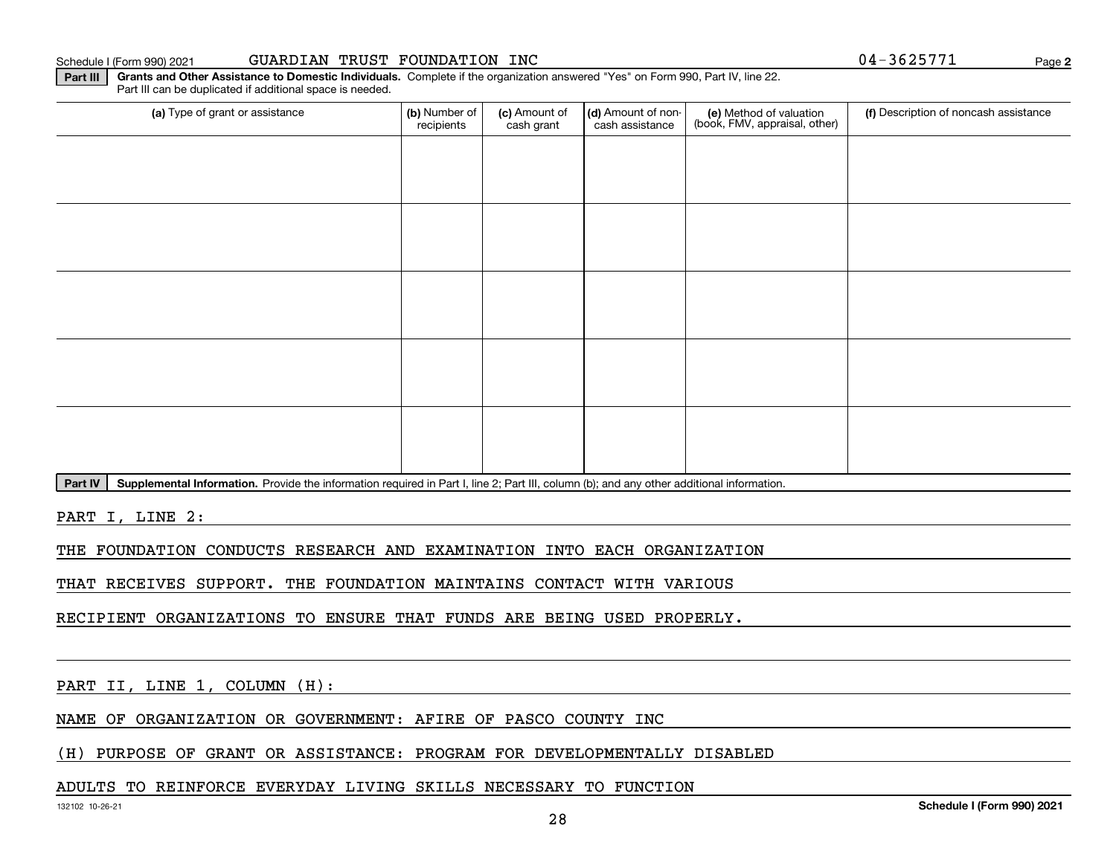Schedule I (Form 990) 2021

|  |  | GUARDIAN TRUST FOUNDATION INC |  |
|--|--|-------------------------------|--|
|--|--|-------------------------------|--|

**2**04-3625771

**Part III Grants and Other Assistance to Domestic Individuals.**  Complete if the organization answered "Yes" on Form 990, Part IV, line 22. Part III can be duplicated if additional space is needed.

| (a) Type of grant or assistance                                                                                                                                                                                                                                                                                                                                                                          | (b) Number of<br>recipients | (c) Amount of<br>cash grant | (d) Amount of non-<br>cash assistance | (e) Method of valuation<br>(book, FMV, appraisal, other) | (f) Description of noncash assistance |
|----------------------------------------------------------------------------------------------------------------------------------------------------------------------------------------------------------------------------------------------------------------------------------------------------------------------------------------------------------------------------------------------------------|-----------------------------|-----------------------------|---------------------------------------|----------------------------------------------------------|---------------------------------------|
|                                                                                                                                                                                                                                                                                                                                                                                                          |                             |                             |                                       |                                                          |                                       |
|                                                                                                                                                                                                                                                                                                                                                                                                          |                             |                             |                                       |                                                          |                                       |
|                                                                                                                                                                                                                                                                                                                                                                                                          |                             |                             |                                       |                                                          |                                       |
|                                                                                                                                                                                                                                                                                                                                                                                                          |                             |                             |                                       |                                                          |                                       |
|                                                                                                                                                                                                                                                                                                                                                                                                          |                             |                             |                                       |                                                          |                                       |
|                                                                                                                                                                                                                                                                                                                                                                                                          |                             |                             |                                       |                                                          |                                       |
|                                                                                                                                                                                                                                                                                                                                                                                                          |                             |                             |                                       |                                                          |                                       |
|                                                                                                                                                                                                                                                                                                                                                                                                          |                             |                             |                                       |                                                          |                                       |
|                                                                                                                                                                                                                                                                                                                                                                                                          |                             |                             |                                       |                                                          |                                       |
|                                                                                                                                                                                                                                                                                                                                                                                                          |                             |                             |                                       |                                                          |                                       |
| $\mathbf{B}_{\text{out}}$ $\mathbf{N}$ $\overline{\mathbf{A}}$ and $\overline{\mathbf{A}}$ and $\overline{\mathbf{A}}$ and $\overline{\mathbf{A}}$ and $\overline{\mathbf{A}}$ and $\overline{\mathbf{A}}$ and $\overline{\mathbf{A}}$ and $\overline{\mathbf{A}}$ and $\overline{\mathbf{A}}$ and $\overline{\mathbf{A}}$ and $\overline{\mathbf{A}}$ and $\overline{\mathbf{A}}$ and $\overline{\math$ |                             |                             |                                       |                                                          |                                       |

Part IV | Supplemental Information. Provide the information required in Part I, line 2; Part III, column (b); and any other additional information.

PART I, LINE 2:

THE FOUNDATION CONDUCTS RESEARCH AND EXAMINATION INTO EACH ORGANIZATION

THAT RECEIVES SUPPORT. THE FOUNDATION MAINTAINS CONTACT WITH VARIOUS

RECIPIENT ORGANIZATIONS TO ENSURE THAT FUNDS ARE BEING USED PROPERLY.

PART II, LINE 1, COLUMN (H):

NAME OF ORGANIZATION OR GOVERNMENT: AFIRE OF PASCO COUNTY INC

(H) PURPOSE OF GRANT OR ASSISTANCE: PROGRAM FOR DEVELOPMENTALLY DISABLED

#### ADULTS TO REINFORCE EVERYDAY LIVING SKILLS NECESSARY TO FUNCTION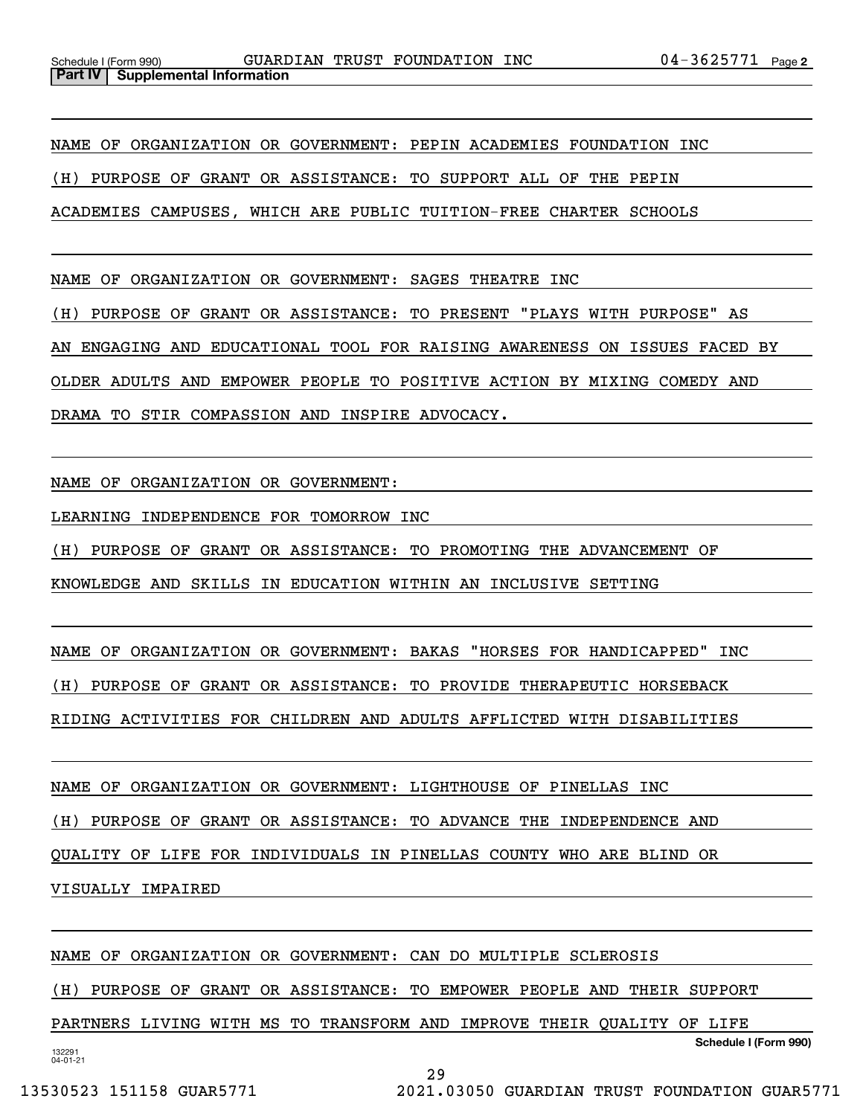NAME OF ORGANIZATION OR GOVERNMENT: PEPIN ACADEMIES FOUNDATION INC (H) PURPOSE OF GRANT OR ASSISTANCE: TO SUPPORT ALL OF THE PEPIN ACADEMIES CAMPUSES, WHICH ARE PUBLIC TUITION-FREE CHARTER SCHOOLS

NAME OF ORGANIZATION OR GOVERNMENT: SAGES THEATRE INC

(H) PURPOSE OF GRANT OR ASSISTANCE: TO PRESENT "PLAYS WITH PURPOSE" AS

AN ENGAGING AND EDUCATIONAL TOOL FOR RAISING AWARENESS ON ISSUES FACED BY

OLDER ADULTS AND EMPOWER PEOPLE TO POSITIVE ACTION BY MIXING COMEDY AND

DRAMA TO STIR COMPASSION AND INSPIRE ADVOCACY.

NAME OF ORGANIZATION OR GOVERNMENT:

LEARNING INDEPENDENCE FOR TOMORROW INC

(H) PURPOSE OF GRANT OR ASSISTANCE: TO PROMOTING THE ADVANCEMENT OF

KNOWLEDGE AND SKILLS IN EDUCATION WITHIN AN INCLUSIVE SETTING

NAME OF ORGANIZATION OR GOVERNMENT: BAKAS "HORSES FOR HANDICAPPED" INC (H) PURPOSE OF GRANT OR ASSISTANCE: TO PROVIDE THERAPEUTIC HORSEBACK

RIDING ACTIVITIES FOR CHILDREN AND ADULTS AFFLICTED WITH DISABILITIES

NAME OF ORGANIZATION OR GOVERNMENT: LIGHTHOUSE OF PINELLAS INC

(H) PURPOSE OF GRANT OR ASSISTANCE: TO ADVANCE THE INDEPENDENCE AND

QUALITY OF LIFE FOR INDIVIDUALS IN PINELLAS COUNTY WHO ARE BLIND OR

VISUALLY IMPAIRED

NAME OF ORGANIZATION OR GOVERNMENT: CAN DO MULTIPLE SCLEROSIS

(H) PURPOSE OF GRANT OR ASSISTANCE: TO EMPOWER PEOPLE AND THEIR SUPPORT

**Schedule I (Form 990)** PARTNERS LIVING WITH MS TO TRANSFORM AND IMPROVE THEIR QUALITY OF LIFE

132291 04-01-21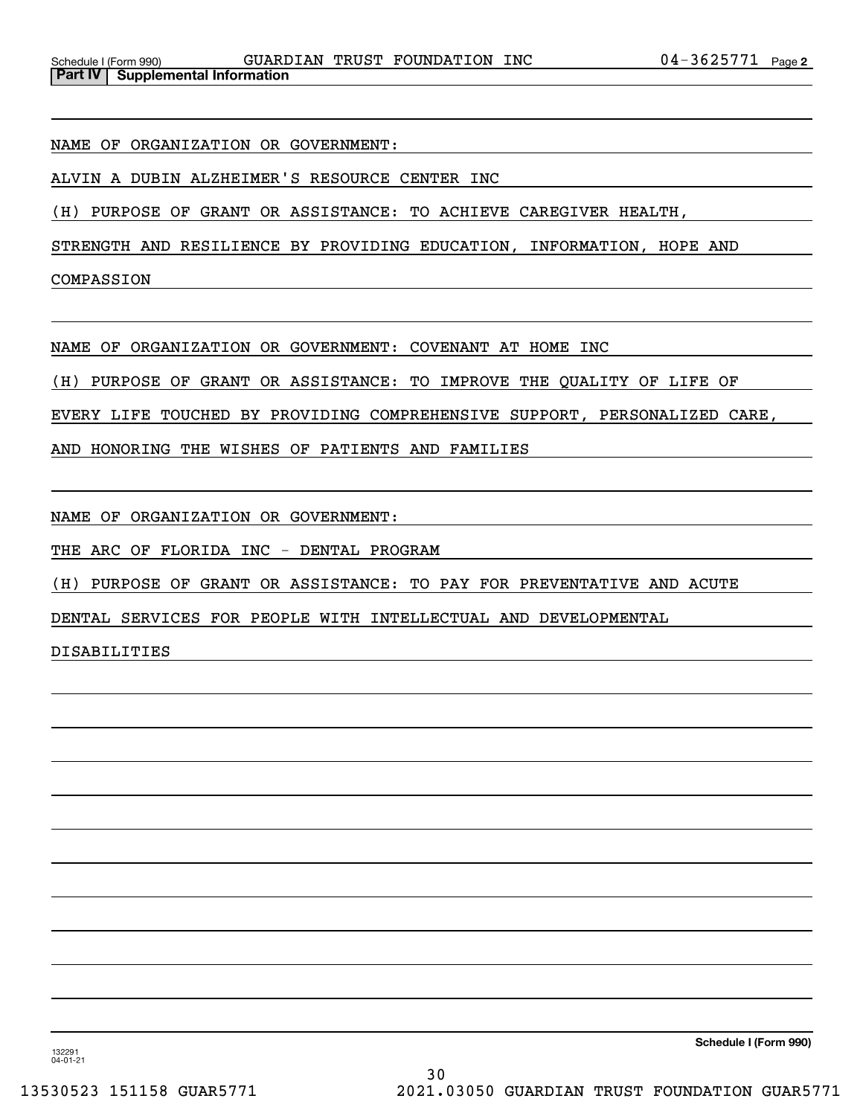NAME OF ORGANIZATION OR GOVERNMENT:

ALVIN A DUBIN ALZHEIMER'S RESOURCE CENTER INC

(H) PURPOSE OF GRANT OR ASSISTANCE: TO ACHIEVE CAREGIVER HEALTH,

STRENGTH AND RESILIENCE BY PROVIDING EDUCATION, INFORMATION, HOPE AND

COMPASSION

NAME OF ORGANIZATION OR GOVERNMENT: COVENANT AT HOME INC

(H) PURPOSE OF GRANT OR ASSISTANCE: TO IMPROVE THE QUALITY OF LIFE OF

EVERY LIFE TOUCHED BY PROVIDING COMPREHENSIVE SUPPORT, PERSONALIZED CARE,

AND HONORING THE WISHES OF PATIENTS AND FAMILIES

NAME OF ORGANIZATION OR GOVERNMENT:

THE ARC OF FLORIDA INC - DENTAL PROGRAM

(H) PURPOSE OF GRANT OR ASSISTANCE: TO PAY FOR PREVENTATIVE AND ACUTE

DENTAL SERVICES FOR PEOPLE WITH INTELLECTUAL AND DEVELOPMENTAL

DISABILITIES

132291 04-01-21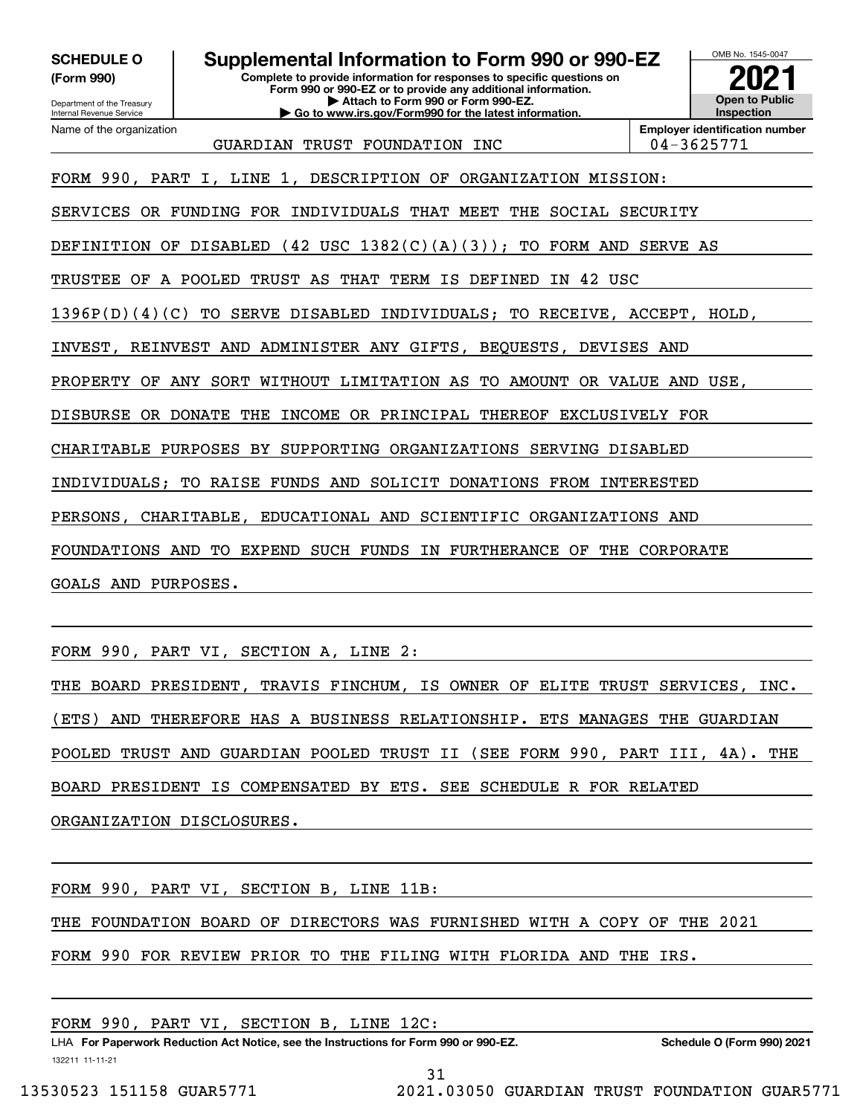**(Form 990)**

Department of the Treasury Internal Revenue Service

Name of the organization

### **SCHEDULE O Supplemental Information to Form 990 or 990-EZ**

**Complete to provide information for responses to specific questions on Form 990 or 990-EZ or to provide any additional information. | Attach to Form 990 or Form 990-EZ. | Go to www.irs.gov/Form990 for the latest information.**



GUARDIAN TRUST FOUNDATION INC 04-3625771

**Employer identification number**

FORM 990, PART I, LINE 1, DESCRIPTION OF ORGANIZATION MISSION:

SERVICES OR FUNDING FOR INDIVIDUALS THAT MEET THE SOCIAL SECURITY

DEFINITION OF DISABLED (42 USC 1382(C)(A)(3)); TO FORM AND SERVE AS

TRUSTEE OF A POOLED TRUST AS THAT TERM IS DEFINED IN 42 USC

1396P(D)(4)(C) TO SERVE DISABLED INDIVIDUALS; TO RECEIVE, ACCEPT, HOLD,

INVEST, REINVEST AND ADMINISTER ANY GIFTS, BEQUESTS, DEVISES AND

PROPERTY OF ANY SORT WITHOUT LIMITATION AS TO AMOUNT OR VALUE AND USE,

DISBURSE OR DONATE THE INCOME OR PRINCIPAL THEREOF EXCLUSIVELY FOR

CHARITABLE PURPOSES BY SUPPORTING ORGANIZATIONS SERVING DISABLED

INDIVIDUALS; TO RAISE FUNDS AND SOLICIT DONATIONS FROM INTERESTED

PERSONS, CHARITABLE, EDUCATIONAL AND SCIENTIFIC ORGANIZATIONS AND

FOUNDATIONS AND TO EXPEND SUCH FUNDS IN FURTHERANCE OF THE CORPORATE

GOALS AND PURPOSES.

FORM 990, PART VI, SECTION A, LINE 2:

THE BOARD PRESIDENT, TRAVIS FINCHUM, IS OWNER OF ELITE TRUST SERVICES, INC. (ETS) AND THEREFORE HAS A BUSINESS RELATIONSHIP. ETS MANAGES THE GUARDIAN POOLED TRUST AND GUARDIAN POOLED TRUST II (SEE FORM 990, PART III, 4A). THE BOARD PRESIDENT IS COMPENSATED BY ETS. SEE SCHEDULE R FOR RELATED ORGANIZATION DISCLOSURES.

FORM 990, PART VI, SECTION B, LINE 11B:

THE FOUNDATION BOARD OF DIRECTORS WAS FURNISHED WITH A COPY OF THE 2021

FORM 990 FOR REVIEW PRIOR TO THE FILING WITH FLORIDA AND THE IRS.

LHA For Paperwork Reduction Act Notice, see the Instructions for Form 990 or 990-EZ. Schedule O (Form 990) 2021 FORM 990, PART VI, SECTION B, LINE 12C:

132211 11-11-21

31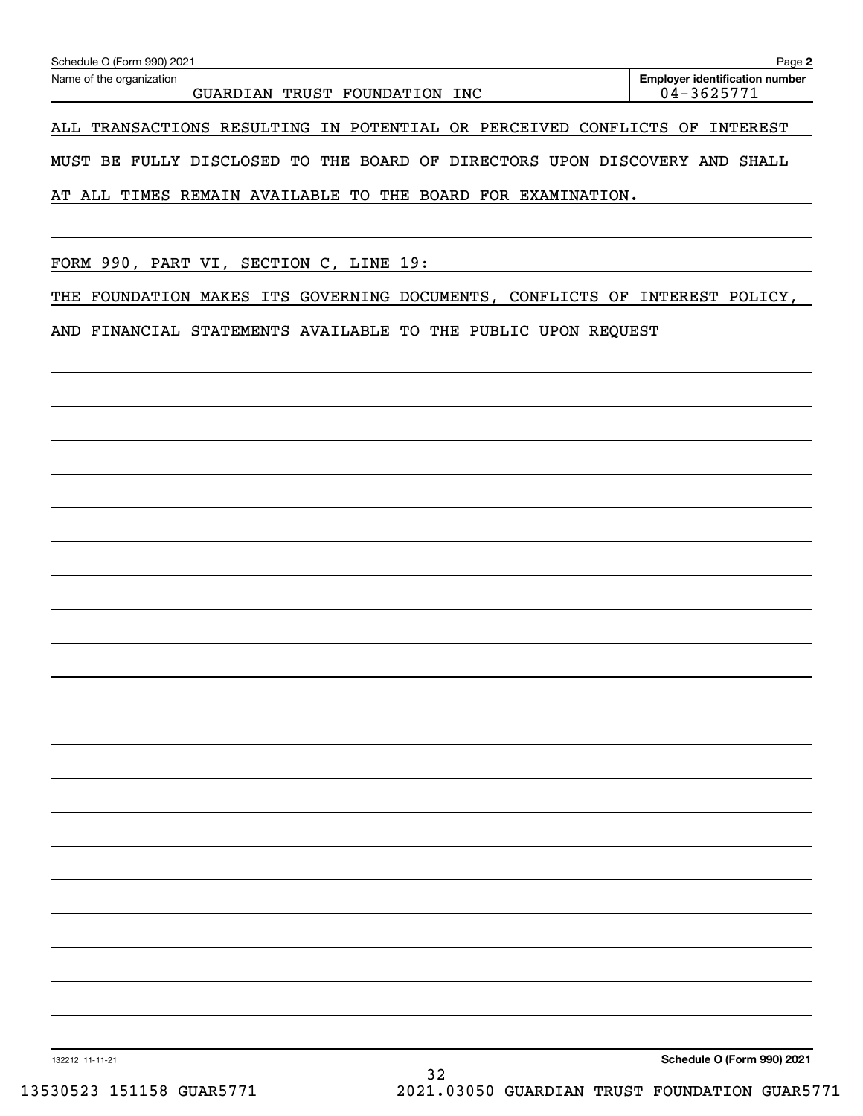| Schedule O (Form 990) 2021                                                 | Page 2                                              |
|----------------------------------------------------------------------------|-----------------------------------------------------|
| Name of the organization<br>TRUST FOUNDATION<br>GUARDIAN<br>INC            | <b>Employer identification number</b><br>04-3625771 |
| TRANSACTIONS RESULTING IN POTENTIAL OR PERCEIVED CONFLICTS OF<br>ALL       | INTEREST                                            |
| MUST BE FULLY DISCLOSED TO THE BOARD OF DIRECTORS UPON DISCOVERY AND SHALL |                                                     |
| ALL TIMES REMAIN AVAILABLE TO THE BOARD FOR EXAMINATION.<br>AT             |                                                     |
|                                                                            |                                                     |
| FORM 990, PART VI, SECTION C, LINE 19:                                     |                                                     |

THE FOUNDATION MAKES ITS GOVERNING DOCUMENTS, CONFLICTS OF INTEREST POLICY,

AND FINANCIAL STATEMENTS AVAILABLE TO THE PUBLIC UPON REQUEST

**Schedule O (Form 990) 2021**

132212 11-11-21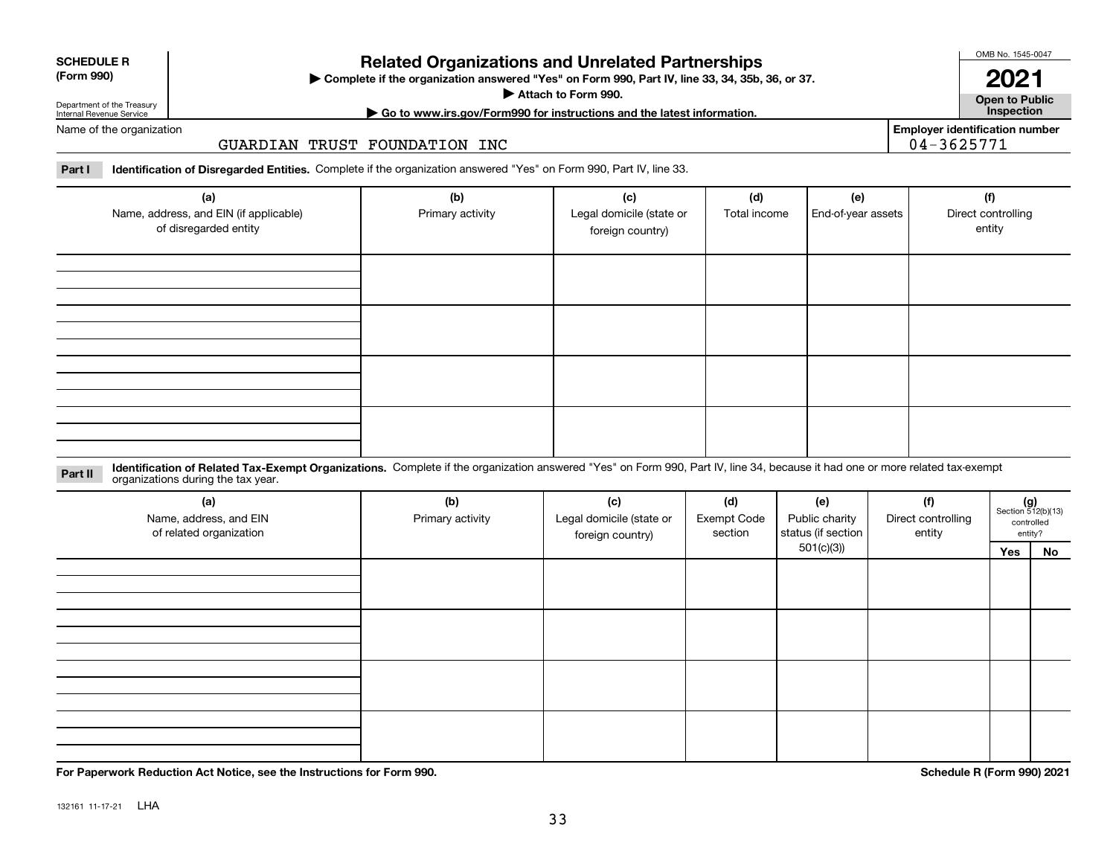|  | . |  |
|--|---|--|

**SCHEDULE R (Form 990)**

### **Related Organizations and Unrelated Partnerships**

**Complete if the organization answered "Yes" on Form 990, Part IV, line 33, 34, 35b, 36, or 37.** |

**Attach to Form 990.**  |

OMB No. 1545-0047

**Open to Public | Go to www.irs.gov/Form990 for instructions and the latest information. Inspection 2021**

**Employer identification number**

Department of the Treasury Internal Revenue Service Name of the organization

GUARDIAN TRUST FOUNDATION INC

**Part I Identification of Disregarded Entities.**  Complete if the organization answered "Yes" on Form 990, Part IV, line 33.

| (a)<br>Name, address, and EIN (if applicable)<br>of disregarded entity | (b)<br>Primary activity | (c)<br>Legal domicile (state or<br>foreign country) | (d)<br>(e)<br>End-of-year assets<br>Total income |  |  |
|------------------------------------------------------------------------|-------------------------|-----------------------------------------------------|--------------------------------------------------|--|--|
|                                                                        |                         |                                                     |                                                  |  |  |
|                                                                        |                         |                                                     |                                                  |  |  |
|                                                                        |                         |                                                     |                                                  |  |  |
|                                                                        |                         |                                                     |                                                  |  |  |

**Identification of Related Tax-Exempt Organizations.** Complete if the organization answered "Yes" on Form 990, Part IV, line 34, because it had one or more related tax-exempt **Part II** organizations during the tax year.

| (a)<br>Name, address, and EIN<br>of related organization | (b)<br>Primary activity | (c)<br>Legal domicile (state or<br>foreign country) | (d)<br>Exempt Code<br>section | (e)<br>Public charity<br>status (if section |  | $(g)$<br>Section 512(b)(13)<br>controlled<br>entity? |    |
|----------------------------------------------------------|-------------------------|-----------------------------------------------------|-------------------------------|---------------------------------------------|--|------------------------------------------------------|----|
|                                                          |                         |                                                     |                               | 501(c)(3)                                   |  | Yes                                                  | No |
|                                                          |                         |                                                     |                               |                                             |  |                                                      |    |
|                                                          |                         |                                                     |                               |                                             |  |                                                      |    |
|                                                          |                         |                                                     |                               |                                             |  |                                                      |    |
|                                                          |                         |                                                     |                               |                                             |  |                                                      |    |

**For Paperwork Reduction Act Notice, see the Instructions for Form 990. Schedule R (Form 990) 2021**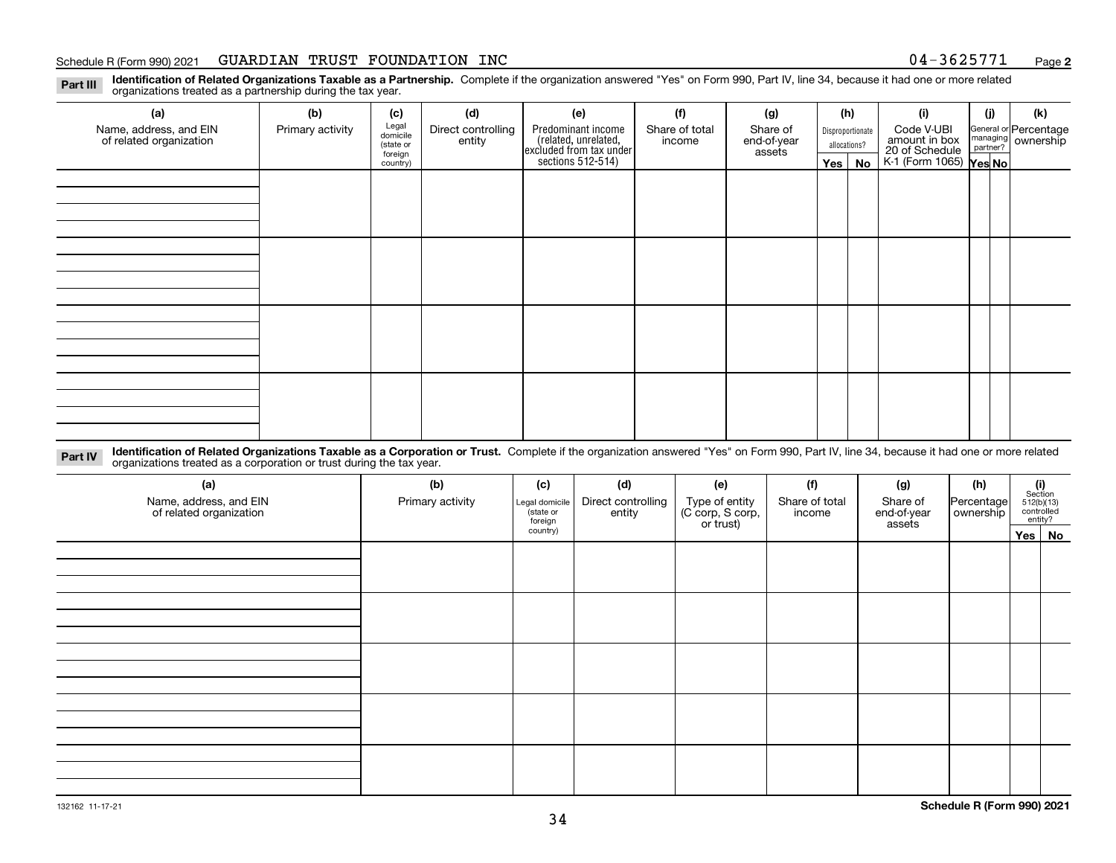#### Schedule R (Form 990) 2021 GUARDIAN TRUST FOUNDATION INC 0 4-3 6 2 5 7 7 1 <sub>Page</sub>

**2**

**Identification of Related Organizations Taxable as a Partnership.** Complete if the organization answered "Yes" on Form 990, Part IV, line 34, because it had one or more related **Part III** organizations treated as a partnership during the tax year.

| ◡<br>ັ<br>$\overline{\phantom{a}}$                |                  |                      |                    |                                                                      |                |                       |              |                  |                                 |     |                                                           |
|---------------------------------------------------|------------------|----------------------|--------------------|----------------------------------------------------------------------|----------------|-----------------------|--------------|------------------|---------------------------------|-----|-----------------------------------------------------------|
| (a)                                               | (b)              | (c)                  | (d)                | (e)                                                                  | (f)            | (g)                   |              | (h)              | (i)                             | (j) | (k)                                                       |
| Name, address, and EIN<br>of related organization | Primary activity | Legal<br>domicile    | Direct controlling | Predominant income                                                   | Share of total | Share of              |              | Disproportionate | Code V-UBI                      |     | General or Percentage<br>managing<br>partner?<br>partner? |
|                                                   |                  | (state or<br>foreign | entity             | (related, unrelated,<br>excluded from tax under<br>sections 512-514) | income         | end-of-year<br>assets | allocations? |                  | amount in box<br>20 of Schedule |     |                                                           |
|                                                   |                  | country)             |                    |                                                                      |                |                       | Yes $ $      | No               | K-1 (Form 1065) Yes No          |     |                                                           |
|                                                   |                  |                      |                    |                                                                      |                |                       |              |                  |                                 |     |                                                           |
|                                                   |                  |                      |                    |                                                                      |                |                       |              |                  |                                 |     |                                                           |
|                                                   |                  |                      |                    |                                                                      |                |                       |              |                  |                                 |     |                                                           |
|                                                   |                  |                      |                    |                                                                      |                |                       |              |                  |                                 |     |                                                           |
|                                                   |                  |                      |                    |                                                                      |                |                       |              |                  |                                 |     |                                                           |
|                                                   |                  |                      |                    |                                                                      |                |                       |              |                  |                                 |     |                                                           |
|                                                   |                  |                      |                    |                                                                      |                |                       |              |                  |                                 |     |                                                           |
|                                                   |                  |                      |                    |                                                                      |                |                       |              |                  |                                 |     |                                                           |
|                                                   |                  |                      |                    |                                                                      |                |                       |              |                  |                                 |     |                                                           |
|                                                   |                  |                      |                    |                                                                      |                |                       |              |                  |                                 |     |                                                           |
|                                                   |                  |                      |                    |                                                                      |                |                       |              |                  |                                 |     |                                                           |
|                                                   |                  |                      |                    |                                                                      |                |                       |              |                  |                                 |     |                                                           |
|                                                   |                  |                      |                    |                                                                      |                |                       |              |                  |                                 |     |                                                           |
|                                                   |                  |                      |                    |                                                                      |                |                       |              |                  |                                 |     |                                                           |
|                                                   |                  |                      |                    |                                                                      |                |                       |              |                  |                                 |     |                                                           |
|                                                   |                  |                      |                    |                                                                      |                |                       |              |                  |                                 |     |                                                           |
|                                                   |                  |                      |                    |                                                                      |                |                       |              |                  |                                 |     |                                                           |

**Identification of Related Organizations Taxable as a Corporation or Trust.** Complete if the organization answered "Yes" on Form 990, Part IV, line 34, because it had one or more related **Part IV** organizations treated as a corporation or trust during the tax year.

| (a)<br>Name, address, and EIN<br>of related organization | (b)<br>Primary activity | (c)<br>Legal domicile<br>state or<br>foreign | (d)<br>Direct controlling<br>entity | (e)<br>Type of entity<br>(C corp, S corp,<br>or trust) | (f)<br>Share of total<br>income | (g)<br>Share of<br>end-of-year<br>assets | (h)<br>Percentage<br>ownership | (i)<br>Section<br>$512(b)(13)$<br>controlled | entity? |
|----------------------------------------------------------|-------------------------|----------------------------------------------|-------------------------------------|--------------------------------------------------------|---------------------------------|------------------------------------------|--------------------------------|----------------------------------------------|---------|
|                                                          |                         | country)                                     |                                     |                                                        |                                 |                                          |                                |                                              | Yes No  |
|                                                          |                         |                                              |                                     |                                                        |                                 |                                          |                                |                                              |         |
|                                                          |                         |                                              |                                     |                                                        |                                 |                                          |                                |                                              |         |
|                                                          |                         |                                              |                                     |                                                        |                                 |                                          |                                |                                              |         |
|                                                          |                         |                                              |                                     |                                                        |                                 |                                          |                                |                                              |         |
|                                                          |                         |                                              |                                     |                                                        |                                 |                                          |                                |                                              |         |
|                                                          |                         |                                              |                                     |                                                        |                                 |                                          |                                |                                              |         |
|                                                          |                         |                                              |                                     |                                                        |                                 |                                          |                                |                                              |         |
|                                                          |                         |                                              |                                     |                                                        |                                 |                                          |                                |                                              |         |
|                                                          |                         |                                              |                                     |                                                        |                                 |                                          |                                |                                              |         |
|                                                          |                         |                                              |                                     |                                                        |                                 |                                          |                                |                                              |         |
|                                                          |                         |                                              |                                     |                                                        |                                 |                                          |                                |                                              |         |
|                                                          |                         |                                              |                                     |                                                        |                                 |                                          |                                |                                              |         |
|                                                          |                         |                                              |                                     |                                                        |                                 |                                          |                                |                                              |         |
|                                                          |                         |                                              |                                     |                                                        |                                 |                                          |                                |                                              |         |
|                                                          |                         |                                              |                                     |                                                        |                                 |                                          |                                |                                              |         |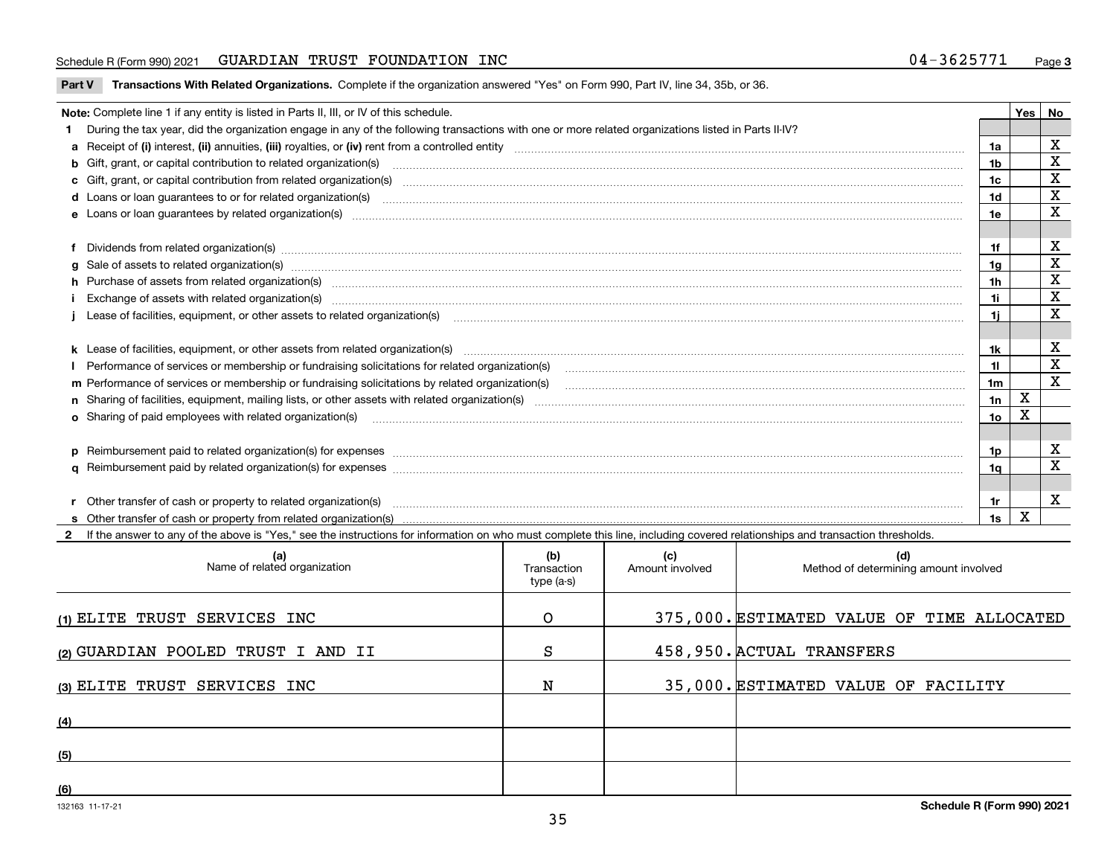#### Schedule R (Form 990) 2021 GUARDIAN TRUST FOUNDATION INC 0 4-3 6 2 5 7 7 1 <sub>Page</sub>

**Part V** T**ransactions With Related Organizations.** Complete if the organization answered "Yes" on Form 990, Part IV, line 34, 35b, or 36.

| Note: Complete line 1 if any entity is listed in Parts II, III, or IV of this schedule.                                                                                                                                        |                | Yes | No          |
|--------------------------------------------------------------------------------------------------------------------------------------------------------------------------------------------------------------------------------|----------------|-----|-------------|
| During the tax year, did the organization engage in any of the following transactions with one or more related organizations listed in Parts II-IV?                                                                            |                |     |             |
|                                                                                                                                                                                                                                | 1a             |     | X           |
| b Gift, grant, or capital contribution to related organization(s) mature and contained and contribution to related organization(s) matures are contained and contribution to related organization(s)                           | 1b             |     | $\mathbf X$ |
| c Gift, grant, or capital contribution from related organization(s) manufaction(s) and contribution from related organization(s) manufaction contribution from related organization(s) manufaction contribution from related o | 1c             |     | $\mathbf X$ |
| d Loans or loan guarantees to or for related organization(s) committion contracts are constructed as a control or contract or contract or contract or contract or contract or contract or contract or contract or contract or  | 1 <sub>d</sub> |     | $\mathbf X$ |
|                                                                                                                                                                                                                                | 1e             |     | X           |
| Dividends from related organization(s) www.communically.communically.communically and all proportional contracts of the contracts of the contracts of the contracts of the contracts of the contracts of the contracts of the  | 1f             |     | х           |
|                                                                                                                                                                                                                                | 1g             |     | X           |
| h Purchase of assets from related organization(s) www.assettion.com/www.assettion.com/www.assettion.com/www.assettion.com/www.assettion.com/www.assettion.com/www.assettion.com/www.assettion.com/www.assettion.com/www.assett | 1h             |     | х           |
| Exchange of assets with related organization(s) www.communically.communically contract and a set of assets with related organization(s) www.communically.communically and a set of a set of the set of a set of a set of a set | 1i.            |     | X           |
| Lease of facilities, equipment, or other assets to related organization(s) [11] manufactured manufactured manufactured manufactured manufactured manufactured manufactured manufactured manufactured manufactured manufactured | 1i.            |     | X           |
|                                                                                                                                                                                                                                | 1k.            |     | х           |
| Performance of services or membership or fundraising solicitations for related organization(s) manufaction manufactured content and the services or membership or fundraising solicitations for related organization(s) manufa |                |     | $\mathbf X$ |
| m Performance of services or membership or fundraising solicitations by related organization(s)                                                                                                                                | 1m             |     | $\mathbf X$ |
|                                                                                                                                                                                                                                | 1n             | X   |             |
| <b>o</b> Sharing of paid employees with related organization(s)                                                                                                                                                                | 10             | х   |             |
|                                                                                                                                                                                                                                | 1p.            |     | X           |
|                                                                                                                                                                                                                                | 1q             |     | X           |
|                                                                                                                                                                                                                                |                |     |             |
| r Other transfer of cash or property to related organization(s)                                                                                                                                                                | 1r.            |     | х           |
|                                                                                                                                                                                                                                | 1s             | X   |             |
| 2 If the answer to any of the above is "Yes." see the instructions for information on who must complete this line, including covered relationships and transaction thresholds.                                                 |                |     |             |

| (a)<br>Name of related organization | (b)<br>Transaction<br>type (a-s) | (c)<br>Amount involved | (d)<br>Method of determining amount involved |
|-------------------------------------|----------------------------------|------------------------|----------------------------------------------|
| (1) ELITE TRUST SERVICES INC        | O                                |                        | 375,000. ESTIMATED VALUE OF TIME ALLOCATED   |
| (2) GUARDIAN POOLED TRUST I AND II  | S                                |                        | 458,950. ACTUAL TRANSFERS                    |
| (3) ELITE TRUST SERVICES INC        | N                                |                        | 35,000. ESTIMATED VALUE OF FACILITY          |
| (4)                                 |                                  |                        |                                              |
| (5)                                 |                                  |                        |                                              |
| (6)                                 |                                  |                        |                                              |

 $\overline{\phantom{a}}$